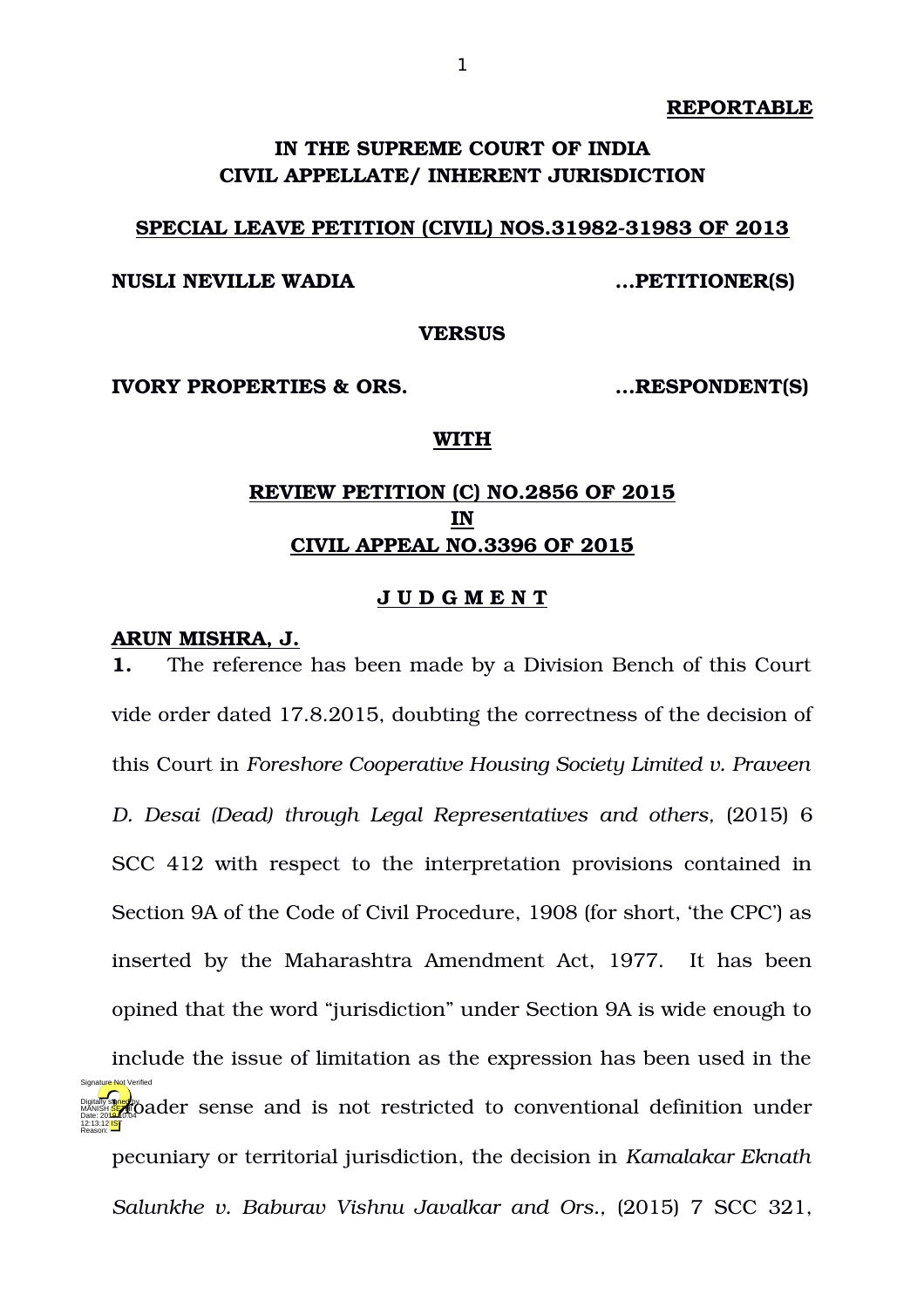**REPORTABLE**

# **IN THE SUPREME COURT OF INDIA CIVIL APPELLATE/ INHERENT JURISDICTION**

### **SPECIAL LEAVE PETITION (CIVIL) NOS.31982-31983 OF 2013**

# **NUSLI NEVILLE WADIA …PETITIONER(S)**

**VERSUS**

**IVORY PROPERTIES & ORS. …RESPONDENT(S)**

#### **WITH**

# **REVIEW PETITION (C) NO.2856 OF 2015 IN CIVIL APPEAL NO.3396 OF 2015**

#### **J U D G M E N T**

## **ARUN MISHRA, J.**

**1.** The reference has been made by a Division Bench of this Court vide order dated 17.8.2015, doubting the correctness of the decision of this Court in *Foreshore Cooperative Housing Society Limited v. Praveen D. Desai (Dead) through Legal Representatives and others,* (2015) 6 SCC 412 with respect to the interpretation provisions contained in Section 9A of the Code of Civil Procedure, 1908 (for short, 'the CPC') as inserted by the Maharashtra Amendment Act, 1977. It has been opined that the word "jurisdiction" under Section 9A is wide enough to include the issue of limitation as the expression has been used in the Digitally signed by a sense and is not restricted to conventional definition under pecuniary or territorial jurisdiction, the decision in *Kamalakar Eknath Salunkhe v. Baburav Vishnu Javalkar and Ors., (2015) 7 SCC 321,* 12:13:12 IST Reason: Signature Not Verified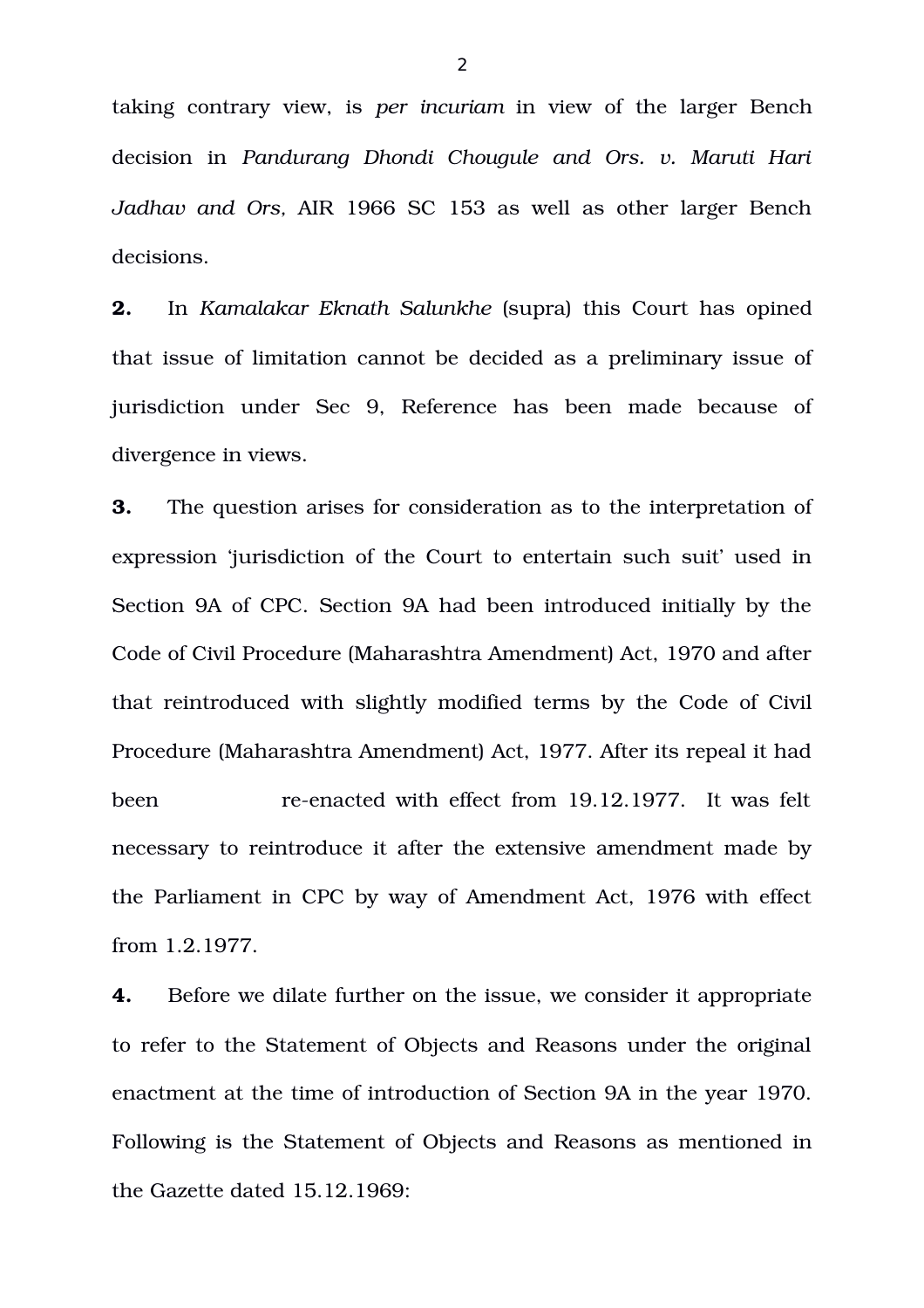taking contrary view, is *per incuriam* in view of the larger Bench decision in *Pandurang Dhondi Chougule and Ors. v. Maruti Hari Jadhav and Ors,* AIR 1966 SC 153 as well as other larger Bench decisions.

**2.** In *Kamalakar Eknath Salunkhe* (supra) this Court has opined that issue of limitation cannot be decided as a preliminary issue of jurisdiction under Sec 9, Reference has been made because of divergence in views.

**3.** The question arises for consideration as to the interpretation of expression 'jurisdiction of the Court to entertain such suit' used in Section 9A of CPC. Section 9A had been introduced initially by the Code of Civil Procedure (Maharashtra Amendment) Act, 1970 and after that reintroduced with slightly modified terms by the Code of Civil Procedure (Maharashtra Amendment) Act, 1977. After its repeal it had been reenacted with effect from 19.12.1977. It was felt necessary to reintroduce it after the extensive amendment made by the Parliament in CPC by way of Amendment Act, 1976 with effect from 1.2.1977.

**4.** Before we dilate further on the issue, we consider it appropriate to refer to the Statement of Objects and Reasons under the original enactment at the time of introduction of Section 9A in the year 1970. Following is the Statement of Objects and Reasons as mentioned in the Gazette dated 15.12.1969:

 $\overline{2}$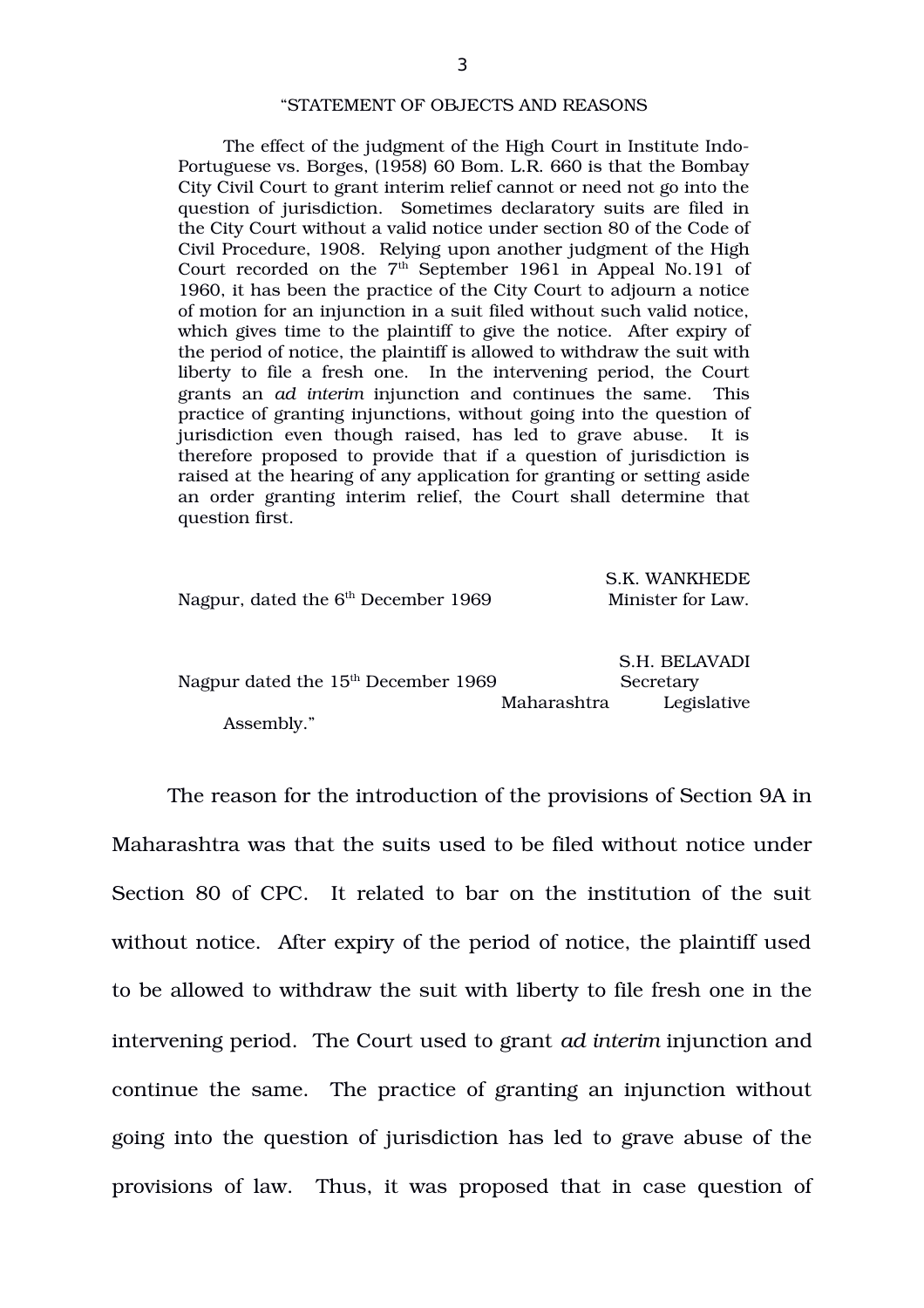#### "STATEMENT OF OBJECTS AND REASONS

The effect of the judgment of the High Court in Institute Indo-Portuguese vs. Borges, (1958) 60 Bom. L.R. 660 is that the Bombay City Civil Court to grant interim relief cannot or need not go into the question of jurisdiction. Sometimes declaratory suits are filed in the City Court without a valid notice under section 80 of the Code of Civil Procedure, 1908. Relying upon another judgment of the High Court recorded on the  $7<sup>th</sup>$  September 1961 in Appeal No.191 of 1960, it has been the practice of the City Court to adjourn a notice of motion for an injunction in a suit filed without such valid notice, which gives time to the plaintiff to give the notice. After expiry of the period of notice, the plaintiff is allowed to withdraw the suit with liberty to file a fresh one. In the intervening period, the Court grants an *ad interim* injunction and continues the same. This practice of granting injunctions, without going into the question of jurisdiction even though raised, has led to grave abuse. It is therefore proposed to provide that if a question of jurisdiction is raised at the hearing of any application for granting or setting aside an order granting interim relief, the Court shall determine that question first.

| Nagpur, dated the $6th$ December 1969 |             | S.K. WANKHEDE<br>Minister for Law.        |
|---------------------------------------|-------------|-------------------------------------------|
| Nagpur dated the $15th$ December 1969 | Maharashtra | S.H. BELAVADI<br>Secretary<br>Legislative |
| Assembly."                            |             |                                           |

 $\sim$  F. W. Wankhede

The reason for the introduction of the provisions of Section 9A in Maharashtra was that the suits used to be filed without notice under Section 80 of CPC. It related to bar on the institution of the suit without notice. After expiry of the period of notice, the plaintiff used to be allowed to withdraw the suit with liberty to file fresh one in the intervening period.The Court used to grant *ad interim* injunction and continue the same. The practice of granting an injunction without going into the question of jurisdiction has led to grave abuse of the provisions of law. Thus, it was proposed that in case question of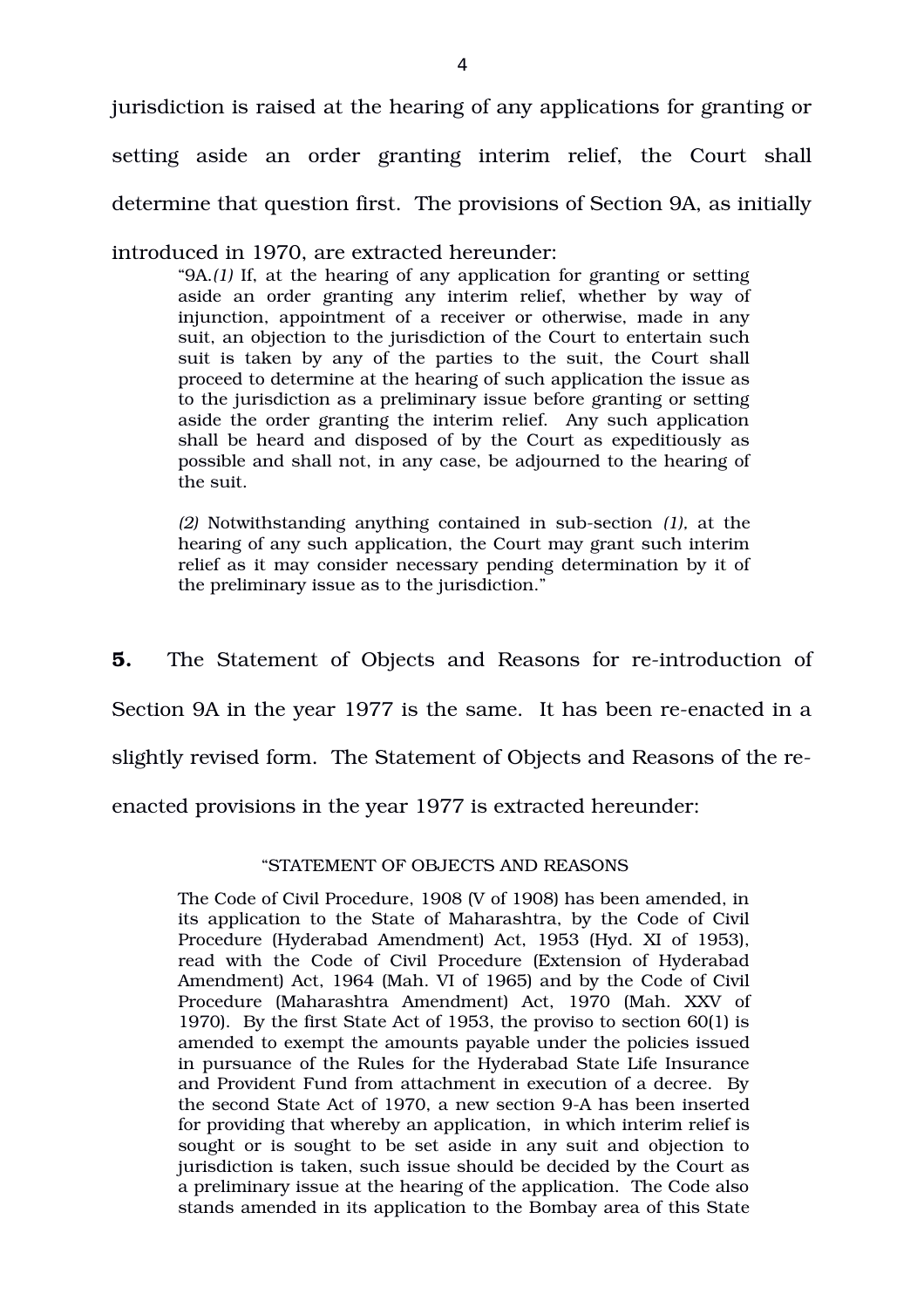jurisdiction is raised at the hearing of any applications for granting or setting aside an order granting interim relief, the Court shall determine that question first. The provisions of Section 9A, as initially

introduced in 1970, are extracted hereunder:

"9A.*(1)* If, at the hearing of any application for granting or setting aside an order granting any interim relief, whether by way of injunction, appointment of a receiver or otherwise, made in any suit, an objection to the jurisdiction of the Court to entertain such suit is taken by any of the parties to the suit, the Court shall proceed to determine at the hearing of such application the issue as to the jurisdiction as a preliminary issue before granting or setting aside the order granting the interim relief. Any such application shall be heard and disposed of by the Court as expeditiously as possible and shall not, in any case, be adjourned to the hearing of the suit.

*(2)* Notwithstanding anything contained in subsection *(1),* at the hearing of any such application, the Court may grant such interim relief as it may consider necessary pending determination by it of the preliminary issue as to the jurisdiction."

**5.** The Statement of Objects and Reasons for re-introduction of

Section 9A in the year 1977 is the same. It has been re-enacted in a

slightly revised form. The Statement of Objects and Reasons of the re-

enacted provisions in the year 1977 is extracted hereunder:

# "STATEMENT OF OBJECTS AND REASONS

The Code of Civil Procedure, 1908 (V of 1908) has been amended, in its application to the State of Maharashtra, by the Code of Civil Procedure (Hyderabad Amendment) Act, 1953 (Hyd. XI of 1953), read with the Code of Civil Procedure (Extension of Hyderabad Amendment) Act, 1964 (Mah. VI of 1965) and by the Code of Civil Procedure (Maharashtra Amendment) Act, 1970 (Mah. XXV of 1970). By the first State Act of 1953, the proviso to section 60(1) is amended to exempt the amounts payable under the policies issued in pursuance of the Rules for the Hyderabad State Life Insurance and Provident Fund from attachment in execution of a decree. By the second State Act of 1970, a new section 9A has been inserted for providing that whereby an application, in which interim relief is sought or is sought to be set aside in any suit and objection to jurisdiction is taken, such issue should be decided by the Court as a preliminary issue at the hearing of the application. The Code also stands amended in its application to the Bombay area of this State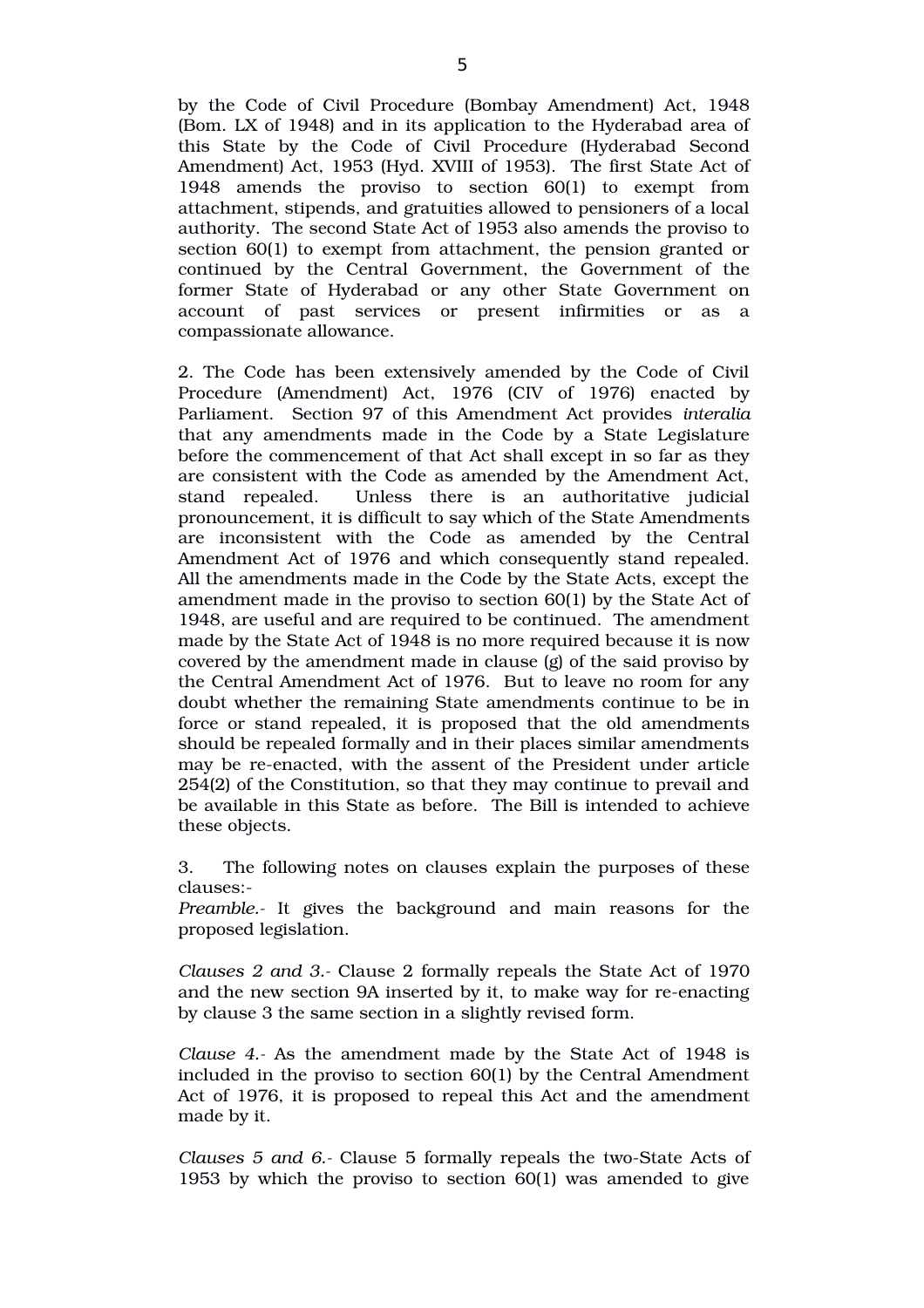by the Code of Civil Procedure (Bombay Amendment) Act, 1948 (Bom. LX of 1948) and in its application to the Hyderabad area of this State by the Code of Civil Procedure (Hyderabad Second Amendment) Act, 1953 (Hyd. XVIII of 1953). The first State Act of 1948 amends the proviso to section  $60(1)$  to exempt from attachment, stipends, and gratuities allowed to pensioners of a local authority. The second State Act of 1953 also amends the proviso to section 60(1) to exempt from attachment, the pension granted or continued by the Central Government, the Government of the former State of Hyderabad or any other State Government on account of past services or present infirmities or as a compassionate allowance.

2. The Code has been extensively amended by the Code of Civil Procedure (Amendment) Act, 1976 (CIV of 1976) enacted by Parliament. Section 97 of this Amendment Act provides *interalia* that any amendments made in the Code by a State Legislature before the commencement of that Act shall except in so far as they are consistent with the Code as amended by the Amendment Act, stand repealed. Unless there is an authoritative judicial pronouncement, it is difficult to say which of the State Amendments are inconsistent with the Code as amended by the Central Amendment Act of 1976 and which consequently stand repealed. All the amendments made in the Code by the State Acts, except the amendment made in the proviso to section 60(1) by the State Act of 1948, are useful and are required to be continued. The amendment made by the State Act of 1948 is no more required because it is now covered by the amendment made in clause (g) of the said proviso by the Central Amendment Act of 1976. But to leave no room for any doubt whether the remaining State amendments continue to be in force or stand repealed, it is proposed that the old amendments should be repealed formally and in their places similar amendments may be re-enacted, with the assent of the President under article 254(2) of the Constitution, so that they may continue to prevail and be available in this State as before. The Bill is intended to achieve these objects.

3. The following notes on clauses explain the purposes of these clauses:

*Preamble.* It gives the background and main reasons for the proposed legislation.

*Clauses 2 and 3.* Clause 2 formally repeals the State Act of 1970 and the new section 9A inserted by it, to make way for re-enacting by clause 3 the same section in a slightly revised form.

*Clause 4.* As the amendment made by the State Act of 1948 is included in the proviso to section 60(1) by the Central Amendment Act of 1976, it is proposed to repeal this Act and the amendment made by it.

*Clauses 5 and 6.* Clause 5 formally repeals the two-State Acts of 1953 by which the proviso to section 60(1) was amended to give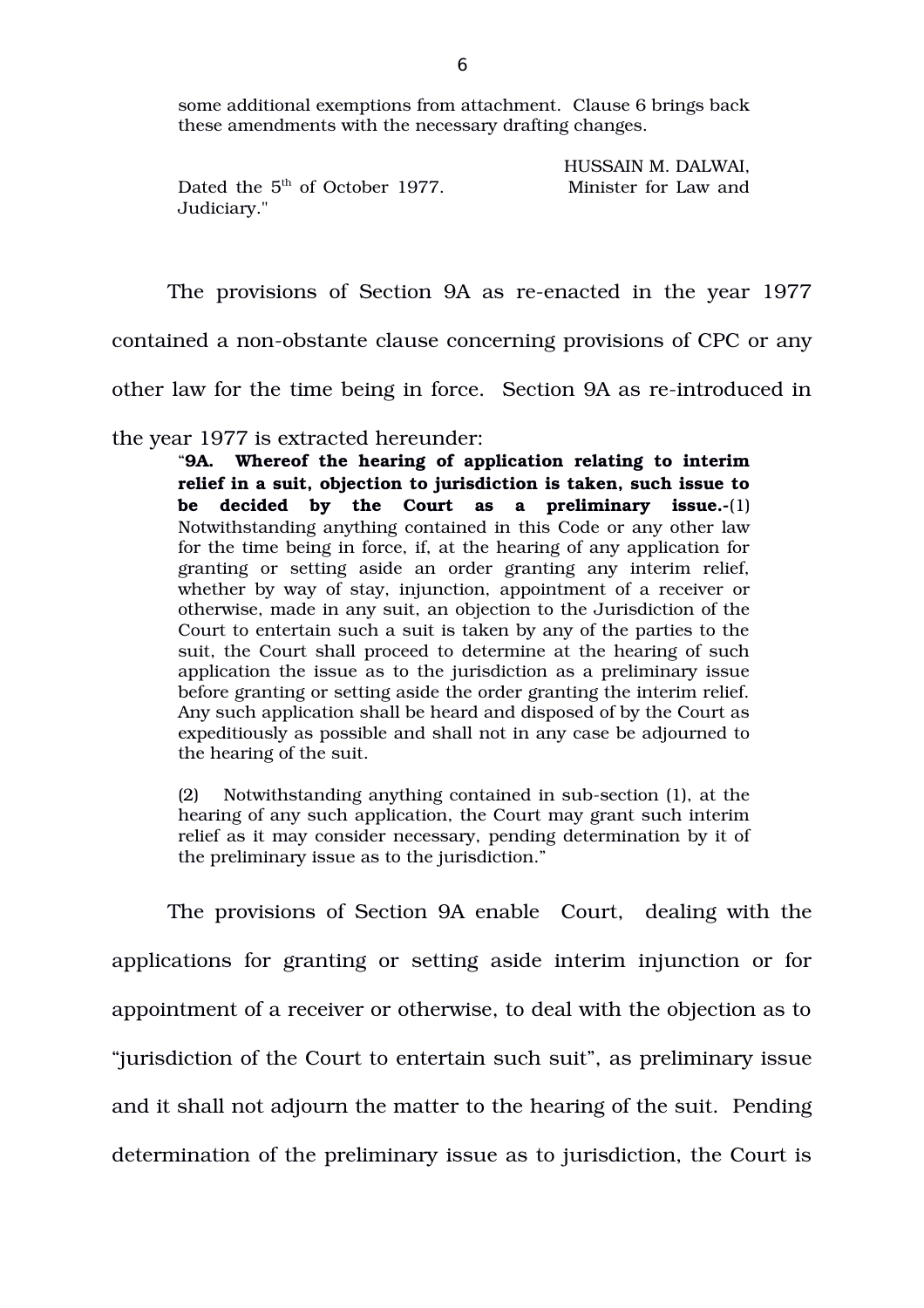some additional exemptions from attachment. Clause 6 brings back these amendments with the necessary drafting changes.

|                                  | HUSSAIN M. DALWAI,   |
|----------------------------------|----------------------|
| Dated the $5th$ of October 1977. | Minister for Law and |
| Judiciary."                      |                      |

The provisions of Section 9A as re-enacted in the year 1977

contained a non-obstante clause concerning provisions of CPC or any

other law for the time being in force. Section 9A as re-introduced in

the year 1977 is extracted hereunder:

"**9A. Whereof the hearing of application relating to interim relief in a suit, objection to jurisdiction is taken, such issue to** be decided by the Court as a preliminary issue.-(1) Notwithstanding anything contained in this Code or any other law for the time being in force, if, at the hearing of any application for granting or setting aside an order granting any interim relief, whether by way of stay, injunction, appointment of a receiver or otherwise, made in any suit, an objection to the Jurisdiction of the Court to entertain such a suit is taken by any of the parties to the suit, the Court shall proceed to determine at the hearing of such application the issue as to the jurisdiction as a preliminary issue before granting or setting aside the order granting the interim relief. Any such application shall be heard and disposed of by the Court as expeditiously as possible and shall not in any case be adjourned to the hearing of the suit.

(2) Notwithstanding anything contained in sub-section (1), at the hearing of any such application, the Court may grant such interim relief as it may consider necessary, pending determination by it of the preliminary issue as to the jurisdiction."

The provisions of Section 9A enable Court, dealing with the applications for granting or setting aside interim injunction or for appointment of a receiver or otherwise, to deal with the objection as to "jurisdiction of the Court to entertain such suit", as preliminary issue and it shall not adjourn the matter to the hearing of the suit. Pending determination of the preliminary issue as to jurisdiction, the Court is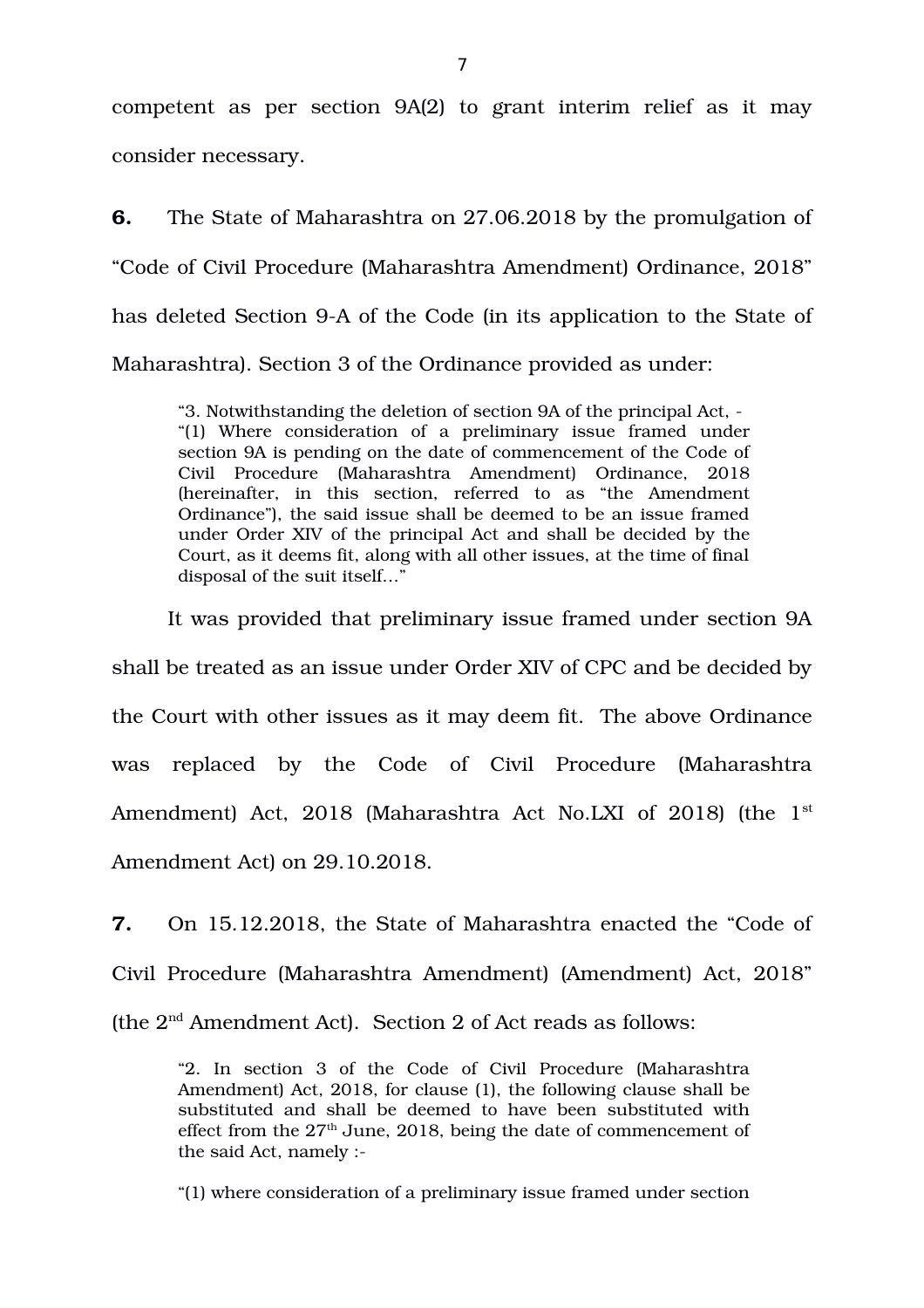competent as per section 9A(2) to grant interim relief as it may consider necessary.

**6.** The State of Maharashtra on 27.06.2018 by the promulgation of "Code of Civil Procedure (Maharashtra Amendment) Ordinance, 2018" has deleted Section 9-A of the Code (in its application to the State of Maharashtra). Section 3 of the Ordinance provided as under:

"3. Notwithstanding the deletion of section 9A of the principal Act, "(1) Where consideration of a preliminary issue framed under section 9A is pending on the date of commencement of the Code of Civil Procedure (Maharashtra Amendment) Ordinance, 2018 (hereinafter, in this section, referred to as "the Amendment" Ordinance"), the said issue shall be deemed to be an issue framed under Order XIV of the principal Act and shall be decided by the Court, as it deems fit, along with all other issues, at the time of final disposal of the suit itself…"

It was provided that preliminary issue framed under section 9A shall be treated as an issue under Order XIV of CPC and be decided by the Court with other issues as it may deem fit. The above Ordinance was replaced by the Code of Civil Procedure (Maharashtra Amendment) Act,  $2018$  (Maharashtra Act No.LXI of  $2018$ ) (the  $1<sup>st</sup>$ Amendment Act) on 29.10.2018.

**7.** On 15.12.2018, the State of Maharashtra enacted the "Code of Civil Procedure (Maharashtra Amendment) (Amendment) Act, 2018" (the 2nd Amendment Act). Section 2 of Act reads as follows:

"2. In section 3 of the Code of Civil Procedure (Maharashtra Amendment) Act, 2018, for clause (1), the following clause shall be substituted and shall be deemed to have been substituted with effect from the  $27<sup>th</sup>$  June, 2018, being the date of commencement of the said Act, namely :

"(1) where consideration of a preliminary issue framed under section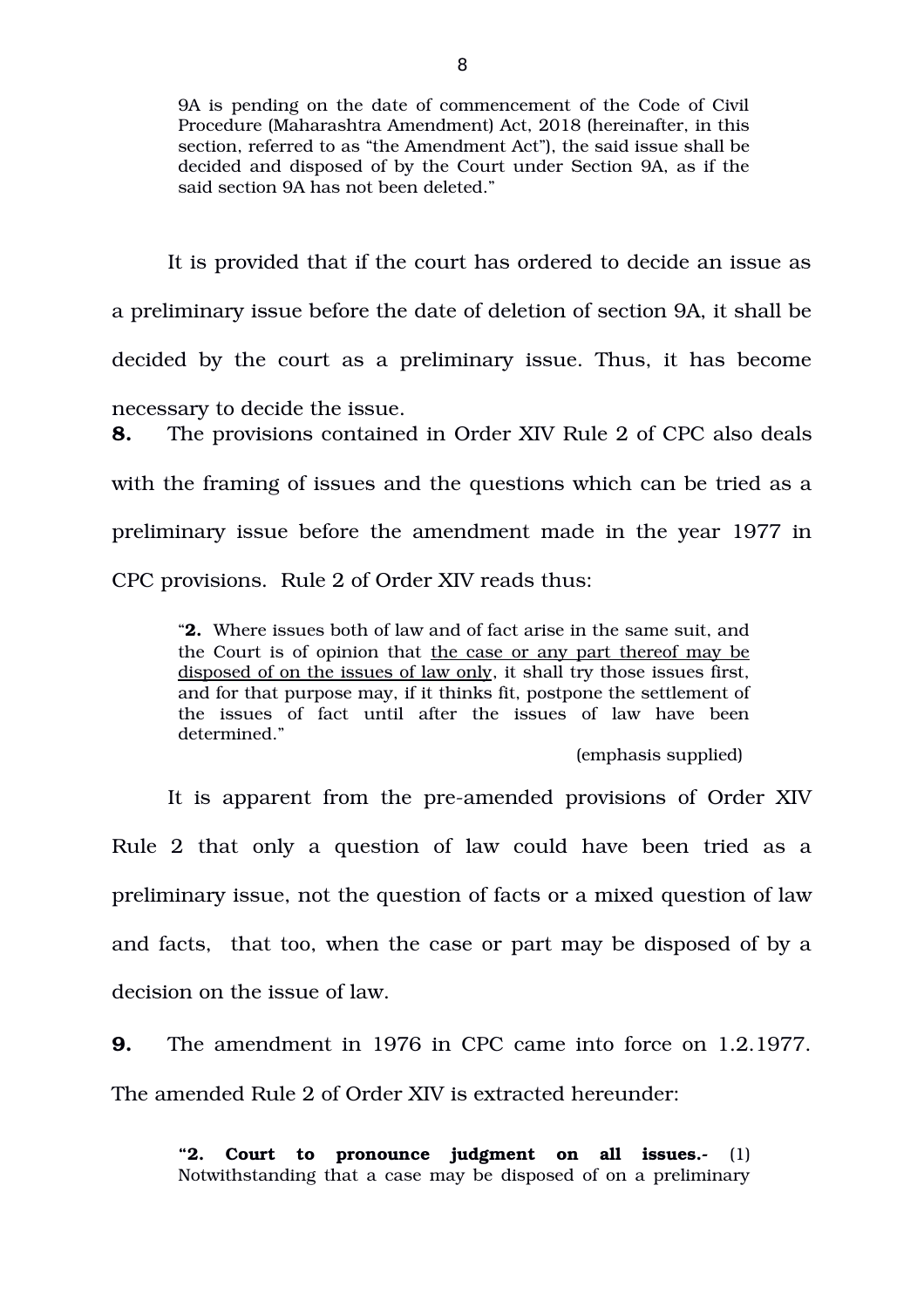9A is pending on the date of commencement of the Code of Civil Procedure (Maharashtra Amendment) Act, 2018 (hereinafter, in this section, referred to as "the Amendment Act"), the said issue shall be decided and disposed of by the Court under Section 9A, as if the said section 9A has not been deleted."

It is provided that if the court has ordered to decide an issue as a preliminary issue before the date of deletion of section 9A, it shall be decided by the court as a preliminary issue. Thus, it has become necessary to decide the issue. **8.** The provisions contained in Order XIV Rule 2 of CPC also deals with the framing of issues and the questions which can be tried as a

preliminary issue before the amendment made in the year 1977 in

CPC provisions. Rule 2 of Order XIV reads thus:

"**2.** Where issues both of law and of fact arise in the same suit, and the Court is of opinion that the case or any part thereof may be disposed of on the issues of law only, it shall try those issues first, and for that purpose may, if it thinks fit, postpone the settlement of the issues of fact until after the issues of law have been determined."

(emphasis supplied)

It is apparent from the pre-amended provisions of Order XIV Rule 2 that only a question of law could have been tried as a preliminary issue, not the question of facts or a mixed question of law and facts, that too, when the case or part may be disposed of by a decision on the issue of law.

**9.** The amendment in 1976 in CPC came into force on 1.2.1977. The amended Rule 2 of Order XIV is extracted hereunder:

**"2. Court to pronounce judgment on all issues.** (1) Notwithstanding that a case may be disposed of on a preliminary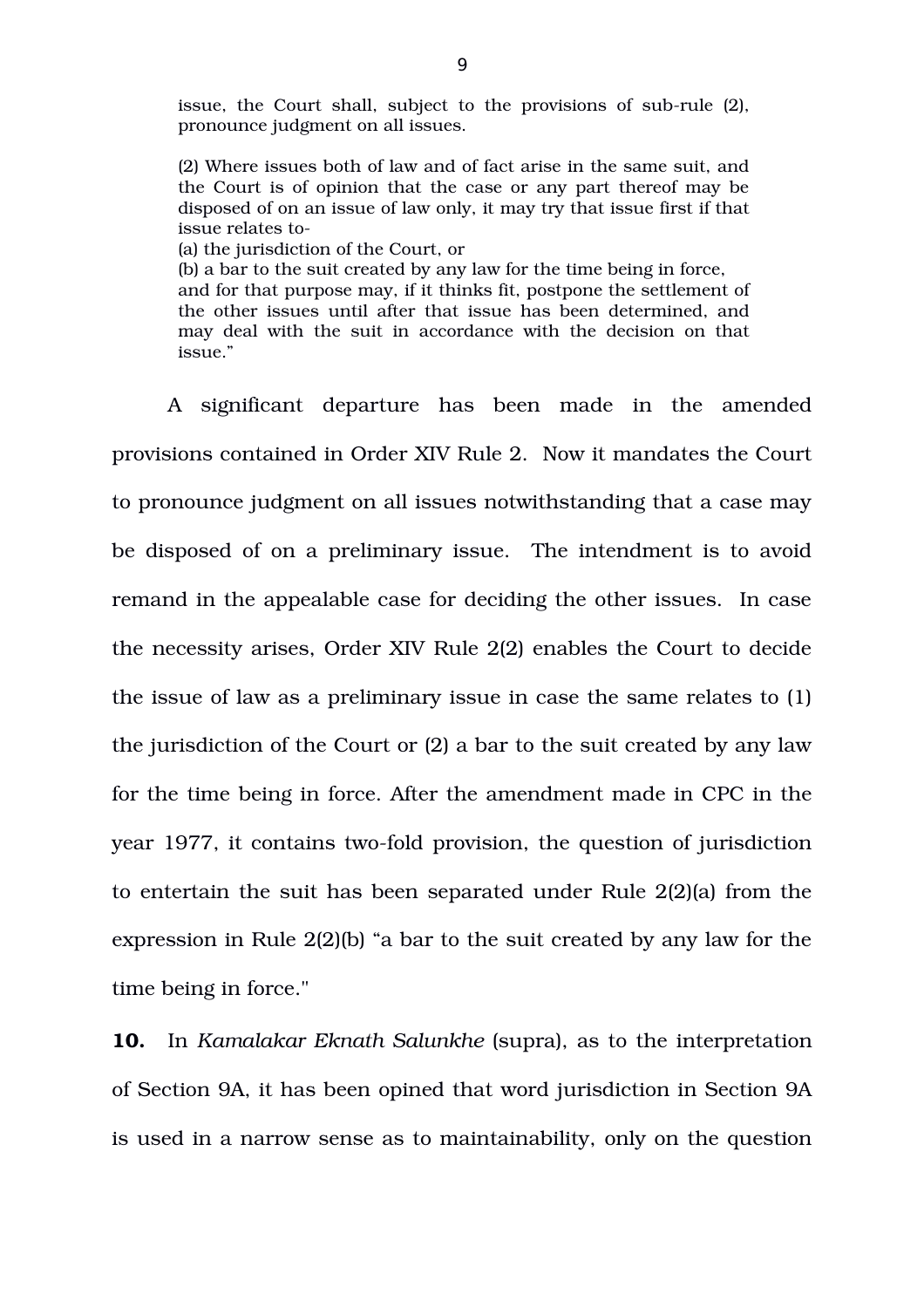issue, the Court shall, subject to the provisions of sub-rule (2), pronounce judgment on all issues.

(2) Where issues both of law and of fact arise in the same suit, and the Court is of opinion that the case or any part thereof may be disposed of on an issue of law only, it may try that issue first if that issue relates to

(a) the jurisdiction of the Court, or

(b) a bar to the suit created by any law for the time being in force, and for that purpose may, if it thinks fit, postpone the settlement of the other issues until after that issue has been determined, and may deal with the suit in accordance with the decision on that issue."

A significant departure has been made in the amended provisions contained in Order XIV Rule 2. Now it mandates the Court to pronounce judgment on all issues notwithstanding that a case may be disposed of on a preliminary issue. The intendment is to avoid remand in the appealable case for deciding the other issues. In case the necessity arises, Order XIV Rule 2(2) enables the Court to decide the issue of law as a preliminary issue in case the same relates to (1) the jurisdiction of the Court or (2) a bar to the suit created by any law for the time being in force. After the amendment made in CPC in the year 1977, it contains two-fold provision, the question of jurisdiction to entertain the suit has been separated under Rule 2(2)(a) from the expression in Rule 2(2)(b) "a bar to the suit created by any law for the time being in force."

**10.** In *Kamalakar Eknath Salunkhe* (supra), as to the interpretation of Section 9A, it has been opined that word jurisdiction in Section 9A is used in a narrow sense as to maintainability, only on the question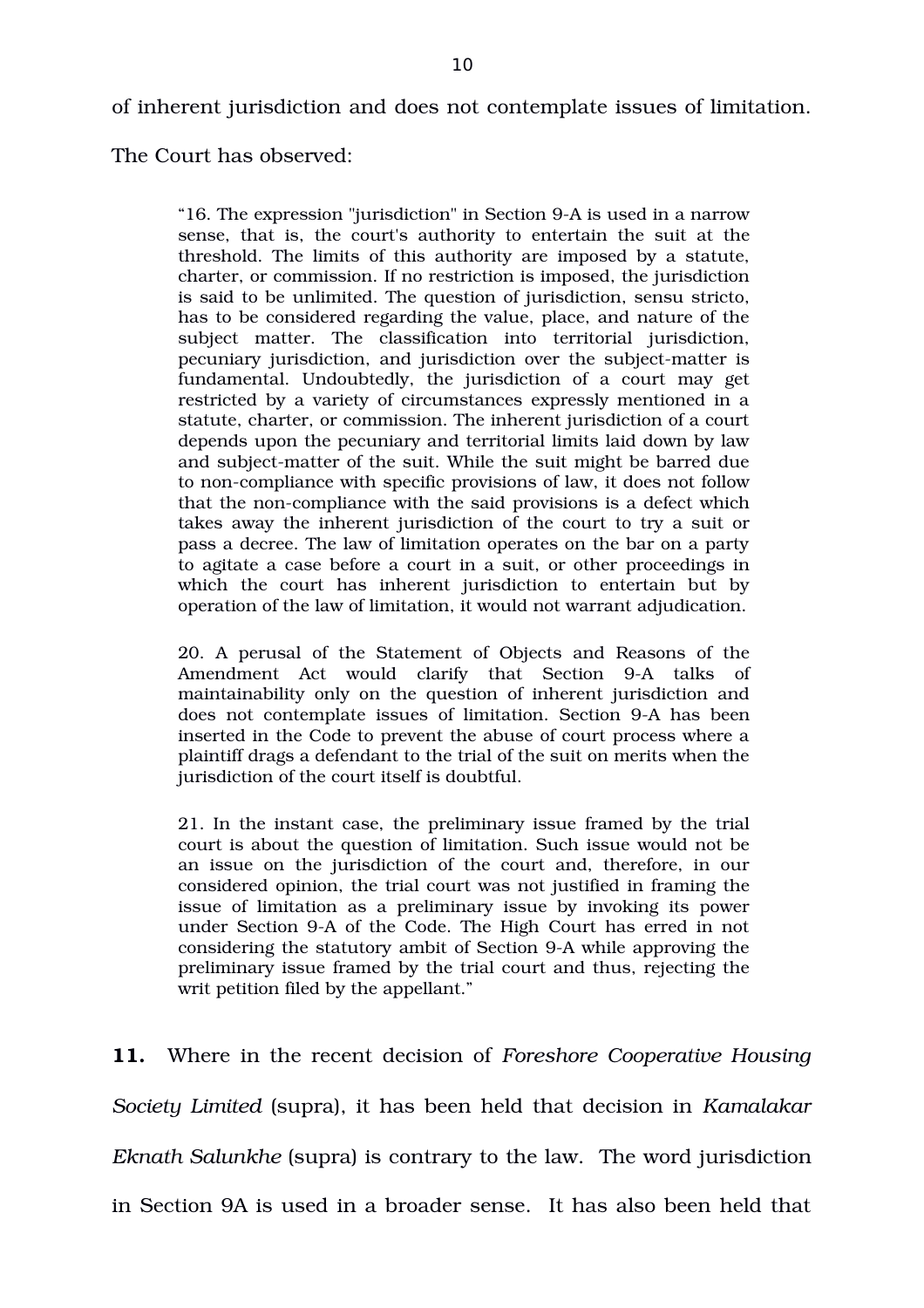of inherent jurisdiction and does not contemplate issues of limitation.

The Court has observed:

"16. The expression "jurisdiction" in Section 9A is used in a narrow sense, that is, the court's authority to entertain the suit at the threshold. The limits of this authority are imposed by a statute, charter, or commission. If no restriction is imposed, the jurisdiction is said to be unlimited. The question of jurisdiction, sensu stricto, has to be considered regarding the value, place, and nature of the subject matter. The classification into territorial jurisdiction, pecuniary jurisdiction, and jurisdiction over the subject-matter is fundamental. Undoubtedly, the jurisdiction of a court may get restricted by a variety of circumstances expressly mentioned in a statute, charter, or commission. The inherent jurisdiction of a court depends upon the pecuniary and territorial limits laid down by law and subject-matter of the suit. While the suit might be barred due to non-compliance with specific provisions of law, it does not follow that the non-compliance with the said provisions is a defect which takes away the inherent jurisdiction of the court to try a suit or pass a decree. The law of limitation operates on the bar on a party to agitate a case before a court in a suit, or other proceedings in which the court has inherent jurisdiction to entertain but by operation of the law of limitation, it would not warrant adjudication.

20. A perusal of the Statement of Objects and Reasons of the Amendment Act would clarify that Section 9-A talks of maintainability only on the question of inherent jurisdiction and does not contemplate issues of limitation. Section 9-A has been inserted in the Code to prevent the abuse of court process where a plaintiff drags a defendant to the trial of the suit on merits when the jurisdiction of the court itself is doubtful.

21. In the instant case, the preliminary issue framed by the trial court is about the question of limitation. Such issue would not be an issue on the jurisdiction of the court and, therefore, in our considered opinion, the trial court was not justified in framing the issue of limitation as a preliminary issue by invoking its power under Section 9A of the Code. The High Court has erred in not considering the statutory ambit of Section 9A while approving the preliminary issue framed by the trial court and thus, rejecting the writ petition filed by the appellant."

**11.** Where in the recent decision of *Foreshore Cooperative Housing Society Limited* (supra), it has been held that decision in *Kamalakar Eknath Salunkhe* (supra) is contrary to the law. The word jurisdiction in Section 9A is used in a broader sense. It has also been held that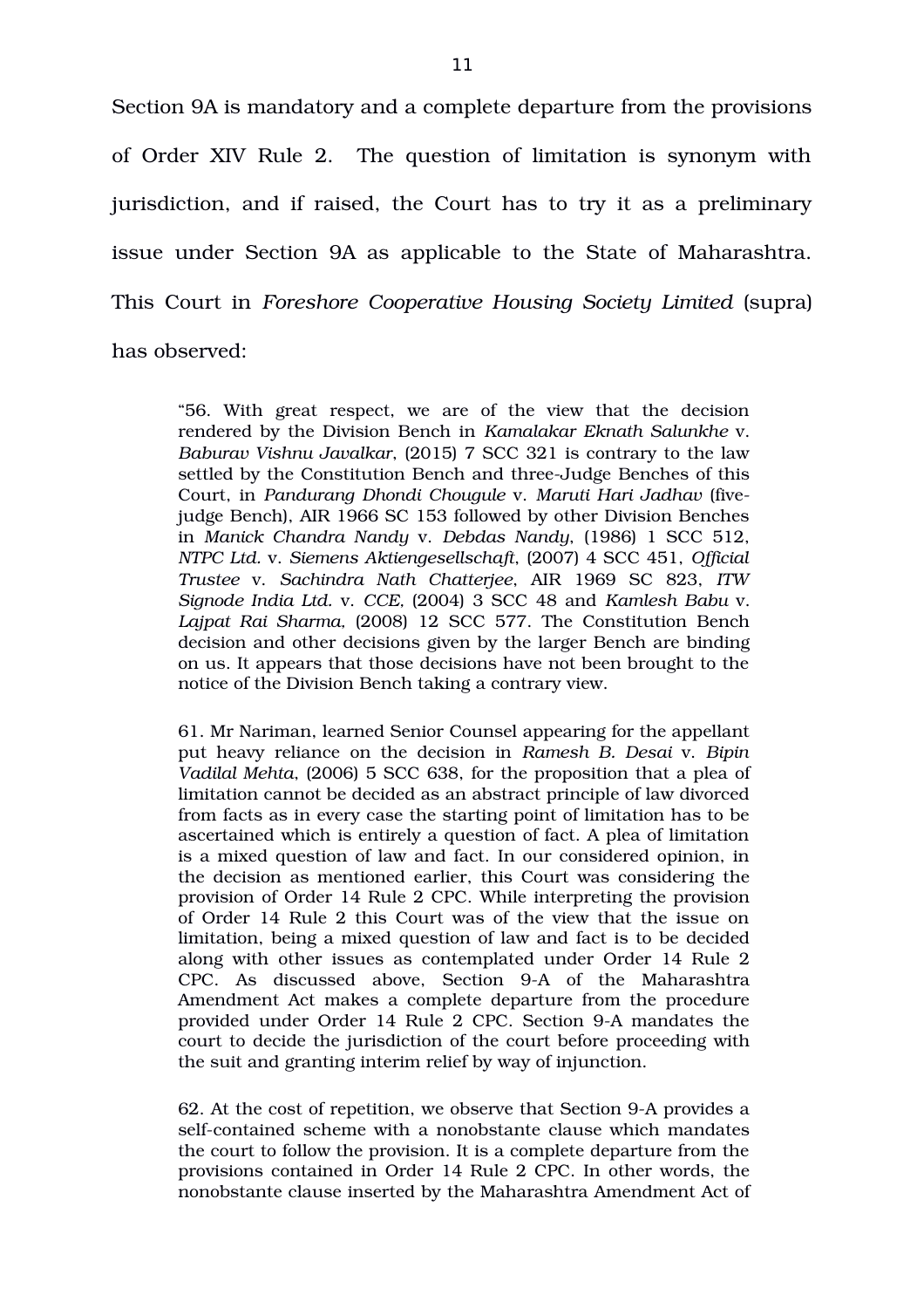Section 9A is mandatory and a complete departure from the provisions of Order XIV Rule 2. The question of limitation is synonym with jurisdiction, and if raised, the Court has to try it as a preliminary issue under Section 9A as applicable to the State of Maharashtra. This Court in *Foreshore Cooperative Housing Society Limited* (supra) has observed:

"56. With great respect, we are of the view that the decision rendered by the Division Bench in *Kamalakar Eknath Salunkhe* v. *Baburav Vishnu Javalkar*, (2015) 7 SCC 321 is contrary to the law settled by the Constitution Bench and three-Judge Benches of this Court, in *Pandurang Dhondi Chougule* v. *Maruti Hari Jadhav* (fivejudge Bench), AIR 1966 SC 153 followed by other Division Benches in *Manick Chandra Nandy* v. *Debdas Nandy*, (1986) 1 SCC 512, *NTPC Ltd.* v. *Siemens Aktiengesellschaft*, (2007) 4 SCC 451, *Official Trustee* v. *Sachindra Nath Chatterjee*, AIR 1969 SC 823, *ITW Signode India Ltd.* v. *CCE,* (2004) 3 SCC 48 and *Kamlesh Babu* v. Lajpat Rai Sharma, (2008) 12 SCC 577. The Constitution Bench decision and other decisions given by the larger Bench are binding on us. It appears that those decisions have not been brought to the notice of the Division Bench taking a contrary view.

61. Mr Nariman, learned Senior Counsel appearing for the appellant put heavy reliance on the decision in *Ramesh B. Desai* v. *Bipin Vadilal Mehta*, (2006) 5 SCC 638, for the proposition that a plea of limitation cannot be decided as an abstract principle of law divorced from facts as in every case the starting point of limitation has to be ascertained which is entirely a question of fact. A plea of limitation is a mixed question of law and fact. In our considered opinion, in the decision as mentioned earlier, this Court was considering the provision of Order 14 Rule 2 CPC. While interpreting the provision of Order 14 Rule 2 this Court was of the view that the issue on limitation, being a mixed question of law and fact is to be decided along with other issues as contemplated under Order 14 Rule 2 CPC. As discussed above, Section 9A of the Maharashtra Amendment Act makes a complete departure from the procedure provided under Order 14 Rule 2 CPC. Section 9A mandates the court to decide the jurisdiction of the court before proceeding with the suit and granting interim relief by way of injunction.

62. At the cost of repetition, we observe that Section 9-A provides a self-contained scheme with a nonobstante clause which mandates the court to follow the provision. It is a complete departure from the provisions contained in Order 14 Rule 2 CPC. In other words, the nonobstante clause inserted by the Maharashtra Amendment Act of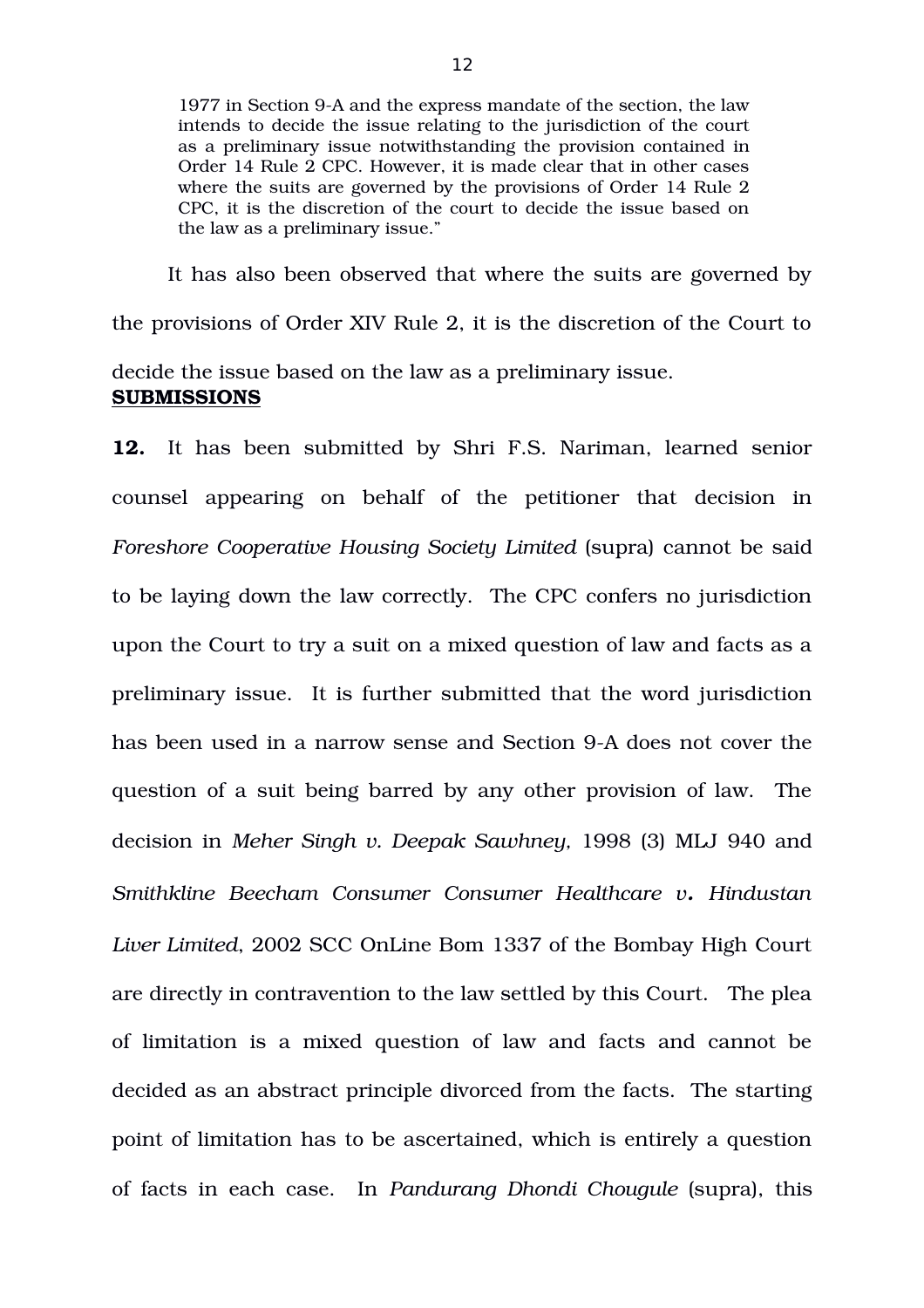1977 in Section 9A and the express mandate of the section, the law intends to decide the issue relating to the jurisdiction of the court as a preliminary issue notwithstanding the provision contained in Order 14 Rule 2 CPC. However, it is made clear that in other cases where the suits are governed by the provisions of Order 14 Rule 2 CPC, it is the discretion of the court to decide the issue based on the law as a preliminary issue."

It has also been observed that where the suits are governed by the provisions of Order XIV Rule 2, it is the discretion of the Court to decide the issue based on the law as a preliminary issue. **SUBMISSIONS**

**12.** It has been submitted by Shri F.S. Nariman, learned senior counsel appearing on behalf of the petitioner that decision in *Foreshore Cooperative Housing Society Limited* (supra) cannot be said to be laying down the law correctly. The CPC confers no jurisdiction upon the Court to try a suit on a mixed question of law and facts as a preliminary issue. It is further submitted that the word jurisdiction has been used in a narrow sense and Section 9-A does not cover the question of a suit being barred by any other provision of law. The decision in *Meher Singh v. Deepak Sawhney,* 1998 (3) MLJ 940 and *Smithkline Beecham Consumer Consumer Healthcare v. Hindustan Liver Limited*, 2002 SCC OnLine Bom 1337 of the Bombay High Court are directly in contravention to the law settled by this Court. The plea of limitation is a mixed question of law and facts and cannot be decided as an abstract principle divorced from the facts. The starting point of limitation has to be ascertained, which is entirely a question of facts in each case. In *Pandurang Dhondi Chougule* (supra), this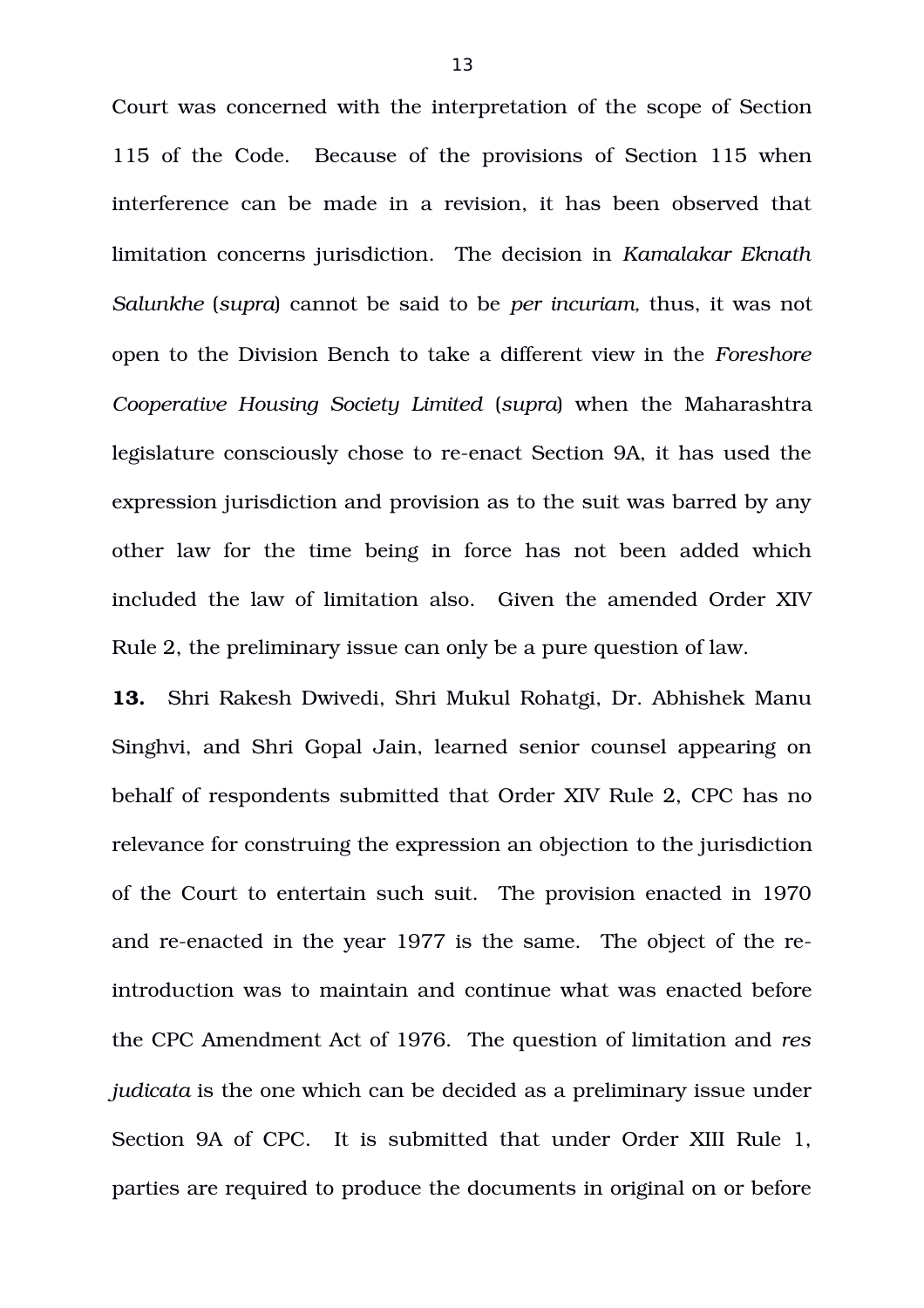Court was concerned with the interpretation of the scope of Section 115 of the Code. Because of the provisions of Section 115 when interference can be made in a revision, it has been observed that limitation concerns jurisdiction. The decision in *Kamalakar Eknath Salunkhe* (*supra*) cannot be said to be *per incuriam,* thus, it was not open to the Division Bench to take a different view in the *Foreshore Cooperative Housing Society Limited* (*supra*) when the Maharashtra legislature consciously chose to re-enact Section 9A, it has used the expression jurisdiction and provision as to the suit was barred by any other law for the time being in force has not been added which included the law of limitation also. Given the amended Order XIV Rule 2, the preliminary issue can only be a pure question of law.

**13.** Shri Rakesh Dwivedi, Shri Mukul Rohatgi, Dr. Abhishek Manu Singhvi, and Shri Gopal Jain, learned senior counsel appearing on behalf of respondents submitted that Order XIV Rule 2, CPC has no relevance for construing the expression an objection to the jurisdiction of the Court to entertain such suit. The provision enacted in 1970 and re-enacted in the year 1977 is the same. The object of the reintroduction was to maintain and continue what was enacted before the CPC Amendment Act of 1976. The question of limitation and *res judicata* is the one which can be decided as a preliminary issue under Section 9A of CPC. It is submitted that under Order XIII Rule 1, parties are required to produce the documents in original on or before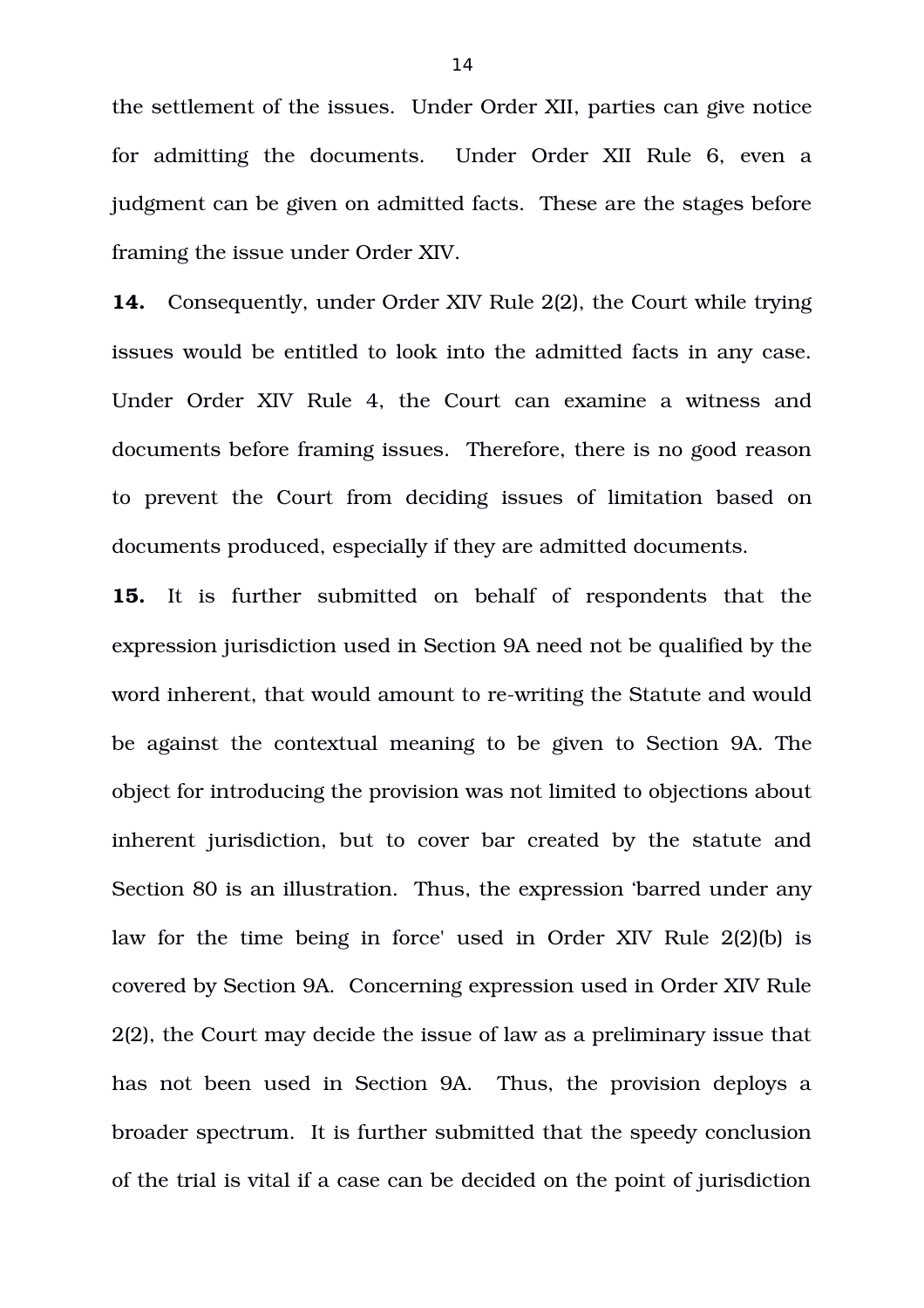the settlement of the issues. Under Order XII, parties can give notice for admitting the documents. Under Order XII Rule 6, even a judgment can be given on admitted facts. These are the stages before framing the issue under Order XIV.

**14.** Consequently, under Order XIV Rule 2(2), the Court while trying issues would be entitled to look into the admitted facts in any case. Under Order XIV Rule 4, the Court can examine a witness and documents before framing issues. Therefore, there is no good reason to prevent the Court from deciding issues of limitation based on documents produced, especially if they are admitted documents.

**15.** It is further submitted on behalf of respondents that the expression jurisdiction used in Section 9A need not be qualified by the word inherent, that would amount to re-writing the Statute and would be against the contextual meaning to be given to Section 9A. The object for introducing the provision was not limited to objections about inherent jurisdiction, but to cover bar created by the statute and Section 80 is an illustration. Thus, the expression 'barred under any law for the time being in force' used in Order XIV Rule 2(2)(b) is covered by Section 9A. Concerning expression used in Order XIV Rule 2(2), the Court may decide the issue of law as a preliminary issue that has not been used in Section 9A. Thus, the provision deploys a broader spectrum. It is further submitted that the speedy conclusion of the trial is vital if a case can be decided on the point of jurisdiction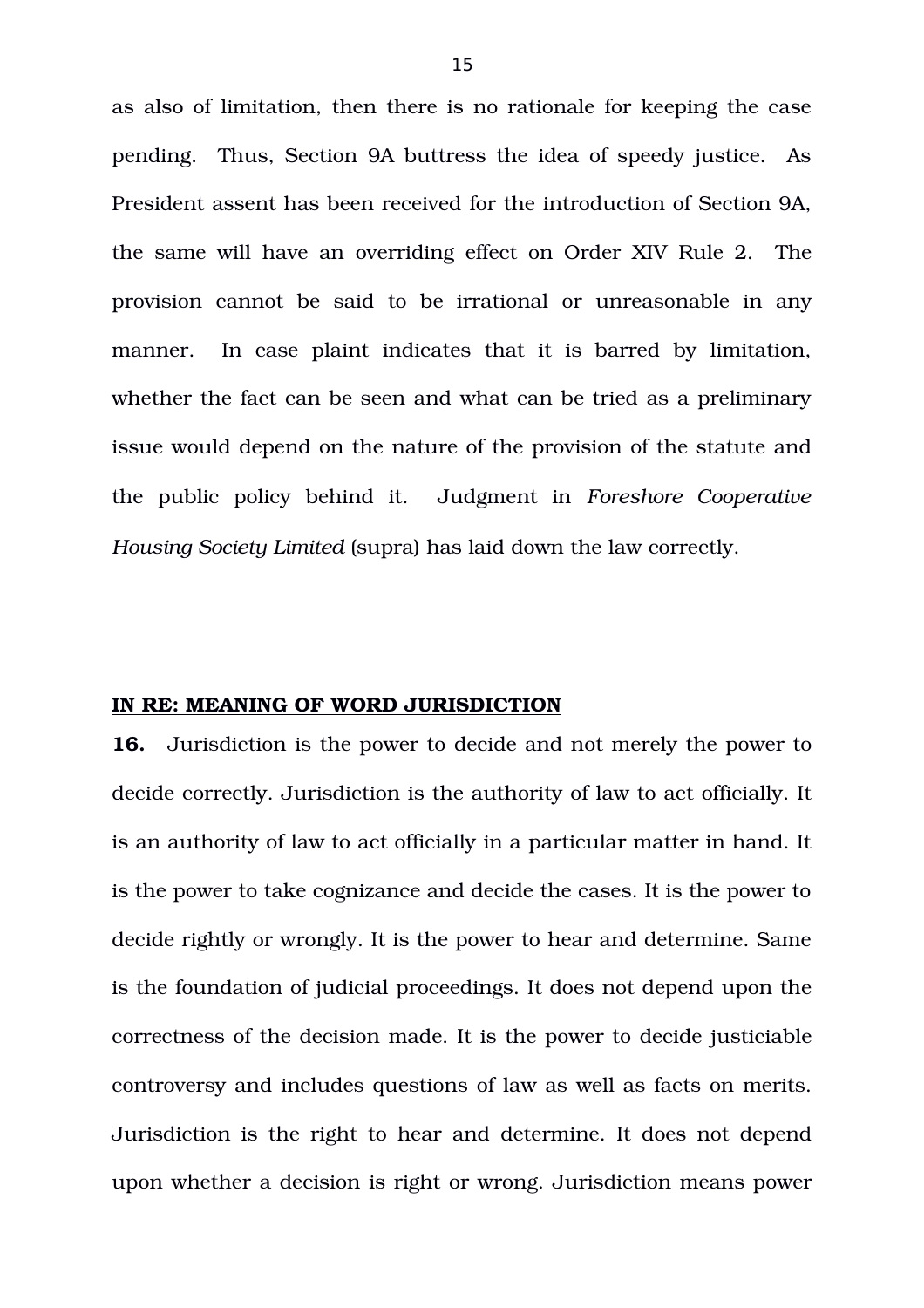as also of limitation, then there is no rationale for keeping the case pending. Thus, Section 9A buttress the idea of speedy justice. As President assent has been received for the introduction of Section 9A, the same will have an overriding effect on Order XIV Rule 2. The provision cannot be said to be irrational or unreasonable in any manner. In case plaint indicates that it is barred by limitation, whether the fact can be seen and what can be tried as a preliminary issue would depend on the nature of the provision of the statute and the public policy behind it. Judgment in *Foreshore Cooperative Housing Society Limited* (supra) has laid down the law correctly.

## **IN RE: MEANING OF WORD JURISDICTION**

**16.** Jurisdiction is the power to decide and not merely the power to decide correctly. Jurisdiction is the authority of law to act officially. It is an authority of law to act officially in a particular matter in hand. It is the power to take cognizance and decide the cases. It is the power to decide rightly or wrongly. It is the power to hear and determine. Same is the foundation of judicial proceedings. It does not depend upon the correctness of the decision made. It is the power to decide justiciable controversy and includes questions of law as well as facts on merits. Jurisdiction is the right to hear and determine. It does not depend upon whether a decision is right or wrong. Jurisdiction means power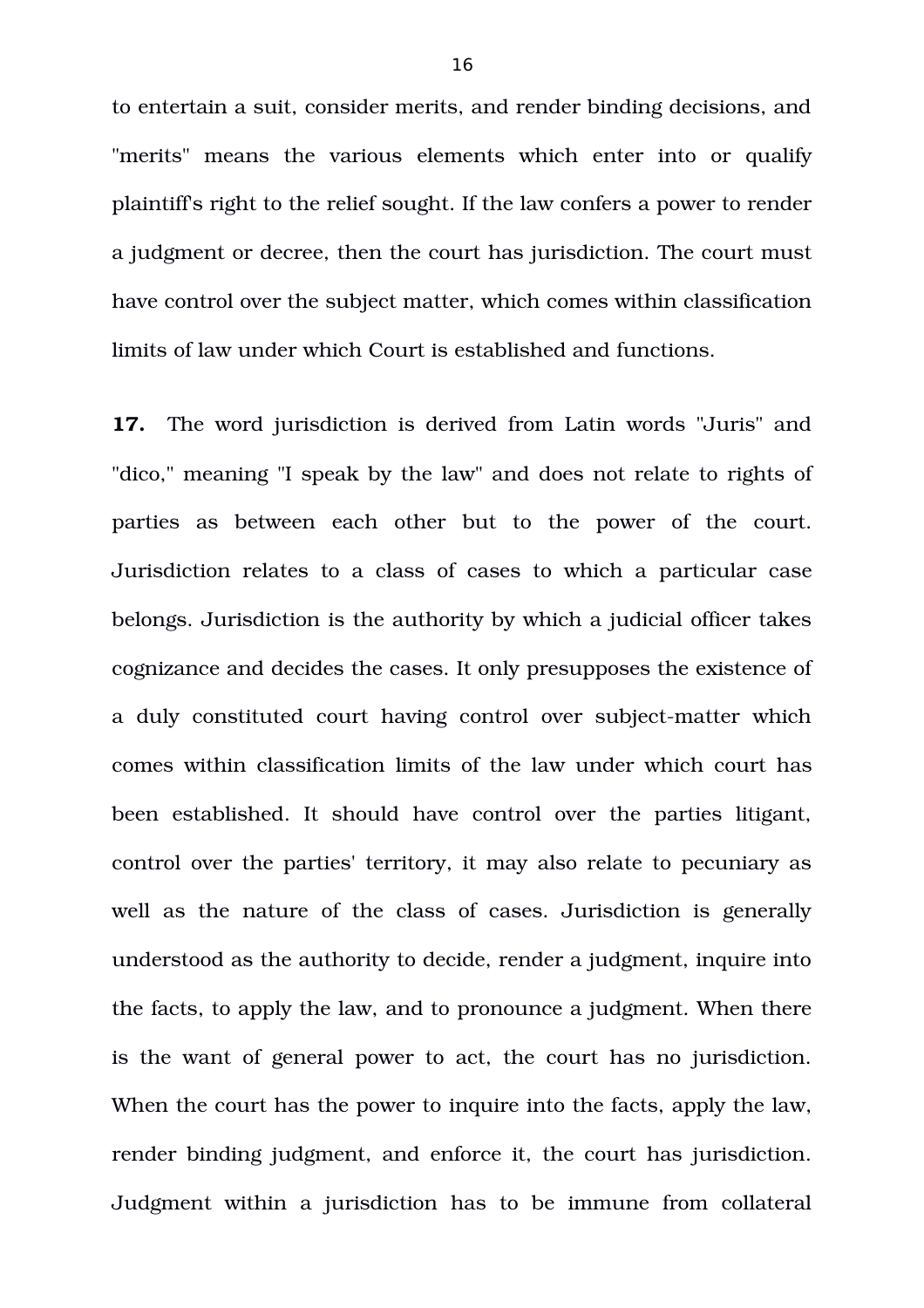to entertain a suit, consider merits, and render binding decisions, and "merits" means the various elements which enter into or qualify plaintiff's right to the relief sought. If the law confers a power to render a judgment or decree, then the court has jurisdiction. The court must have control over the subject matter, which comes within classification limits of law under which Court is established and functions.

**17.** The word jurisdiction is derived from Latin words "Juris" and "dico," meaning "I speak by the law" and does not relate to rights of parties as between each other but to the power of the court. Jurisdiction relates to a class of cases to which a particular case belongs. Jurisdiction is the authority by which a judicial officer takes cognizance and decides the cases. It only presupposes the existence of a duly constituted court having control over subject-matter which comes within classification limits of the law under which court has been established. It should have control over the parties litigant, control over the parties' territory, it may also relate to pecuniary as well as the nature of the class of cases. Jurisdiction is generally understood as the authority to decide, render a judgment, inquire into the facts, to apply the law, and to pronounce a judgment. When there is the want of general power to act, the court has no jurisdiction. When the court has the power to inquire into the facts, apply the law, render binding judgment, and enforce it, the court has jurisdiction. Judgment within a jurisdiction has to be immune from collateral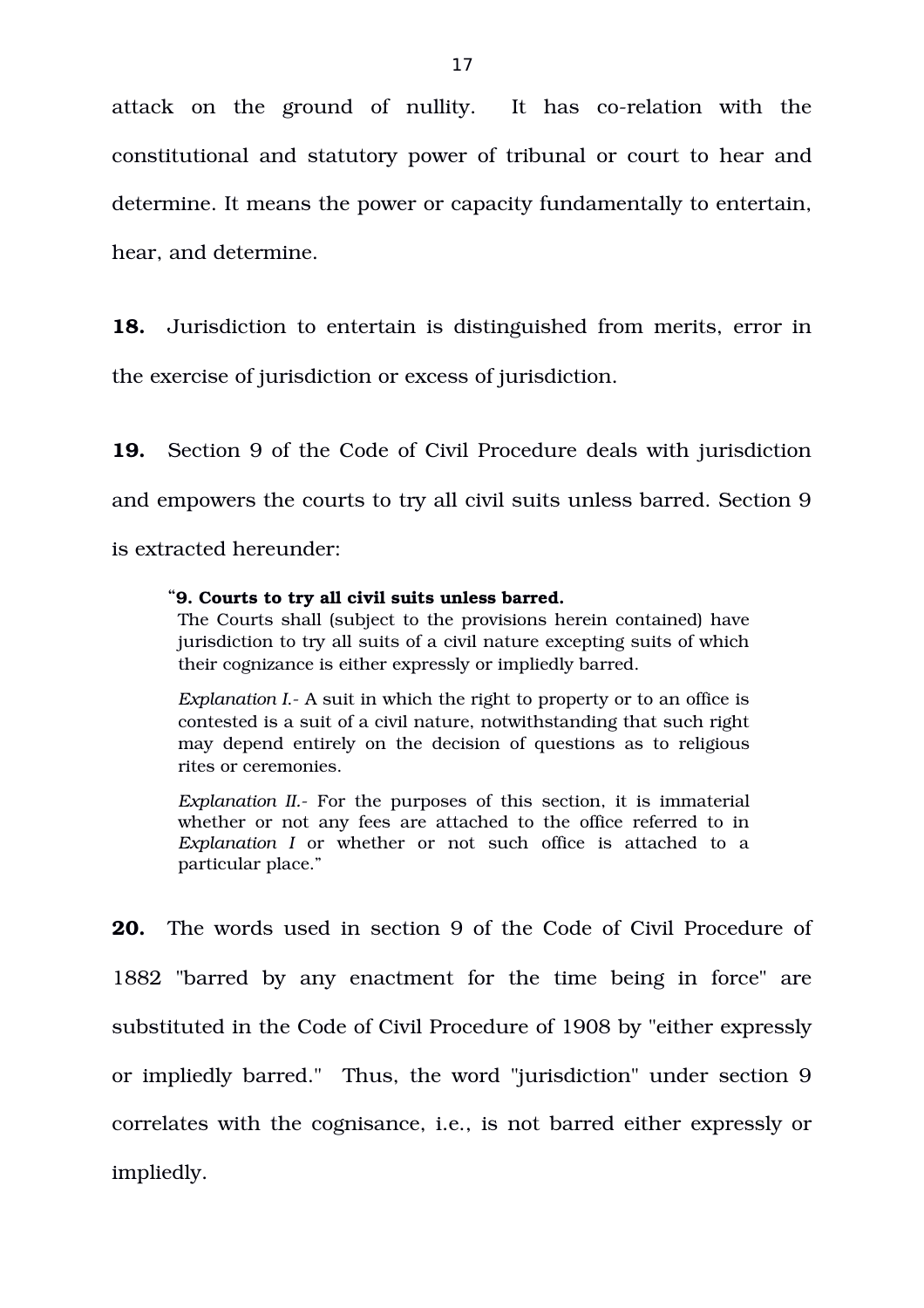attack on the ground of nullity. It has co-relation with the constitutional and statutory power of tribunal or court to hear and determine. It means the power or capacity fundamentally to entertain, hear, and determine.

**18.** Jurisdiction to entertain is distinguished from merits, error in the exercise of jurisdiction or excess of jurisdiction.

**19.** Section 9 of the Code of Civil Procedure deals with jurisdiction and empowers the courts to try all civil suits unless barred. Section 9 is extracted hereunder:

#### "**9. Courts to try all civil suits unless barred.**

The Courts shall (subject to the provisions herein contained) have jurisdiction to try all suits of a civil nature excepting suits of which their cognizance is either expressly or impliedly barred.

*Explanation I*. A suit in which the right to property or to an office is contested is a suit of a civil nature, notwithstanding that such right may depend entirely on the decision of questions as to religious rites or ceremonies.

*Explanation II.* For the purposes of this section, it is immaterial whether or not any fees are attached to the office referred to in *Explanation I* or whether or not such office is attached to a particular place."

**20.** The words used in section 9 of the Code of Civil Procedure of 1882 "barred by any enactment for the time being in force" are substituted in the Code of Civil Procedure of 1908 by "either expressly or impliedly barred." Thus, the word "jurisdiction" under section 9 correlates with the cognisance, i.e., is not barred either expressly or impliedly.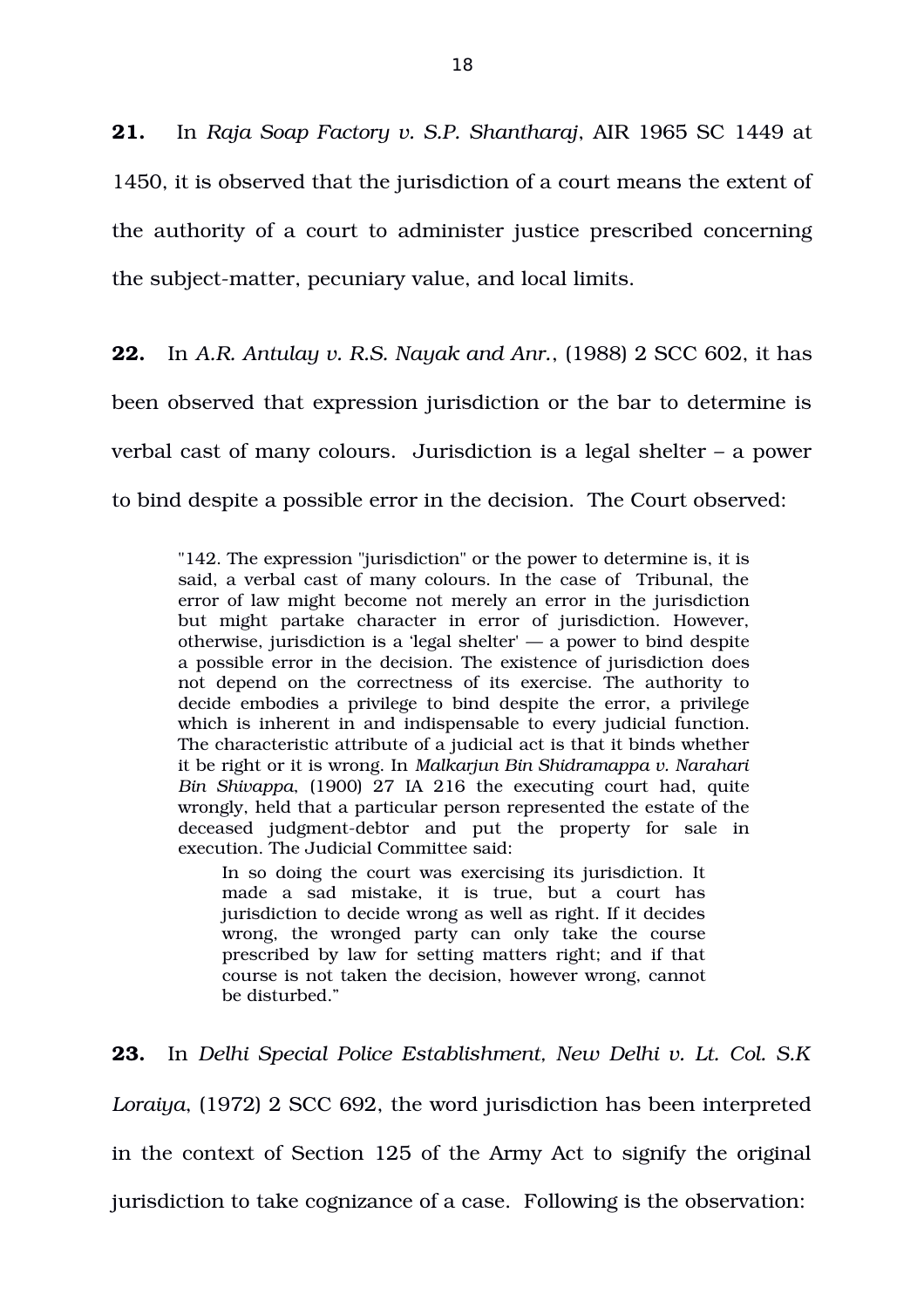**21.** In *Raja Soap Factory v. S.P. Shantharaj*, AIR 1965 SC 1449 at 1450, it is observed that the jurisdiction of a court means the extent of the authority of a court to administer justice prescribed concerning the subject-matter, pecuniary value, and local limits.

**22.** In *A.R. Antulay v. R.S. Nayak and Anr.*, (1988) 2 SCC 602, it has been observed that expression jurisdiction or the bar to determine is verbal cast of many colours. Jurisdiction is a legal shelter – a power to bind despite a possible error in the decision. The Court observed:

"142. The expression "jurisdiction" or the power to determine is, it is said, a verbal cast of many colours. In the case of Tribunal, the error of law might become not merely an error in the jurisdiction but might partake character in error of jurisdiction. However, otherwise, jurisdiction is a 'legal shelter'  $-$  a power to bind despite a possible error in the decision. The existence of jurisdiction does not depend on the correctness of its exercise. The authority to decide embodies a privilege to bind despite the error, a privilege which is inherent in and indispensable to every judicial function. The characteristic attribute of a judicial act is that it binds whether it be right or it is wrong. In *Malkarjun Bin Shidramappa v. Narahari Bin Shivappa*, (1900) 27 IA 216 the executing court had, quite wrongly, held that a particular person represented the estate of the deceased judgment-debtor and put the property for sale in execution. The Judicial Committee said:

In so doing the court was exercising its jurisdiction. It made a sad mistake, it is true, but a court has jurisdiction to decide wrong as well as right. If it decides wrong, the wronged party can only take the course prescribed by law for setting matters right; and if that course is not taken the decision, however wrong, cannot be disturbed."

**23.** In *Delhi Special Police Establishment, New Delhi v. Lt. Col. S.K Loraiya*, (1972) 2 SCC 692, the word jurisdiction has been interpreted in the context of Section 125 of the Army Act to signify the original jurisdiction to take cognizance of a case. Following is the observation: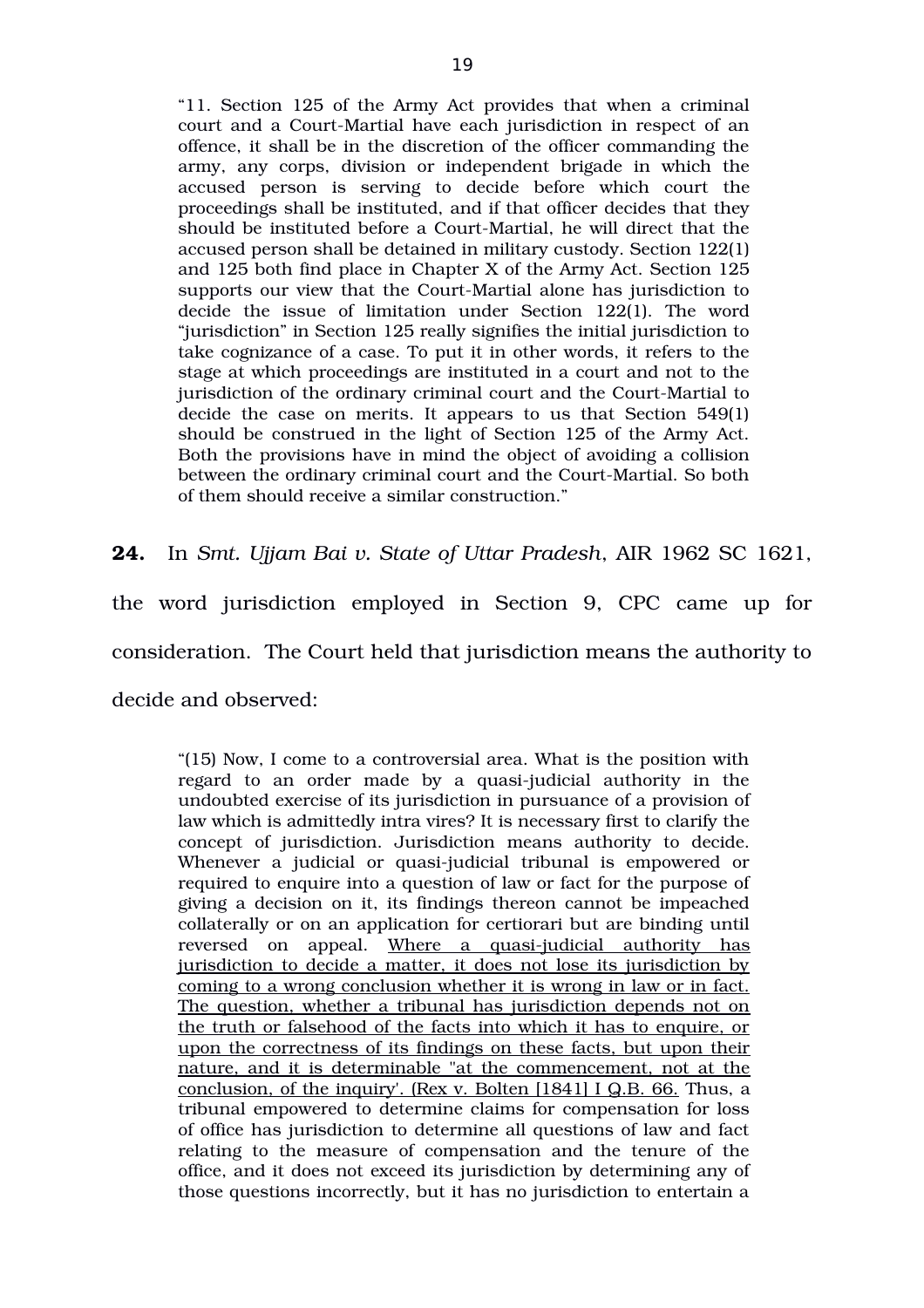"11. Section 125 of the Army Act provides that when a criminal court and a Court-Martial have each jurisdiction in respect of an offence, it shall be in the discretion of the officer commanding the army, any corps, division or independent brigade in which the accused person is serving to decide before which court the proceedings shall be instituted, and if that officer decides that they should be instituted before a Court-Martial, he will direct that the accused person shall be detained in military custody. Section 122(1) and 125 both find place in Chapter X of the Army Act. Section 125 supports our view that the Court-Martial alone has jurisdiction to decide the issue of limitation under Section  $122(1)$ . The word "jurisdiction" in Section 125 really signifies the initial jurisdiction to take cognizance of a case. To put it in other words, it refers to the stage at which proceedings are instituted in a court and not to the jurisdiction of the ordinary criminal court and the Court-Martial to decide the case on merits. It appears to us that Section 549(1) should be construed in the light of Section 125 of the Army Act. Both the provisions have in mind the object of avoiding a collision between the ordinary criminal court and the Court-Martial. So both of them should receive a similar construction."

**24.** In *Smt. Ujjam Bai v. State of Uttar Pradesh*, AIR 1962 SC 1621,

the word jurisdiction employed in Section 9, CPC came up for

consideration. The Court held that jurisdiction means the authority to

decide and observed:

"(15) Now, I come to a controversial area. What is the position with regard to an order made by a quasi-judicial authority in the undoubted exercise of its jurisdiction in pursuance of a provision of law which is admittedly intra vires? It is necessary first to clarify the concept of jurisdiction. Jurisdiction means authority to decide. Whenever a judicial or quasi-judicial tribunal is empowered or required to enquire into a question of law or fact for the purpose of giving a decision on it, its findings thereon cannot be impeached collaterally or on an application for certiorari but are binding until reversed on appeal. Where a quasi-judicial authority has jurisdiction to decide a matter, it does not lose its jurisdiction by coming to a wrong conclusion whether it is wrong in law or in fact. The question, whether a tribunal has jurisdiction depends not on the truth or falsehood of the facts into which it has to enquire, or upon the correctness of its findings on these facts, but upon their nature, and it is determinable "at the commencement, not at the conclusion, of the inquiry'. (Rex v. Bolten [1841] I Q.B. 66. Thus, a tribunal empowered to determine claims for compensation for loss of office has jurisdiction to determine all questions of law and fact relating to the measure of compensation and the tenure of the office, and it does not exceed its jurisdiction by determining any of those questions incorrectly, but it has no jurisdiction to entertain a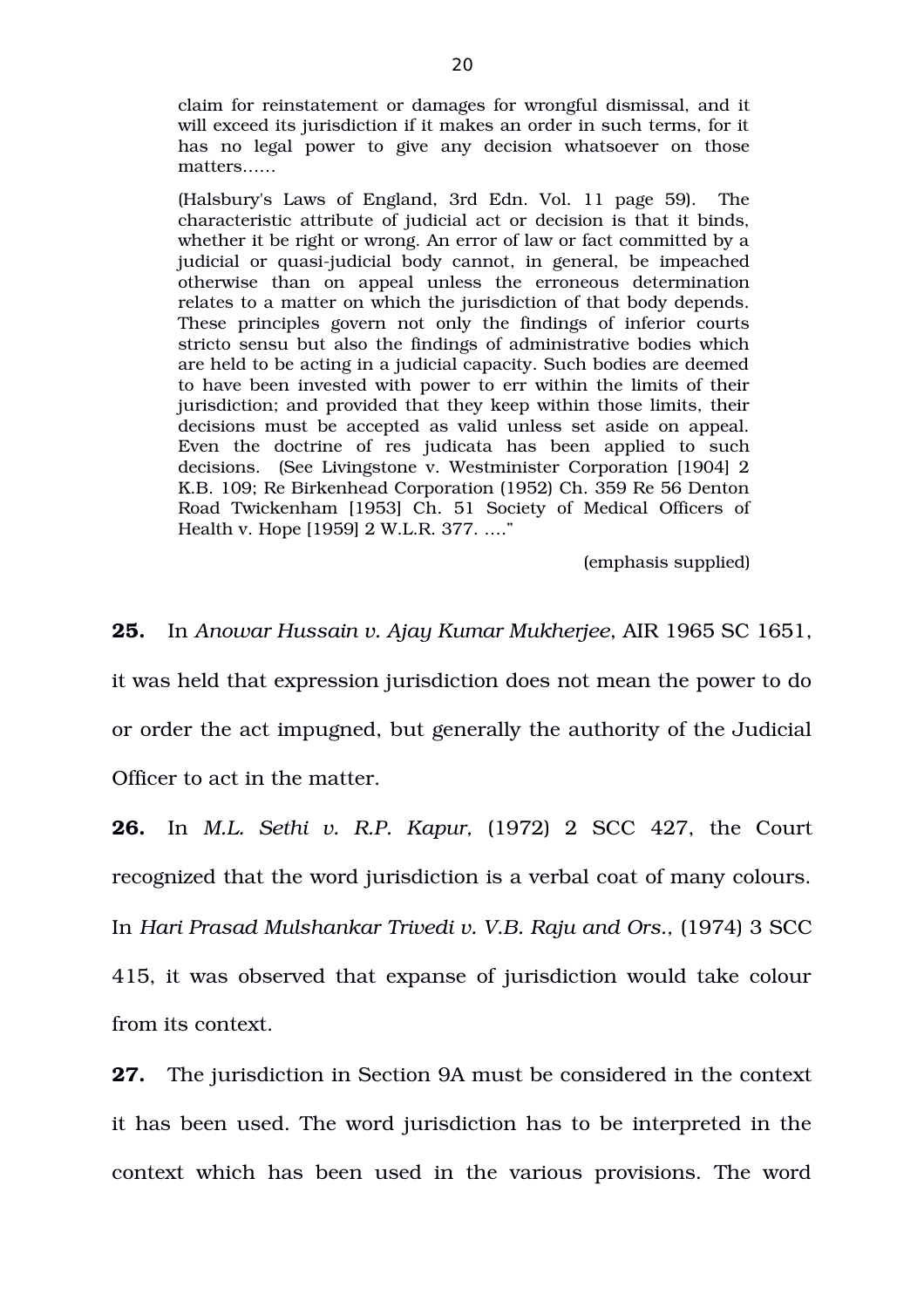claim for reinstatement or damages for wrongful dismissal, and it will exceed its jurisdiction if it makes an order in such terms, for it has no legal power to give any decision whatsoever on those matters……

(Halsbury's Laws of England, 3rd Edn. Vol. 11 page 59). The characteristic attribute of judicial act or decision is that it binds, whether it be right or wrong. An error of law or fact committed by a judicial or quasi-judicial body cannot, in general, be impeached otherwise than on appeal unless the erroneous determination relates to a matter on which the jurisdiction of that body depends. These principles govern not only the findings of inferior courts stricto sensu but also the findings of administrative bodies which are held to be acting in a judicial capacity. Such bodies are deemed to have been invested with power to err within the limits of their jurisdiction; and provided that they keep within those limits, their decisions must be accepted as valid unless set aside on appeal. Even the doctrine of res judicata has been applied to such decisions. (See Livingstone v. Westminister Corporation [1904] 2 K.B. 109; Re Birkenhead Corporation (1952) Ch. 359 Re 56 Denton Road Twickenham [1953] Ch. 51 Society of Medical Officers of Health v. Hope [1959] 2 W.L.R. 377. …."

(emphasis supplied)

**25.** In *Anowar Hussain v. Ajay Kumar Mukherjee*, AIR 1965 SC 1651, it was held that expression jurisdiction does not mean the power to do or order the act impugned, but generally the authority of the Judicial Officer to act in the matter.

**26.** In *M.L. Sethi v. R.P. Kapur,* (1972) 2 SCC 427, the Court recognized that the word jurisdiction is a verbal coat of many colours. In *Hari Prasad Mulshankar Trivedi v. V.B. Raju and Ors.,* (1974) 3 SCC 415, it was observed that expanse of jurisdiction would take colour from its context.

**27.** The jurisdiction in Section 9A must be considered in the context it has been used. The word jurisdiction has to be interpreted in the context which has been used in the various provisions. The word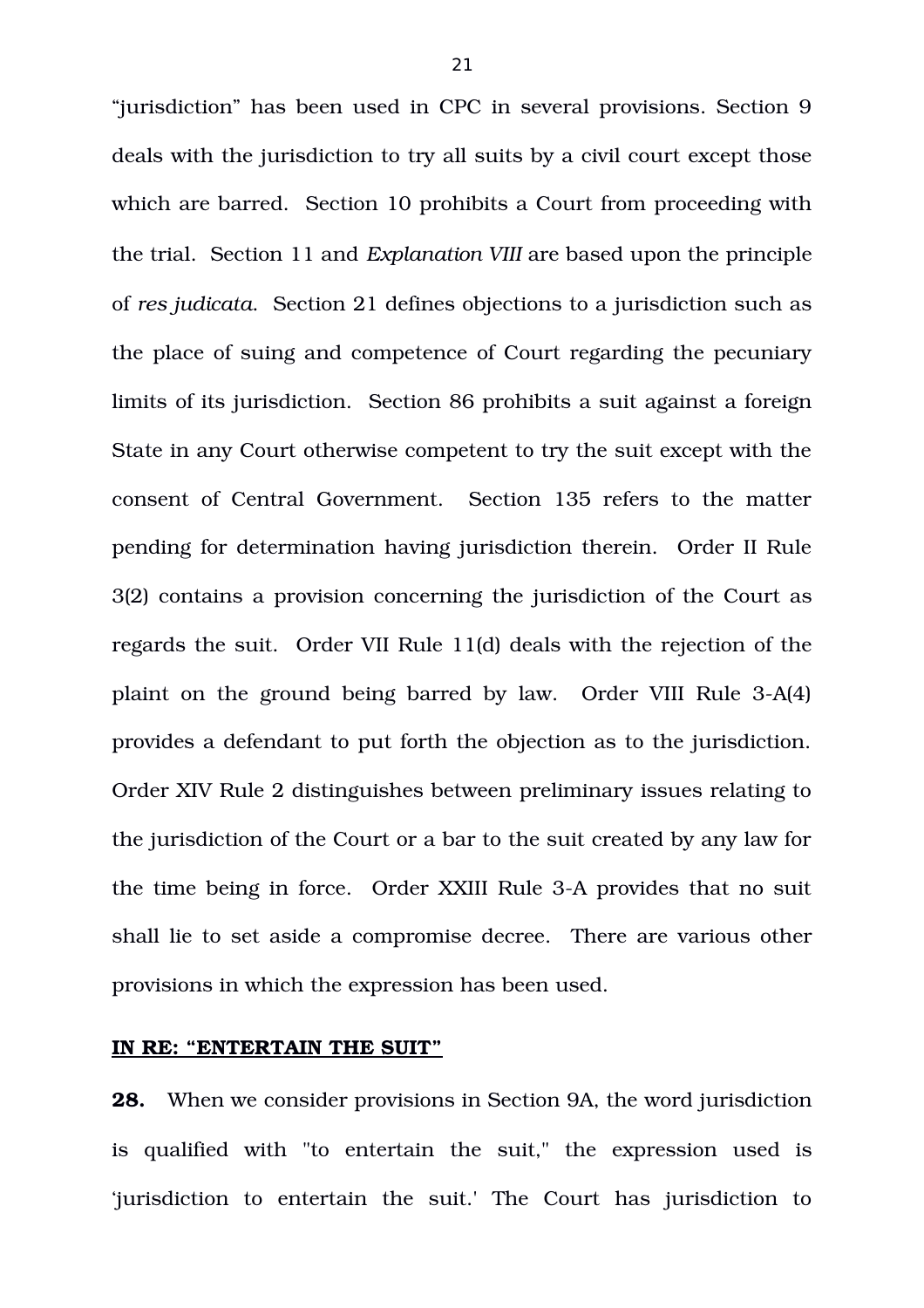"jurisdiction" has been used in CPC in several provisions. Section 9 deals with the jurisdiction to try all suits by a civil court except those which are barred. Section 10 prohibits a Court from proceeding with the trial. Section 11 and *Explanation VIII* are based upon the principle of *res judicata*. Section 21 defines objections to a jurisdiction such as the place of suing and competence of Court regarding the pecuniary limits of its jurisdiction. Section 86 prohibits a suit against a foreign State in any Court otherwise competent to try the suit except with the consent of Central Government. Section 135 refers to the matter pending for determination having jurisdiction therein. Order II Rule 3(2) contains a provision concerning the jurisdiction of the Court as regards the suit. Order VII Rule 11(d) deals with the rejection of the plaint on the ground being barred by law. Order VIII Rule 3-A(4) provides a defendant to put forth the objection as to the jurisdiction. Order XIV Rule 2 distinguishes between preliminary issues relating to the jurisdiction of the Court or a bar to the suit created by any law for the time being in force. Order XXIII Rule 3-A provides that no suit shall lie to set aside a compromise decree. There are various other provisions in which the expression has been used.

#### **IN RE: "ENTERTAIN THE SUIT"**

**28.** When we consider provisions in Section 9A, the word jurisdiction is qualified with "to entertain the suit," the expression used is 'jurisdiction to entertain the suit.' The Court has jurisdiction to

21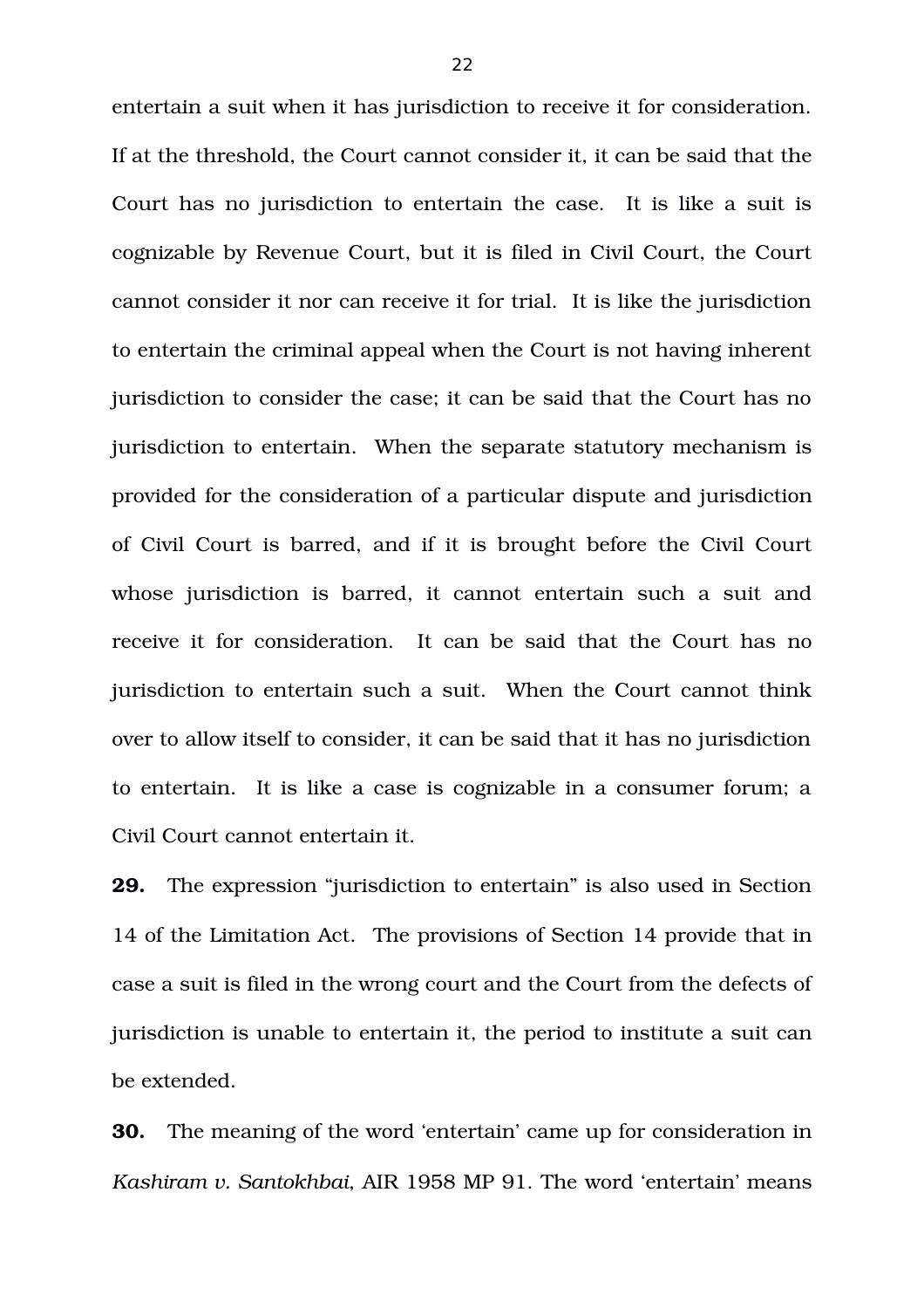entertain a suit when it has jurisdiction to receive it for consideration. If at the threshold, the Court cannot consider it, it can be said that the Court has no jurisdiction to entertain the case. It is like a suit is cognizable by Revenue Court, but it is filed in Civil Court, the Court cannot consider it nor can receive it for trial. It is like the jurisdiction to entertain the criminal appeal when the Court is not having inherent jurisdiction to consider the case; it can be said that the Court has no jurisdiction to entertain. When the separate statutory mechanism is provided for the consideration of a particular dispute and jurisdiction of Civil Court is barred, and if it is brought before the Civil Court whose jurisdiction is barred, it cannot entertain such a suit and receive it for consideration. It can be said that the Court has no jurisdiction to entertain such a suit. When the Court cannot think over to allow itself to consider, it can be said that it has no jurisdiction to entertain. It is like a case is cognizable in a consumer forum; a Civil Court cannot entertain it.

**29.** The expression "jurisdiction to entertain" is also used in Section 14 of the Limitation Act.The provisions of Section 14 provide that in case a suit is filed in the wrong court and the Court from the defects of jurisdiction is unable to entertain it, the period to institute a suit can be extended.

**30.** The meaning of the word 'entertain' came up for consideration in *Kashiram v. Santokhbai*, AIR 1958 MP 91. The word 'entertain' means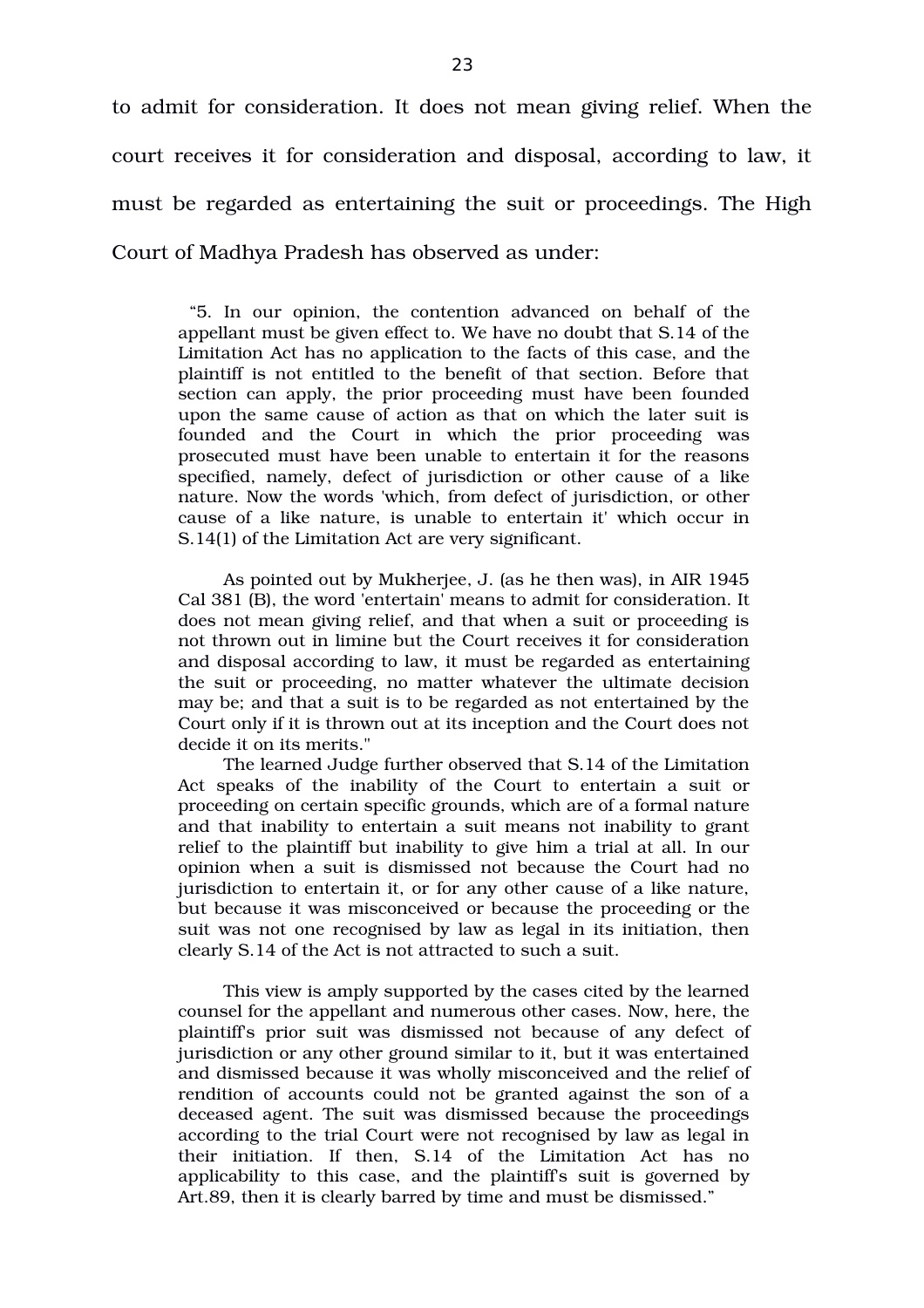to admit for consideration. It does not mean giving relief. When the court receives it for consideration and disposal, according to law, it must be regarded as entertaining the suit or proceedings. The High Court of Madhya Pradesh has observed as under:

"5. In our opinion, the contention advanced on behalf of the appellant must be given effect to. We have no doubt that S.14 of the Limitation Act has no application to the facts of this case, and the plaintiff is not entitled to the benefit of that section. Before that section can apply, the prior proceeding must have been founded upon the same cause of action as that on which the later suit is founded and the Court in which the prior proceeding was prosecuted must have been unable to entertain it for the reasons specified, namely, defect of jurisdiction or other cause of a like nature. Now the words 'which, from defect of jurisdiction, or other cause of a like nature, is unable to entertain it' which occur in S.14(1) of the Limitation Act are very significant.

As pointed out by Mukherjee, J. (as he then was), in AIR 1945 Cal 381 (B), the word 'entertain' means to admit for consideration. It does not mean giving relief, and that when a suit or proceeding is not thrown out in limine but the Court receives it for consideration and disposal according to law, it must be regarded as entertaining the suit or proceeding, no matter whatever the ultimate decision may be; and that a suit is to be regarded as not entertained by the Court only if it is thrown out at its inception and the Court does not decide it on its merits."

The learned Judge further observed that S.14 of the Limitation Act speaks of the inability of the Court to entertain a suit or proceeding on certain specific grounds, which are of a formal nature and that inability to entertain a suit means not inability to grant relief to the plaintiff but inability to give him a trial at all. In our opinion when a suit is dismissed not because the Court had no jurisdiction to entertain it, or for any other cause of a like nature, but because it was misconceived or because the proceeding or the suit was not one recognised by law as legal in its initiation, then clearly S.14 of the Act is not attracted to such a suit.

This view is amply supported by the cases cited by the learned counsel for the appellant and numerous other cases. Now, here, the plaintiff's prior suit was dismissed not because of any defect of jurisdiction or any other ground similar to it, but it was entertained and dismissed because it was wholly misconceived and the relief of rendition of accounts could not be granted against the son of a deceased agent. The suit was dismissed because the proceedings according to the trial Court were not recognised by law as legal in their initiation. If then, S.14 of the Limitation Act has no applicability to this case, and the plaintiff's suit is governed by Art.89, then it is clearly barred by time and must be dismissed."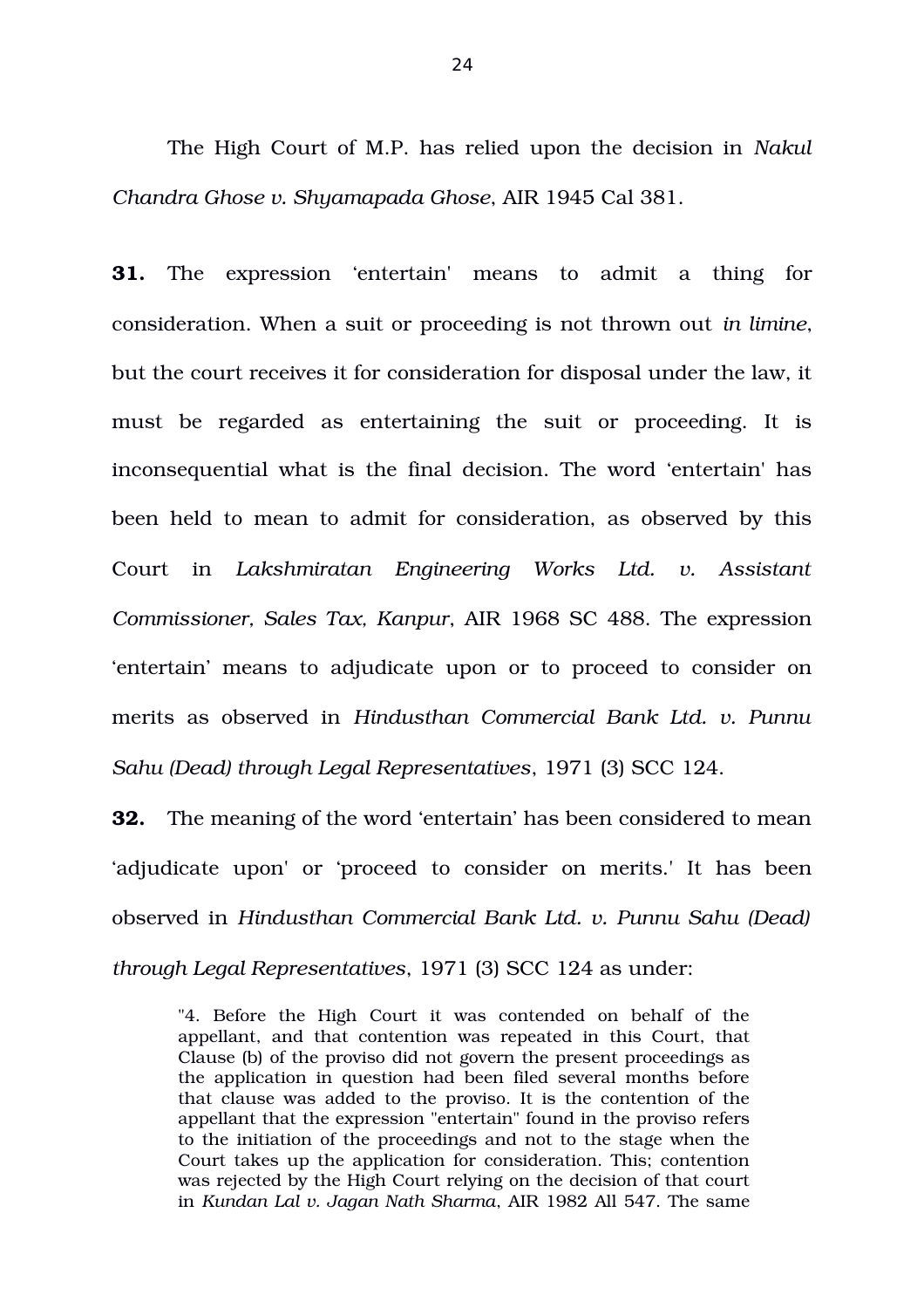The High Court of M.P. has relied upon the decision in *Nakul Chandra Ghose v. Shyamapada Ghose*, AIR 1945 Cal 381.

**31.** The expression 'entertain' means to admit a thing for consideration. When a suit or proceeding is not thrown out *in limine*, but the court receives it for consideration for disposal under the law, it must be regarded as entertaining the suit or proceeding. It is inconsequential what is the final decision. The word 'entertain' has been held to mean to admit for consideration, as observed by this Court in *Lakshmiratan Engineering Works Ltd. v. Assistant Commissioner, Sales Tax, Kanpur*, AIR 1968 SC 488. The expression 'entertain' means to adjudicate upon or to proceed to consider on merits as observed in *Hindusthan Commercial Bank Ltd. v. Punnu Sahu (Dead) through Legal Representatives*, 1971 (3) SCC 124.

**32.** The meaning of the word 'entertain' has been considered to mean 'adjudicate upon' or 'proceed to consider on merits.' It has been observed in *Hindusthan Commercial Bank Ltd. v. Punnu Sahu (Dead) through Legal Representatives*, 1971 (3) SCC 124 as under:

"4. Before the High Court it was contended on behalf of the appellant, and that contention was repeated in this Court, that Clause (b) of the proviso did not govern the present proceedings as the application in question had been filed several months before that clause was added to the proviso. It is the contention of the appellant that the expression "entertain" found in the proviso refers to the initiation of the proceedings and not to the stage when the Court takes up the application for consideration. This; contention was rejected by the High Court relying on the decision of that court in *Kundan Lal v. Jagan Nath Sharma*, AIR 1982 All 547. The same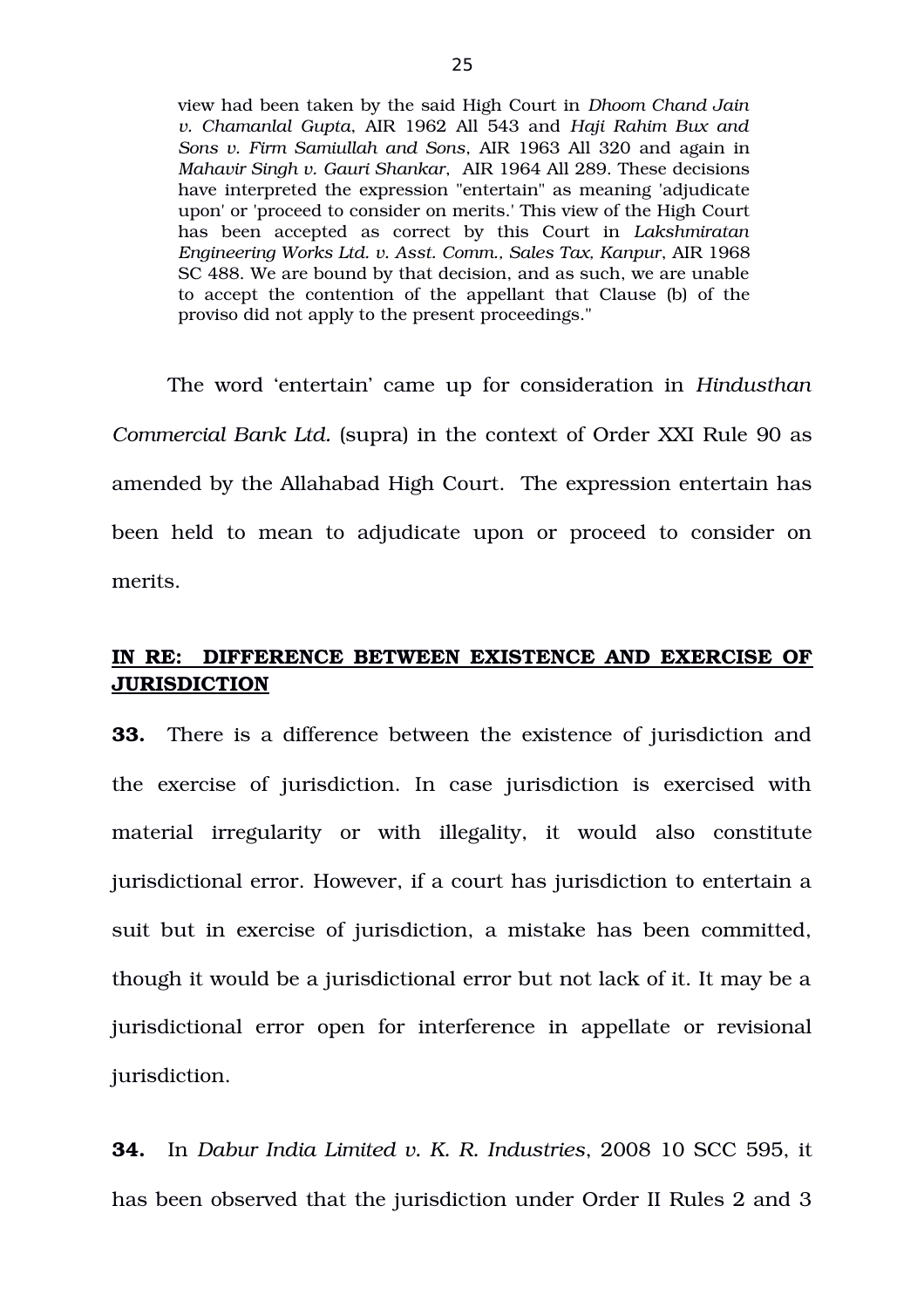view had been taken by the said High Court in *Dhoom Chand Jain v. Chamanlal Gupta*, AIR 1962 All 543 and *Haji Rahim Bux and Sons v. Firm Samiullah and Sons*, AIR 1963 All 320 and again in *Mahavir Singh v. Gauri Shankar*, AIR 1964 All 289. These decisions have interpreted the expression "entertain" as meaning 'adjudicate upon' or 'proceed to consider on merits.' This view of the High Court has been accepted as correct by this Court in *Lakshmiratan Engineering Works Ltd. v. Asst. Comm., Sales Tax, Kanpur*, AIR 1968 SC 488. We are bound by that decision, and as such, we are unable to accept the contention of the appellant that Clause (b) of the proviso did not apply to the present proceedings."

The word 'entertain' came up for consideration in *Hindusthan Commercial Bank Ltd.* (supra) in the context of Order XXI Rule 90 as amended by the Allahabad High Court. The expression entertain has been held to mean to adjudicate upon or proceed to consider on merits.

# **IN RE: DIFFERENCE BETWEEN EXISTENCE AND EXERCISE OF JURISDICTION**

**33.** There is a difference between the existence of jurisdiction and the exercise of jurisdiction. In case jurisdiction is exercised with material irregularity or with illegality, it would also constitute jurisdictional error. However, if a court has jurisdiction to entertain a suit but in exercise of jurisdiction, a mistake has been committed, though it would be a jurisdictional error but not lack of it. It may be a jurisdictional error open for interference in appellate or revisional jurisdiction.

**34.** In *Dabur India Limited v. K. R. Industries*, 2008 10 SCC 595, it has been observed that the jurisdiction under Order II Rules 2 and 3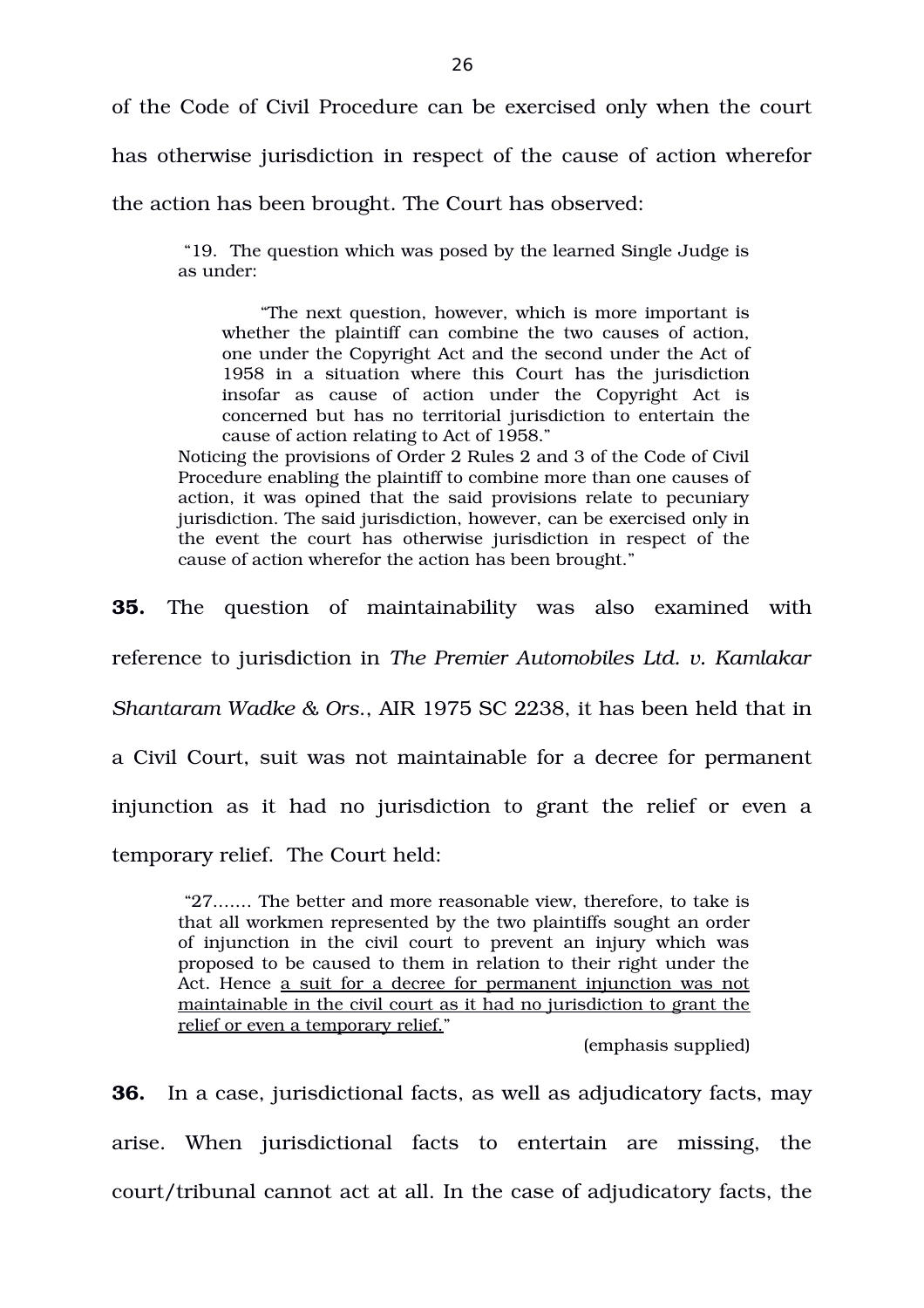of the Code of Civil Procedure can be exercised only when the court

has otherwise jurisdiction in respect of the cause of action wherefor

the action has been brought. The Court has observed:

 "19. The question which was posed by the learned Single Judge is as under:

 "The next question, however, which is more important is whether the plaintiff can combine the two causes of action, one under the Copyright Act and the second under the Act of 1958 in a situation where this Court has the jurisdiction insofar as cause of action under the Copyright Act is concerned but has no territorial jurisdiction to entertain the cause of action relating to Act of 1958."

Noticing the provisions of Order 2 Rules 2 and 3 of the Code of Civil Procedure enabling the plaintiff to combine more than one causes of action, it was opined that the said provisions relate to pecuniary jurisdiction. The said jurisdiction, however, can be exercised only in the event the court has otherwise jurisdiction in respect of the cause of action wherefor the action has been brought."

**35.** The question of maintainability was also examined with reference to jurisdiction in *The Premier Automobiles Ltd. v. Kamlakar Shantaram Wadke & Ors*., AIR 1975 SC 2238, it has been held that in a Civil Court, suit was not maintainable for a decree for permanent injunction as it had no jurisdiction to grant the relief or even a temporary relief. The Court held:

 "27.…… The better and more reasonable view, therefore, to take is that all workmen represented by the two plaintiffs sought an order of injunction in the civil court to prevent an injury which was proposed to be caused to them in relation to their right under the Act. Hence a suit for a decree for permanent injunction was not maintainable in the civil court as it had no jurisdiction to grant the relief or even a temporary relief."

(emphasis supplied)

**36.** In a case, jurisdictional facts, as well as adjudicatory facts, may arise. When jurisdictional facts to entertain are missing, the court/tribunal cannot act at all. In the case of adjudicatory facts, the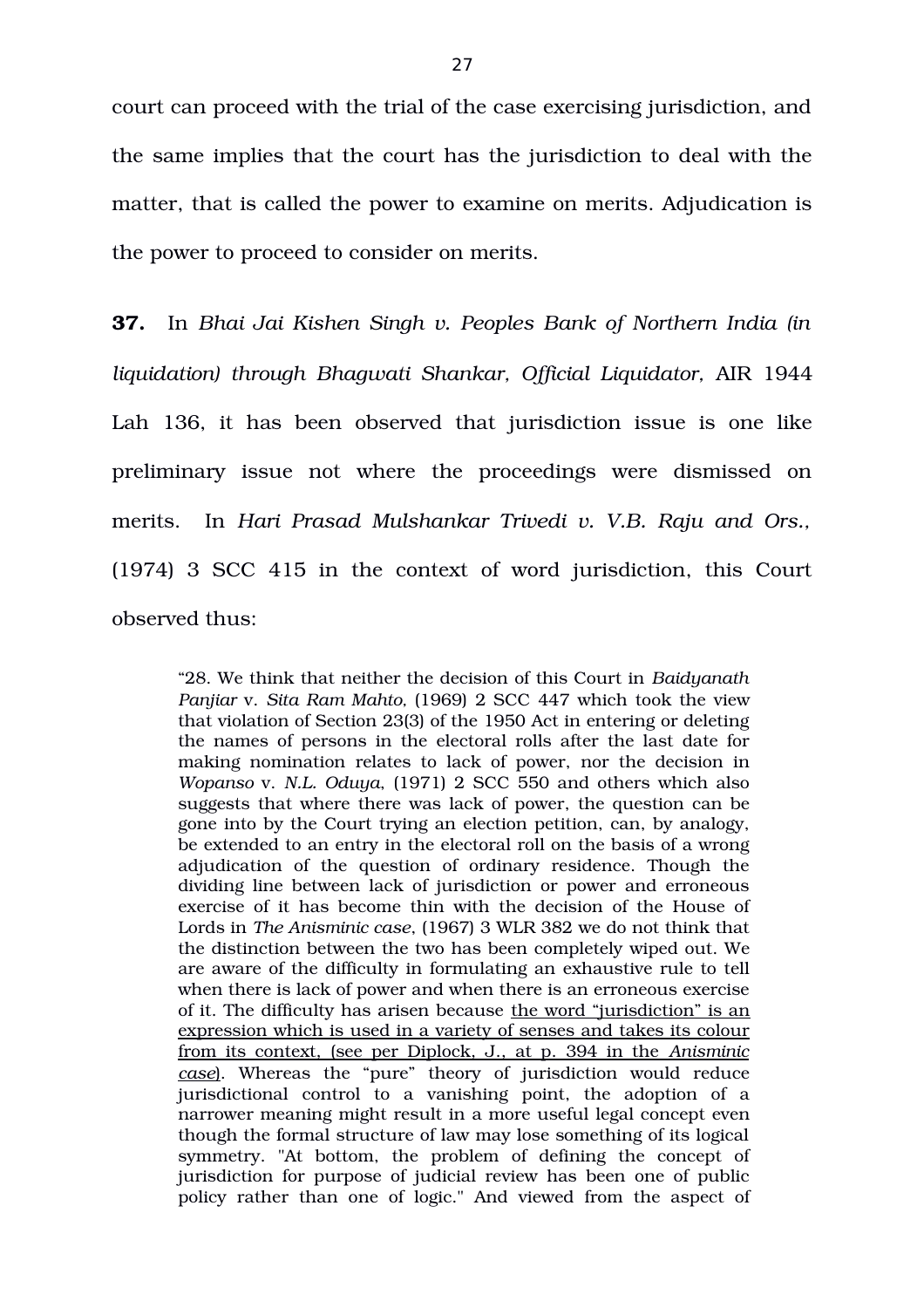court can proceed with the trial of the case exercising jurisdiction, and the same implies that the court has the jurisdiction to deal with the matter, that is called the power to examine on merits. Adjudication is the power to proceed to consider on merits.

**37.** In *Bhai Jai Kishen Singh v. Peoples Bank of Northern India (in liquidation) through Bhagwati Shankar, Official Liquidator,* AIR 1944 Lah 136, it has been observed that jurisdiction issue is one like preliminary issue not where the proceedings were dismissed on merits. In *Hari Prasad Mulshankar Trivedi v. V.B. Raju and Ors.,* (1974) 3 SCC 415 in the context of word jurisdiction, this Court observed thus:

"28. We think that neither the decision of this Court in *Baidyanath Panjiar* v. *Sita Ram Mahto,* (1969) 2 SCC 447 which took the view that violation of Section 23(3) of the 1950 Act in entering or deleting the names of persons in the electoral rolls after the last date for making nomination relates to lack of power, nor the decision in *Wopanso* v. *N.L. Oduya*, (1971) 2 SCC 550 and others which also suggests that where there was lack of power, the question can be gone into by the Court trying an election petition, can, by analogy, be extended to an entry in the electoral roll on the basis of a wrong adjudication of the question of ordinary residence. Though the dividing line between lack of jurisdiction or power and erroneous exercise of it has become thin with the decision of the House of Lords in *The Anisminic case*, (1967) 3 WLR 382 we do not think that the distinction between the two has been completely wiped out. We are aware of the difficulty in formulating an exhaustive rule to tell when there is lack of power and when there is an erroneous exercise of it. The difficulty has arisen because the word "jurisdiction" is an expression which is used in a variety of senses and takes its colour from its context, (see per Diplock, J., at p. 394 in the *Anisminic* case). Whereas the "pure" theory of jurisdiction would reduce jurisdictional control to a vanishing point, the adoption of a narrower meaning might result in a more useful legal concept even though the formal structure of law may lose something of its logical symmetry. "At bottom, the problem of defining the concept of jurisdiction for purpose of judicial review has been one of public policy rather than one of logic." And viewed from the aspect of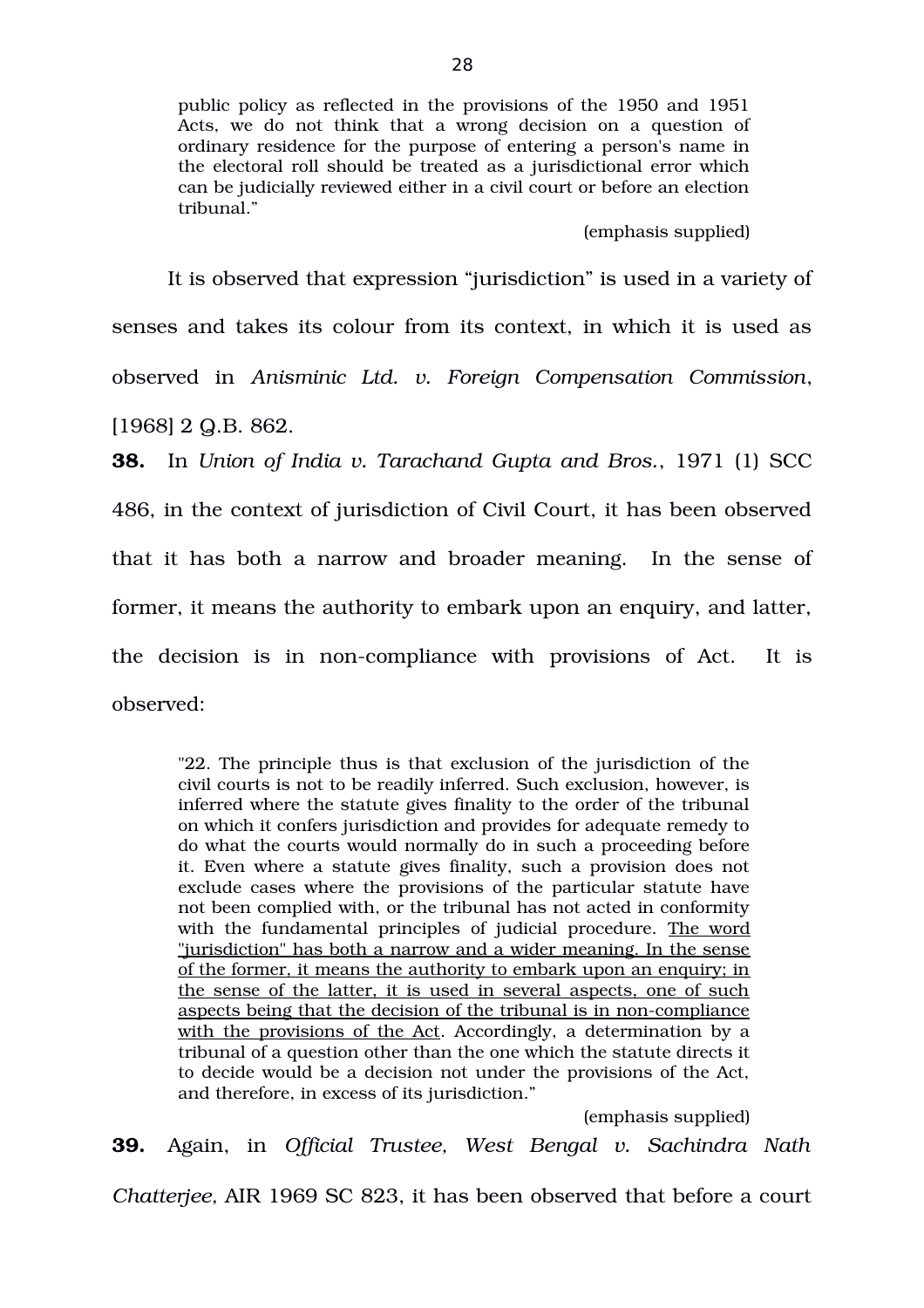public policy as reflected in the provisions of the 1950 and 1951 Acts, we do not think that a wrong decision on a question of ordinary residence for the purpose of entering a person's name in the electoral roll should be treated as a jurisdictional error which can be judicially reviewed either in a civil court or before an election tribunal."

#### (emphasis supplied)

It is observed that expression "jurisdiction" is used in a variety of senses and takes its colour from its context, in which it is used as observed in *Anisminic Ltd. v. Foreign Compensation Commission*, [1968] 2 Q.B. 862.

**38.** In *Union of India v. Tarachand Gupta and Bros.*, 1971 (1) SCC 486, in the context of jurisdiction of Civil Court, it has been observed that it has both a narrow and broader meaning. In the sense of former, it means the authority to embark upon an enquiry, and latter, the decision is in non-compliance with provisions of Act. It is observed:

"22. The principle thus is that exclusion of the jurisdiction of the civil courts is not to be readily inferred. Such exclusion, however, is inferred where the statute gives finality to the order of the tribunal on which it confers jurisdiction and provides for adequate remedy to do what the courts would normally do in such a proceeding before it. Even where a statute gives finality, such a provision does not exclude cases where the provisions of the particular statute have not been complied with, or the tribunal has not acted in conformity with the fundamental principles of judicial procedure. The word "jurisdiction" has both a narrow and a wider meaning. In the sense of the former, it means the authority to embark upon an enquiry; in the sense of the latter, it is used in several aspects, one of such aspects being that the decision of the tribunal is in noncompliance with the provisions of the Act. Accordingly, a determination by a tribunal of a question other than the one which the statute directs it to decide would be a decision not under the provisions of the Act, and therefore, in excess of its jurisdiction."

(emphasis supplied)

**39.** Again, in *Official Trustee, West Bengal v. Sachindra Nath*

*Chatterjee,* AIR 1969 SC 823, it has been observed that before a court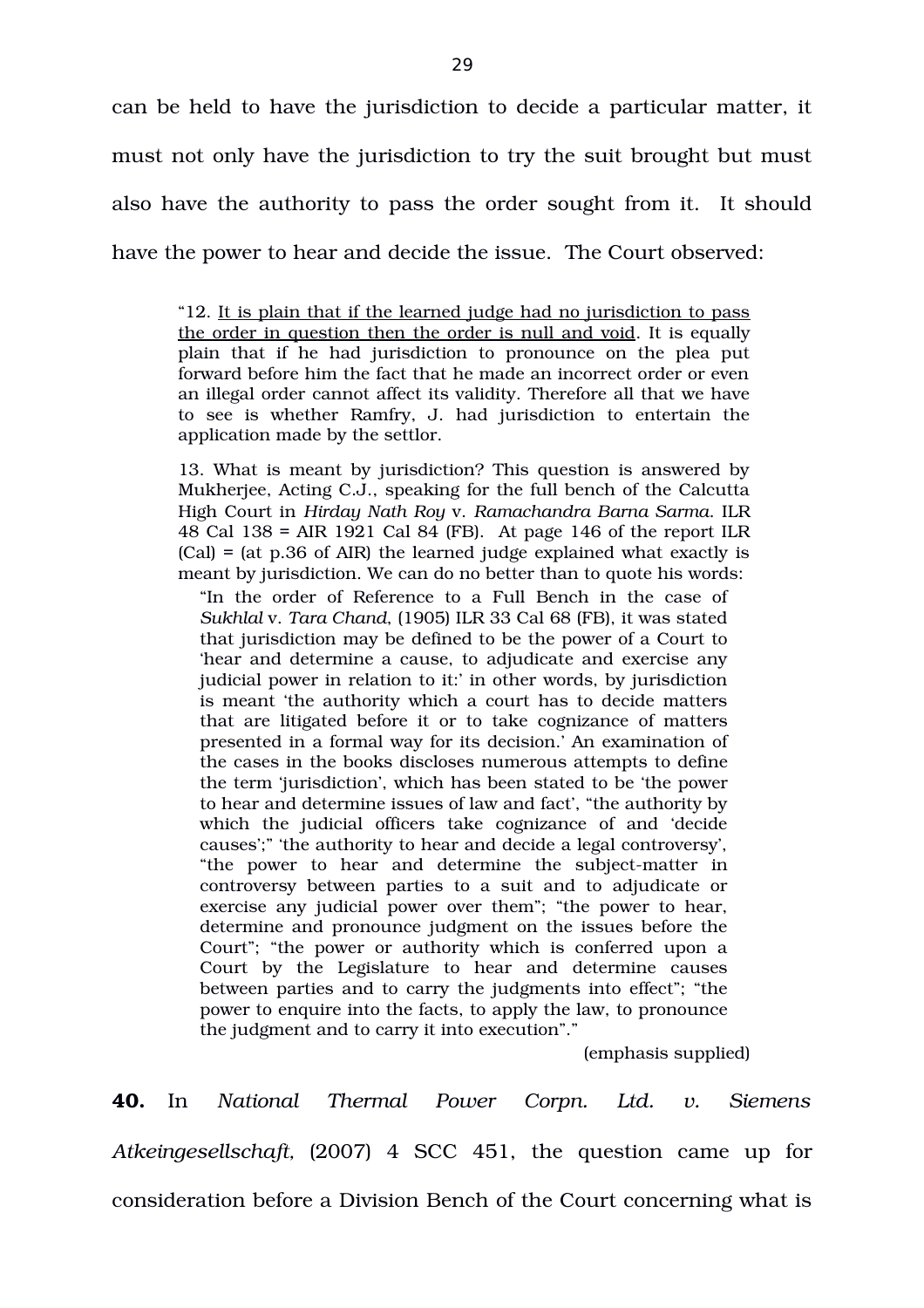can be held to have the jurisdiction to decide a particular matter, it must not only have the jurisdiction to try the suit brought but must also have the authority to pass the order sought from it. It should have the power to hear and decide the issue. The Court observed:

"12. It is plain that if the learned judge had no jurisdiction to pass the order in question then the order is null and void. It is equally plain that if he had jurisdiction to pronounce on the plea put forward before him the fact that he made an incorrect order or even an illegal order cannot affect its validity. Therefore all that we have to see is whether Ramfry, J. had jurisdiction to entertain the application made by the settlor.

13. What is meant by jurisdiction? This question is answered by Mukherjee, Acting C.J., speaking for the full bench of the Calcutta High Court in *Hirday Nath Roy* v. *Ramachandra Barna Sarma*. ILR 48 Cal 138 = AIR 1921 Cal 84 (FB). At page 146 of the report ILR (Cal) = (at p.36 of AIR) the learned judge explained what exactly is meant by jurisdiction. We can do no better than to quote his words:

"In the order of Reference to a Full Bench in the case of *Sukhlal* v. *Tara Chand*, (1905) ILR 33 Cal 68 (FB), it was stated that jurisdiction may be defined to be the power of a Court to 'hear and determine a cause, to adjudicate and exercise any judicial power in relation to it:' in other words, by jurisdiction is meant 'the authority which a court has to decide matters that are litigated before it or to take cognizance of matters presented in a formal way for its decision.' An examination of the cases in the books discloses numerous attempts to define the term 'jurisdiction', which has been stated to be 'the power to hear and determine issues of law and fact', "the authority by which the judicial officers take cognizance of and 'decide causes';" 'the authority to hear and decide a legal controversy', "the power to hear and determine the subject-matter in controversy between parties to a suit and to adjudicate or exercise any judicial power over them"; "the power to hear, determine and pronounce judgment on the issues before the Court"; "the power or authority which is conferred upon a Court by the Legislature to hear and determine causes between parties and to carry the judgments into effect"; "the power to enquire into the facts, to apply the law, to pronounce the judgment and to carry it into execution"."

(emphasis supplied)

**40.** In *National Thermal Power Corpn. Ltd. v. Siemens Atkeingesellschaft,* (2007) 4 SCC 451, the question came up for consideration before a Division Bench of the Court concerning what is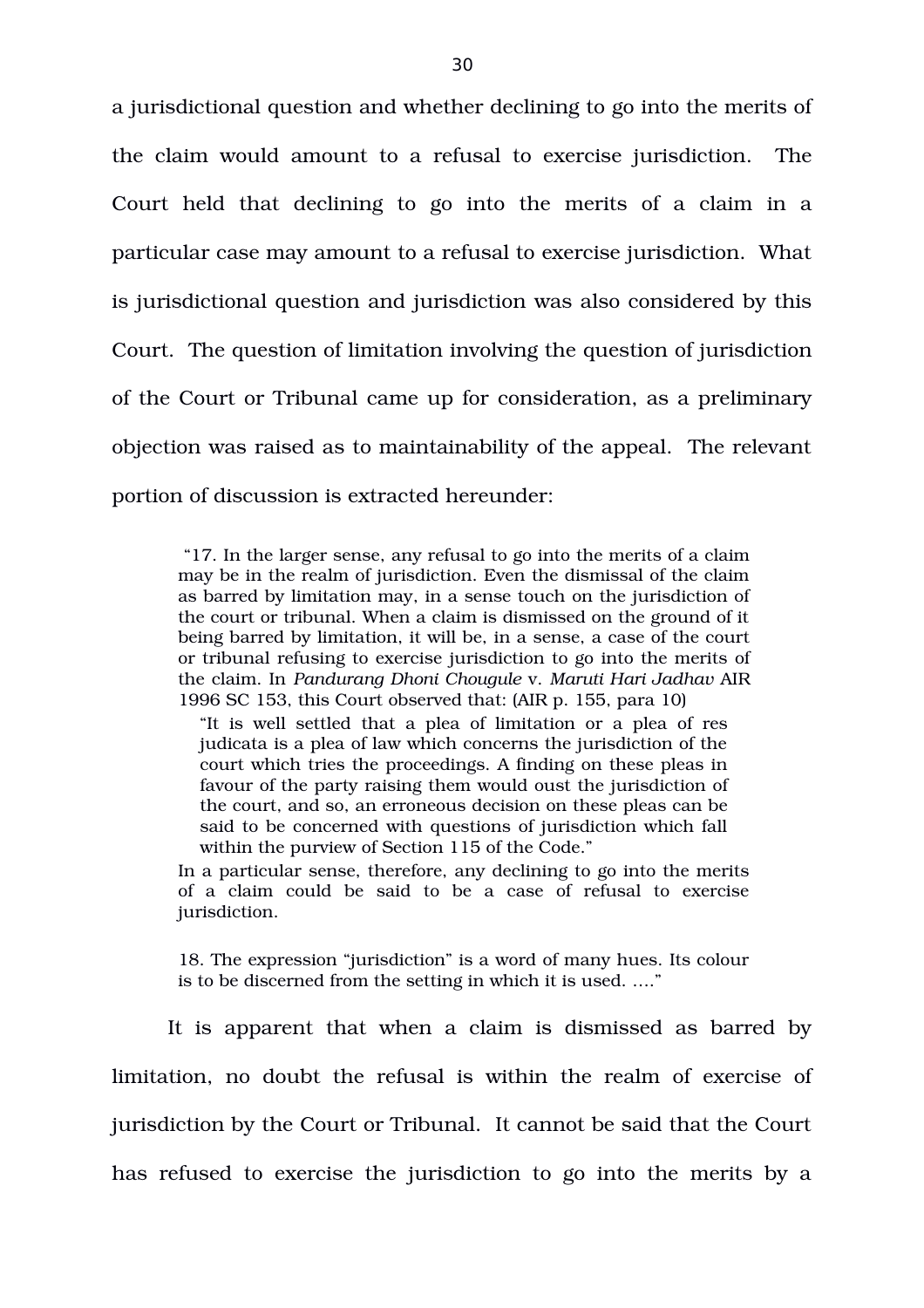a jurisdictional question and whether declining to go into the merits of the claim would amount to a refusal to exercise jurisdiction. The Court held that declining to go into the merits of a claim in a particular case may amount to a refusal to exercise jurisdiction. What is jurisdictional question and jurisdiction was also considered by this Court. The question of limitation involving the question of jurisdiction of the Court or Tribunal came up for consideration, as a preliminary objection was raised as to maintainability of the appeal. The relevant portion of discussion is extracted hereunder:

 "17. In the larger sense, any refusal to go into the merits of a claim may be in the realm of jurisdiction. Even the dismissal of the claim as barred by limitation may, in a sense touch on the jurisdiction of the court or tribunal. When a claim is dismissed on the ground of it being barred by limitation, it will be, in a sense, a case of the court or tribunal refusing to exercise jurisdiction to go into the merits of the claim. In *Pandurang Dhoni Chougule* v. *Maruti Hari Jadhav* AIR 1996 SC 153, this Court observed that: (AIR p. 155, para 10)

"It is well settled that a plea of limitation or a plea of res judicata is a plea of law which concerns the jurisdiction of the court which tries the proceedings. A finding on these pleas in favour of the party raising them would oust the jurisdiction of the court, and so, an erroneous decision on these pleas can be said to be concerned with questions of jurisdiction which fall within the purview of Section 115 of the Code."

In a particular sense, therefore, any declining to go into the merits of a claim could be said to be a case of refusal to exercise jurisdiction.

18. The expression "jurisdiction" is a word of many hues. Its colour is to be discerned from the setting in which it is used. …."

It is apparent that when a claim is dismissed as barred by limitation, no doubt the refusal is within the realm of exercise of jurisdiction by the Court or Tribunal. It cannot be said that the Court has refused to exercise the jurisdiction to go into the merits by a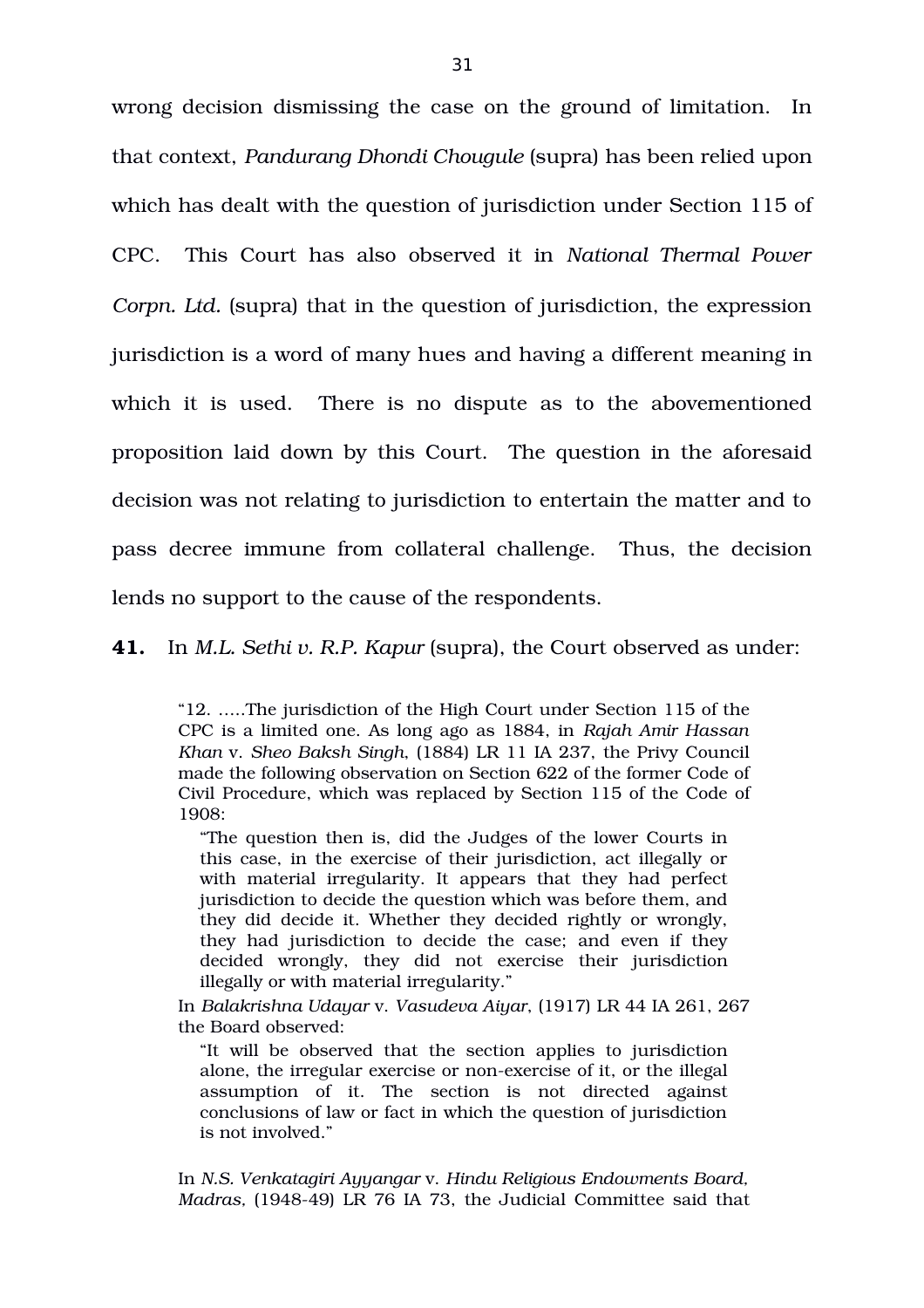wrong decision dismissing the case on the ground of limitation. In that context, *Pandurang Dhondi Chougule* (supra) has been relied upon which has dealt with the question of jurisdiction under Section 115 of CPC. This Court has also observed it in *National Thermal Power Corpn. Ltd.* (supra) that in the question of jurisdiction, the expression jurisdiction is a word of many hues and having a different meaning in which it is used. There is no dispute as to the abovementioned proposition laid down by this Court. The question in the aforesaid decision was not relating to jurisdiction to entertain the matter and to pass decree immune from collateral challenge. Thus, the decision lends no support to the cause of the respondents.

**41.** In *M.L. Sethi v. R.P. Kapur* (supra), the Court observed as under:

"12. …..The jurisdiction of the High Court under Section 115 of the CPC is a limited one. As long ago as 1884, in *Rajah Amir Hassan Khan* v. *Sheo Baksh Singh*, (1884) LR 11 IA 237, the Privy Council made the following observation on Section 622 of the former Code of Civil Procedure, which was replaced by Section 115 of the Code of 1908:

"The question then is, did the Judges of the lower Courts in this case, in the exercise of their jurisdiction, act illegally or with material irregularity. It appears that they had perfect jurisdiction to decide the question which was before them, and they did decide it. Whether they decided rightly or wrongly, they had jurisdiction to decide the case; and even if they decided wrongly, they did not exercise their jurisdiction illegally or with material irregularity."

In *Balakrishna Udayar* v. *Vasudeva Aiyar*, (1917) LR 44 IA 261, 267 the Board observed:

"It will be observed that the section applies to jurisdiction alone, the irregular exercise or non-exercise of it, or the illegal assumption of it. The section is not directed against conclusions of law or fact in which the question of jurisdiction is not involved."

In *N.S. Venkatagiri Ayyangar* v. *Hindu Religious Endowments Board, Madras, (1948-49) LR 76 IA 73, the Judicial Committee said that*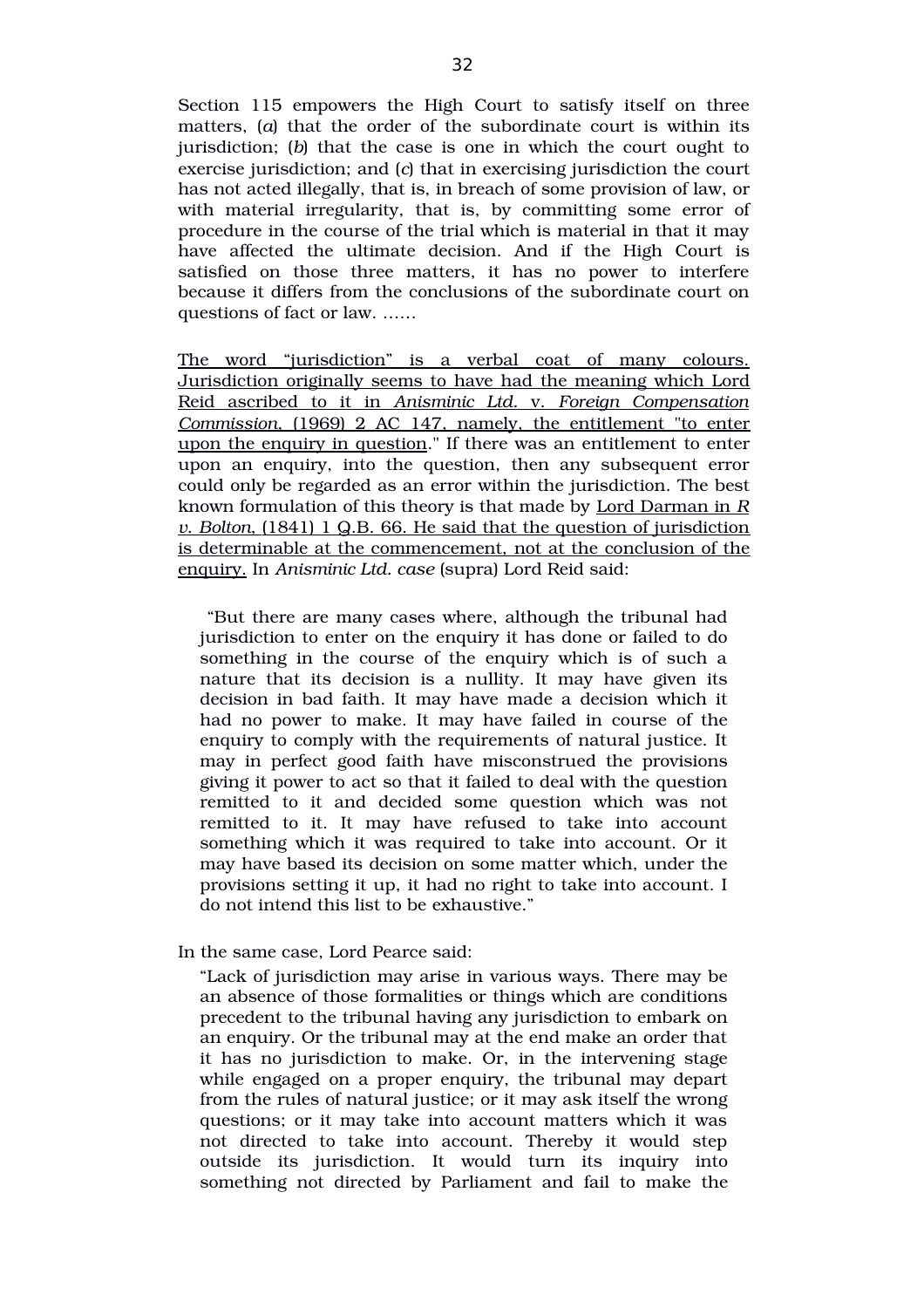Section 115 empowers the High Court to satisfy itself on three matters, (*a*) that the order of the subordinate court is within its jurisdiction; (*b*) that the case is one in which the court ought to exercise jurisdiction; and (*c*) that in exercising jurisdiction the court has not acted illegally, that is, in breach of some provision of law, or with material irregularity, that is, by committing some error of procedure in the course of the trial which is material in that it may have affected the ultimate decision. And if the High Court is satisfied on those three matters, it has no power to interfere because it differs from the conclusions of the subordinate court on questions of fact or law. ……

The word "jurisdiction" is a verbal coat of many colours. Jurisdiction originally seems to have had the meaning which Lord Reid ascribed to it in Anisminic Ltd. v. Foreign Compensation  *Commission*, (1969) 2 AC 147, namely, the entitlement "to enter upon the enquiry in question." If there was an entitlement to enter upon an enquiry, into the question, then any subsequent error could only be regarded as an error within the jurisdiction. The best known formulation of this theory is that made by Lord Darman in *R v* . *Bolton*,(1841) 1 Q.B. 66. He said that the question of jurisdiction is determinable at the commencement, not at the conclusion of the enquiry. In *Anisminic Ltd. case* (supra) Lord Reid said:

 "But there are many cases where, although the tribunal had jurisdiction to enter on the enquiry it has done or failed to do something in the course of the enquiry which is of such a nature that its decision is a nullity. It may have given its decision in bad faith. It may have made a decision which it had no power to make. It may have failed in course of the enquiry to comply with the requirements of natural justice. It may in perfect good faith have misconstrued the provisions giving it power to act so that it failed to deal with the question remitted to it and decided some question which was not remitted to it. It may have refused to take into account something which it was required to take into account. Or it may have based its decision on some matter which, under the provisions setting it up, it had no right to take into account. I do not intend this list to be exhaustive."

#### In the same case, Lord Pearce said:

"Lack of jurisdiction may arise in various ways. There may be an absence of those formalities or things which are conditions precedent to the tribunal having any jurisdiction to embark on an enquiry. Or the tribunal may at the end make an order that it has no jurisdiction to make. Or, in the intervening stage while engaged on a proper enquiry, the tribunal may depart from the rules of natural justice; or it may ask itself the wrong questions; or it may take into account matters which it was not directed to take into account. Thereby it would step outside its jurisdiction. It would turn its inquiry into something not directed by Parliament and fail to make the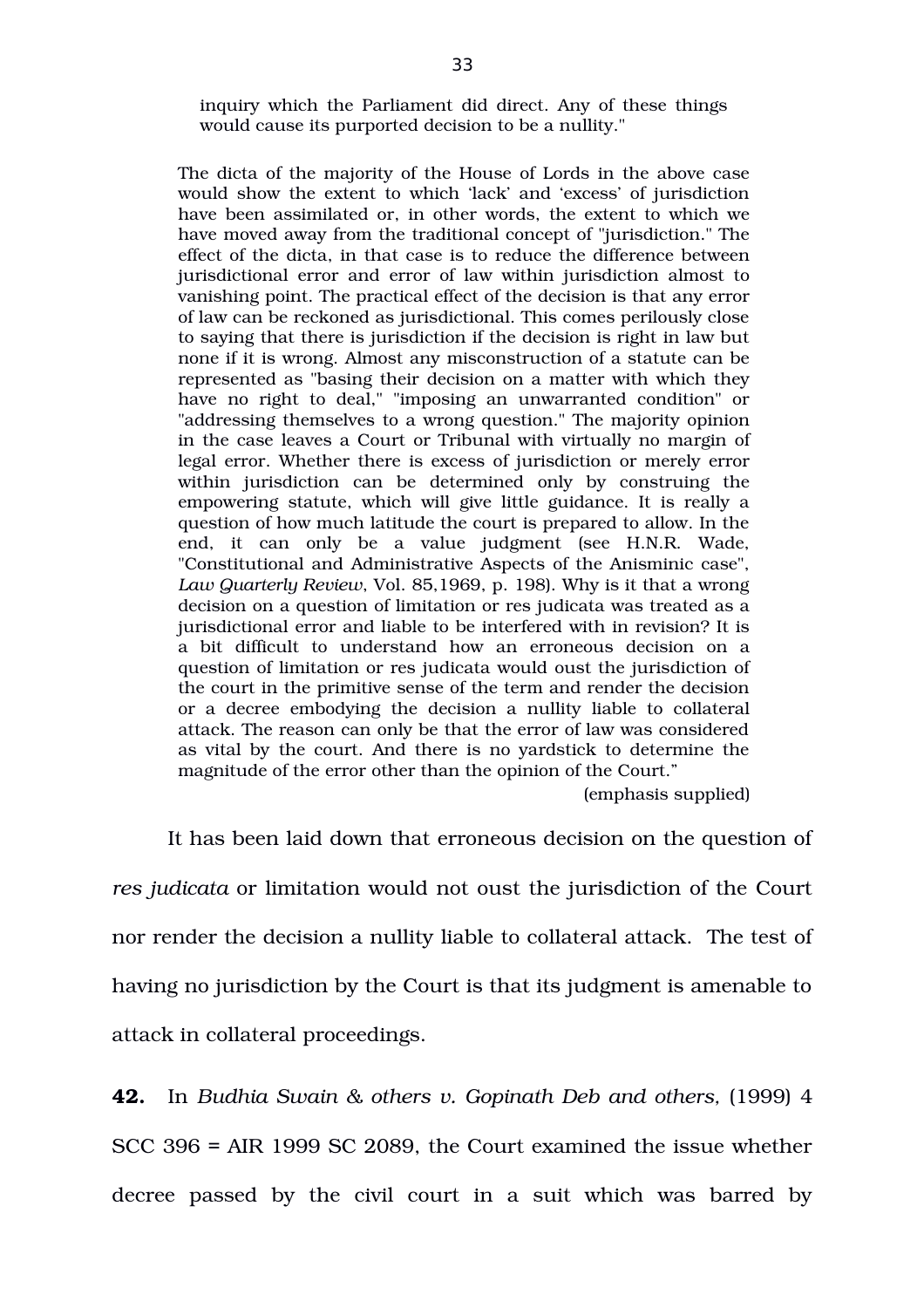inquiry which the Parliament did direct. Any of these things would cause its purported decision to be a nullity."

The dicta of the majority of the House of Lords in the above case would show the extent to which 'lack' and 'excess' of jurisdiction have been assimilated or, in other words, the extent to which we have moved away from the traditional concept of "jurisdiction." The effect of the dicta, in that case is to reduce the difference between jurisdictional error and error of law within jurisdiction almost to vanishing point. The practical effect of the decision is that any error of law can be reckoned as jurisdictional. This comes perilously close to saying that there is jurisdiction if the decision is right in law but none if it is wrong. Almost any misconstruction of a statute can be represented as "basing their decision on a matter with which they have no right to deal," "imposing an unwarranted condition" or "addressing themselves to a wrong question." The majority opinion in the case leaves a Court or Tribunal with virtually no margin of legal error. Whether there is excess of jurisdiction or merely error within jurisdiction can be determined only by construing the empowering statute, which will give little guidance. It is really a question of how much latitude the court is prepared to allow. In the end, it can only be a value judgment (see H.N.R. Wade, "Constitutional and Administrative Aspects of the Anisminic case", *Law Quarterly Review*, Vol. 85,1969, p. 198). Why is it that a wrong decision on a question of limitation or res judicata was treated as a jurisdictional error and liable to be interfered with in revision? It is a bit difficult to understand how an erroneous decision on a question of limitation or res judicata would oust the jurisdiction of the court in the primitive sense of the term and render the decision or a decree embodying the decision a nullity liable to collateral attack. The reason can only be that the error of law was considered as vital by the court. And there is no yardstick to determine the magnitude of the error other than the opinion of the Court."

(emphasis supplied)

It has been laid down that erroneous decision on the question of *res judicata* or limitation would not oust the jurisdiction of the Court nor render the decision a nullity liable to collateral attack. The test of having no jurisdiction by the Court is that its judgment is amenable to attack in collateral proceedings.

**42.** In *Budhia Swain & others v. Gopinath Deb and others,* (1999) 4 SCC 396 = AIR 1999 SC 2089, the Court examined the issue whether decree passed by the civil court in a suit which was barred by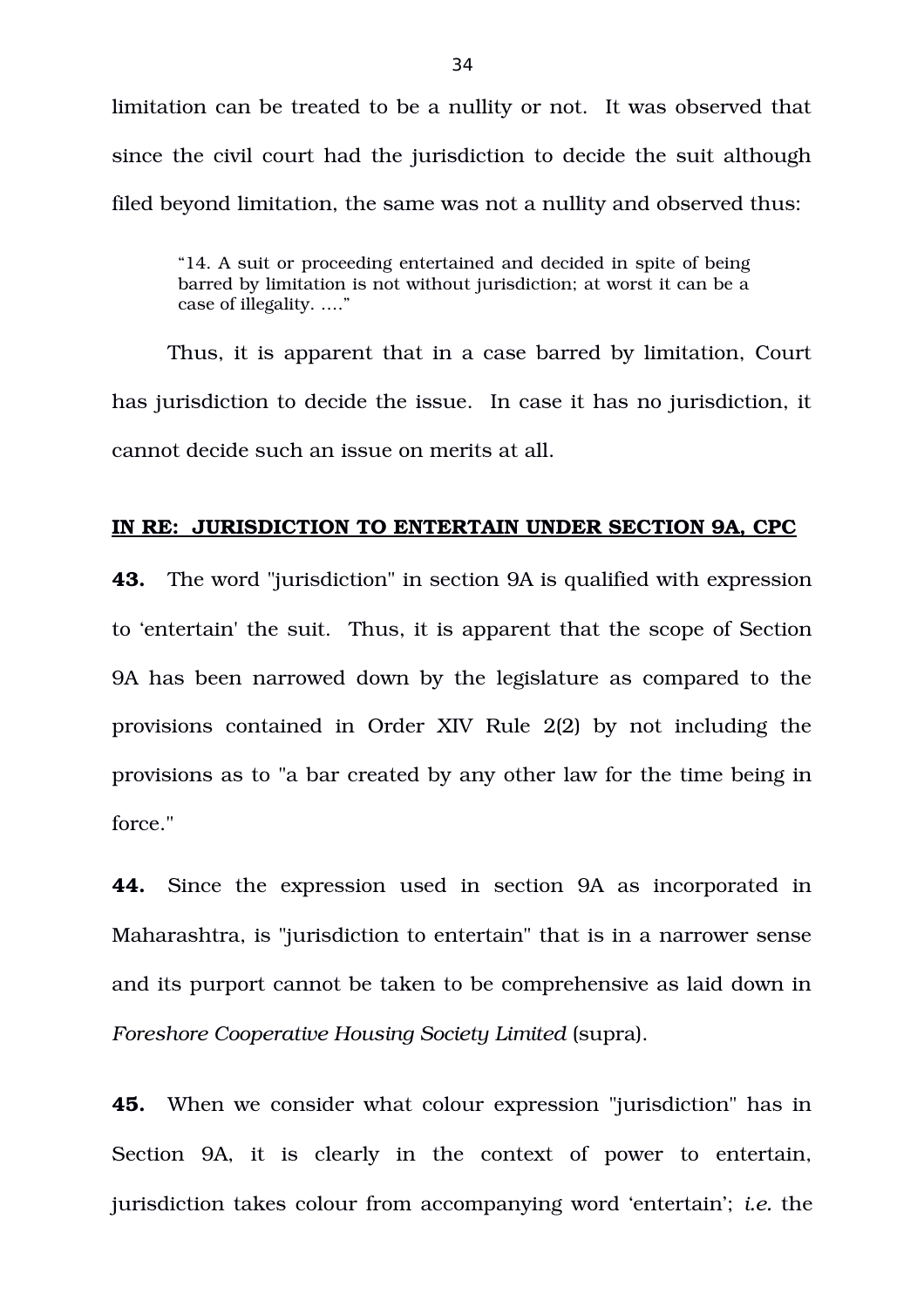limitation can be treated to be a nullity or not. It was observed that since the civil court had the jurisdiction to decide the suit although filed beyond limitation, the same was not a nullity and observed thus:

"14. A suit or proceeding entertained and decided in spite of being barred by limitation is not without jurisdiction; at worst it can be a case of illegality. …."

Thus, it is apparent that in a case barred by limitation, Court has jurisdiction to decide the issue. In case it has no jurisdiction, it cannot decide such an issue on merits at all.

## **IN RE: JURISDICTION TO ENTERTAIN UNDER SECTION 9A, CPC**

**43.** The word "jurisdiction" in section 9A is qualified with expression to 'entertain' the suit. Thus, it is apparent that the scope of Section 9A has been narrowed down by the legislature as compared to the provisions contained in Order XIV Rule 2(2) by not including the provisions as to "a bar created by any other law for the time being in force."

**44.** Since the expression used in section 9A as incorporated in Maharashtra, is "jurisdiction to entertain" that is in a narrower sense and its purport cannot be taken to be comprehensive as laid down in *Foreshore Cooperative Housing Society Limited* (supra).

**45.** When we consider what colour expression "jurisdiction" has in Section 9A, it is clearly in the context of power to entertain, jurisdiction takes colour from accompanying word 'entertain'; *i.e.* the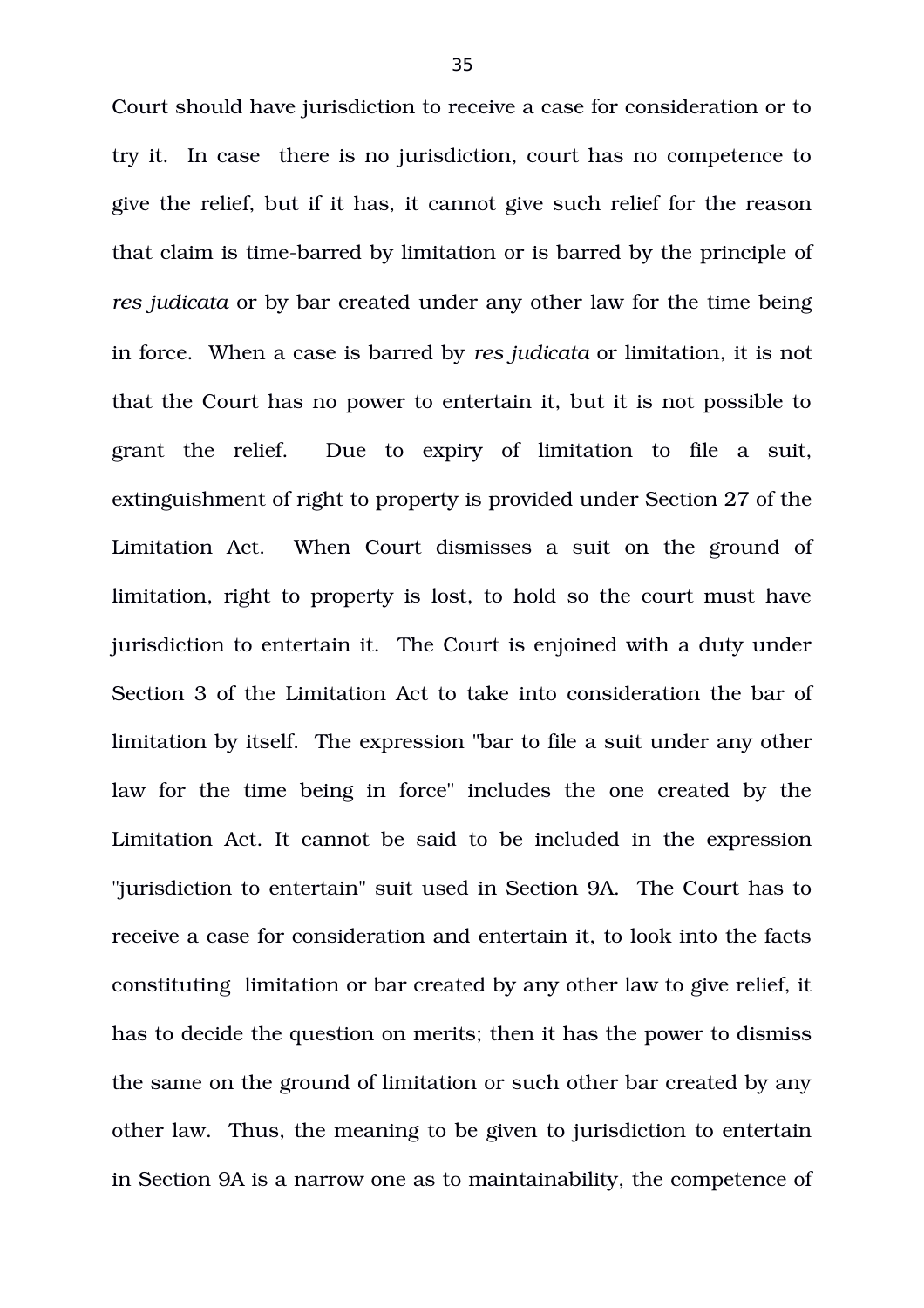Court should have jurisdiction to receive a case for consideration or to try it. In case there is no jurisdiction, court has no competence to give the relief, but if it has, it cannot give such relief for the reason that claim is time-barred by limitation or is barred by the principle of *res judicata* or by bar created under any other law for the time being in force. When a case is barred by *res judicata* or limitation, it is not that the Court has no power to entertain it, but it is not possible to grant the relief. Due to expiry of limitation to file a suit, extinguishment of right to property is provided under Section 27 of the Limitation Act. When Court dismisses a suit on the ground of limitation, right to property is lost, to hold so the court must have jurisdiction to entertain it. The Court is enjoined with a duty under Section 3 of the Limitation Act to take into consideration the bar of limitation by itself. The expression "bar to file a suit under any other law for the time being in force" includes the one created by the Limitation Act. It cannot be said to be included in the expression "jurisdiction to entertain" suit used in Section 9A. The Court has to receive a case for consideration and entertain it, to look into the facts constituting limitation or bar created by any other law to give relief, it has to decide the question on merits; then it has the power to dismiss the same on the ground of limitation or such other bar created by any other law. Thus, the meaning to be given to jurisdiction to entertain in Section 9A is a narrow one as to maintainability, the competence of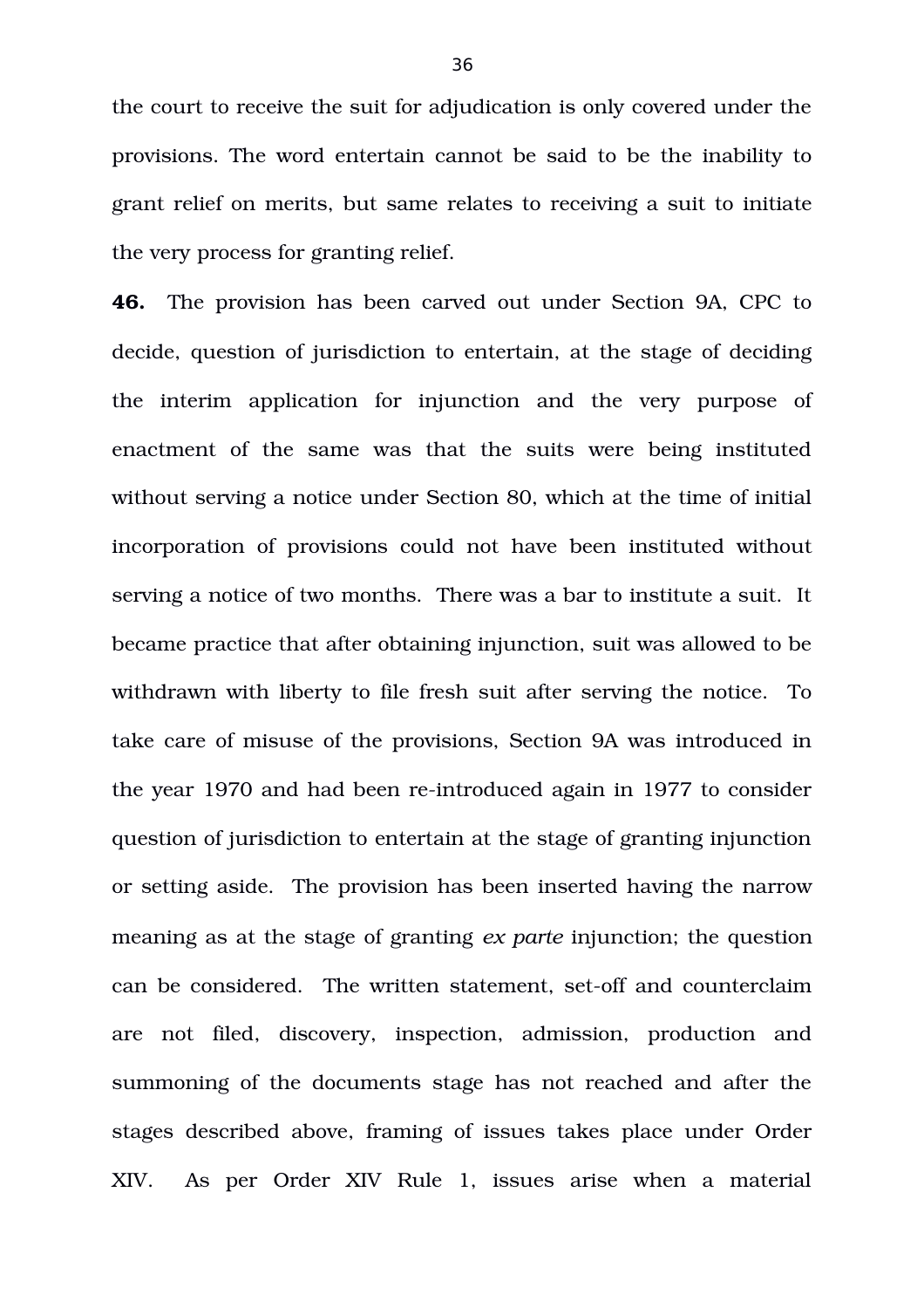the court to receive the suit for adjudication is only covered under the provisions. The word entertain cannot be said to be the inability to grant relief on merits, but same relates to receiving a suit to initiate the very process for granting relief.

**46.** The provision has been carved out under Section 9A, CPC to decide, question of jurisdiction to entertain, at the stage of deciding the interim application for injunction and the very purpose of enactment of the same was that the suits were being instituted without serving a notice under Section 80, which at the time of initial incorporation of provisions could not have been instituted without serving a notice of two months. There was a bar to institute a suit. It became practice that after obtaining injunction, suit was allowed to be withdrawn with liberty to file fresh suit after serving the notice. To take care of misuse of the provisions, Section 9A was introduced in the year 1970 and had been re-introduced again in 1977 to consider question of jurisdiction to entertain at the stage of granting injunction or setting aside. The provision has been inserted having the narrow meaning as at the stage of granting *ex parte* injunction; the question can be considered. The written statement, set-off and counterclaim are not filed, discovery, inspection, admission, production and summoning of the documents stage has not reached and after the stages described above, framing of issues takes place under Order XIV. As per Order XIV Rule 1, issues arise when a material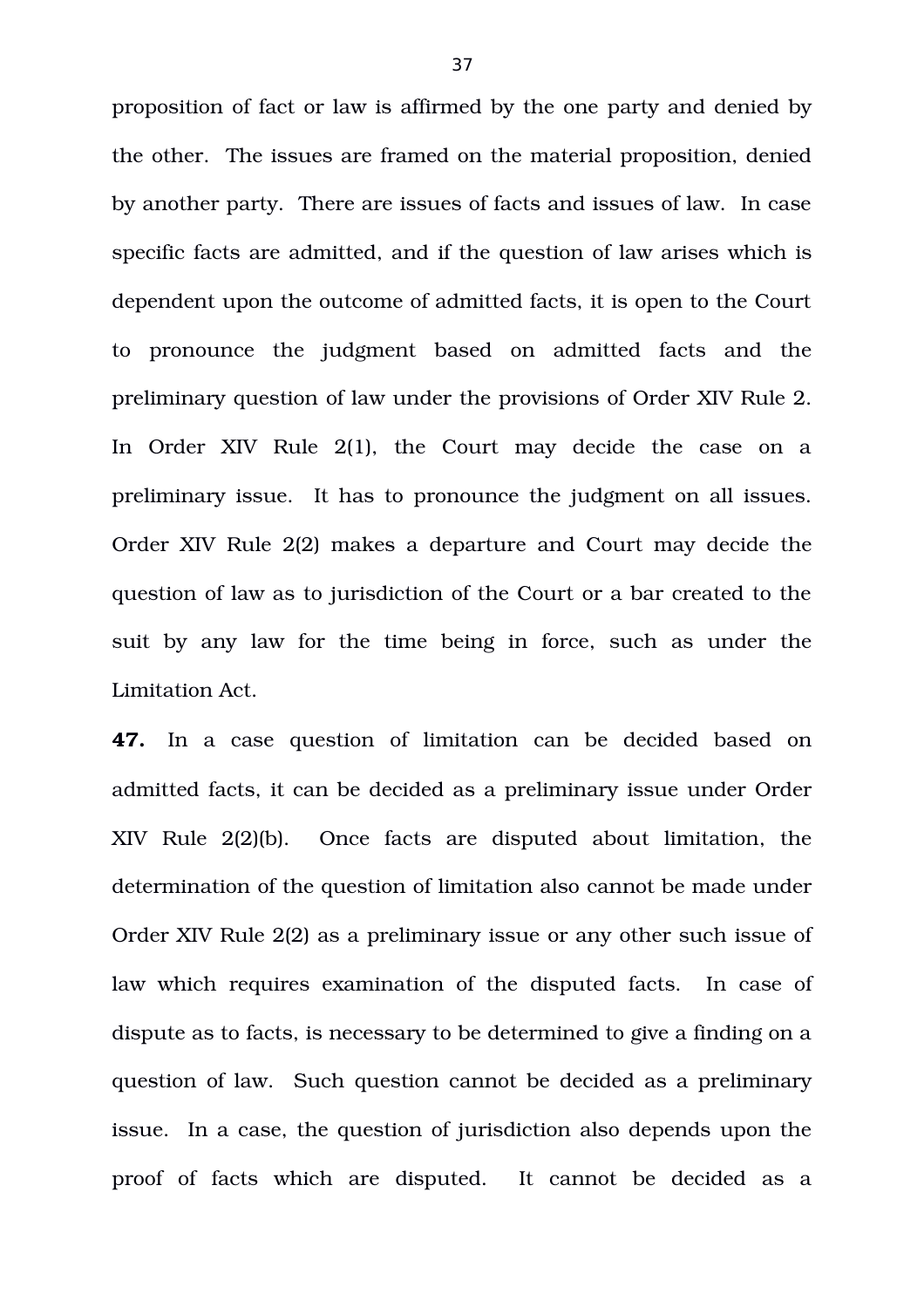proposition of fact or law is affirmed by the one party and denied by the other. The issues are framed on the material proposition, denied by another party. There are issues of facts and issues of law. In case specific facts are admitted, and if the question of law arises which is dependent upon the outcome of admitted facts, it is open to the Court to pronounce the judgment based on admitted facts and the preliminary question of law under the provisions of Order XIV Rule 2. In Order XIV Rule 2(1), the Court may decide the case on a preliminary issue. It has to pronounce the judgment on all issues. Order XIV Rule 2(2) makes a departure and Court may decide the question of law as to jurisdiction of the Court or a bar created to the suit by any law for the time being in force, such as under the Limitation Act.

**47.** In a case question of limitation can be decided based on admitted facts, it can be decided as a preliminary issue under Order XIV Rule 2(2)(b). Once facts are disputed about limitation, the determination of the question of limitation also cannot be made under Order XIV Rule 2(2) as a preliminary issue or any other such issue of law which requires examination of the disputed facts. In case of dispute as to facts, is necessary to be determined to give a finding on a question of law. Such question cannot be decided as a preliminary issue. In a case, the question of jurisdiction also depends upon the proof of facts which are disputed. It cannot be decided as a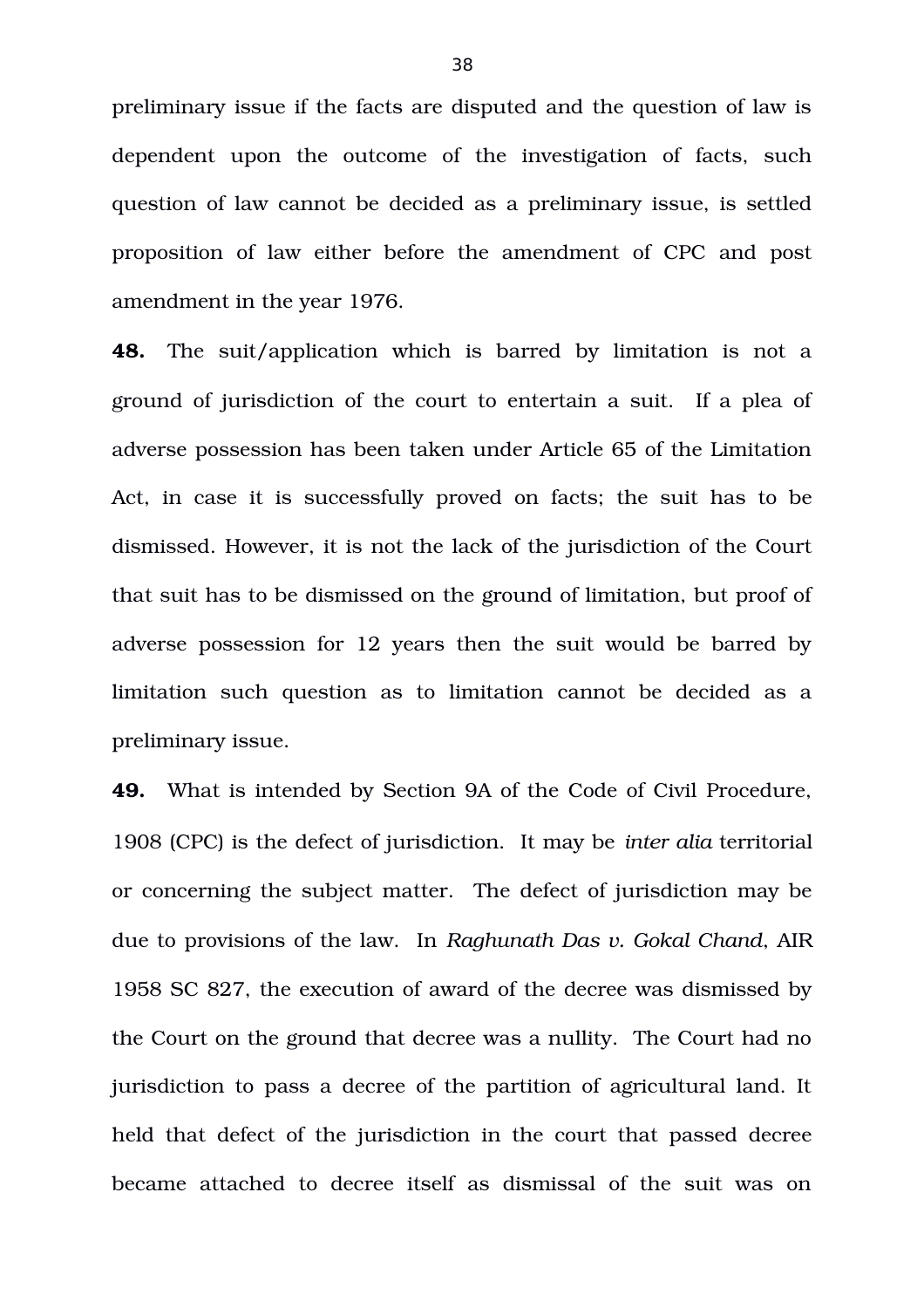preliminary issue if the facts are disputed and the question of law is dependent upon the outcome of the investigation of facts, such question of law cannot be decided as a preliminary issue, is settled proposition of law either before the amendment of CPC and post amendment in the year 1976.

**48.** The suit/application which is barred by limitation is not a ground of jurisdiction of the court to entertain a suit. If a plea of adverse possession has been taken under Article 65 of the Limitation Act, in case it is successfully proved on facts; the suit has to be dismissed. However, it is not the lack of the jurisdiction of the Court that suit has to be dismissed on the ground of limitation, but proof of adverse possession for 12 years then the suit would be barred by limitation such question as to limitation cannot be decided as a preliminary issue.

**49.** What is intended by Section 9A of the Code of Civil Procedure, 1908 (CPC) is the defect of jurisdiction. It may be *inter alia* territorial or concerning the subject matter. The defect of jurisdiction may be due to provisions of the law. In *Raghunath Das v. Gokal Chand*, AIR 1958 SC 827, the execution of award of the decree was dismissed by the Court on the ground that decree was a nullity. The Court had no jurisdiction to pass a decree of the partition of agricultural land. It held that defect of the jurisdiction in the court that passed decree became attached to decree itself as dismissal of the suit was on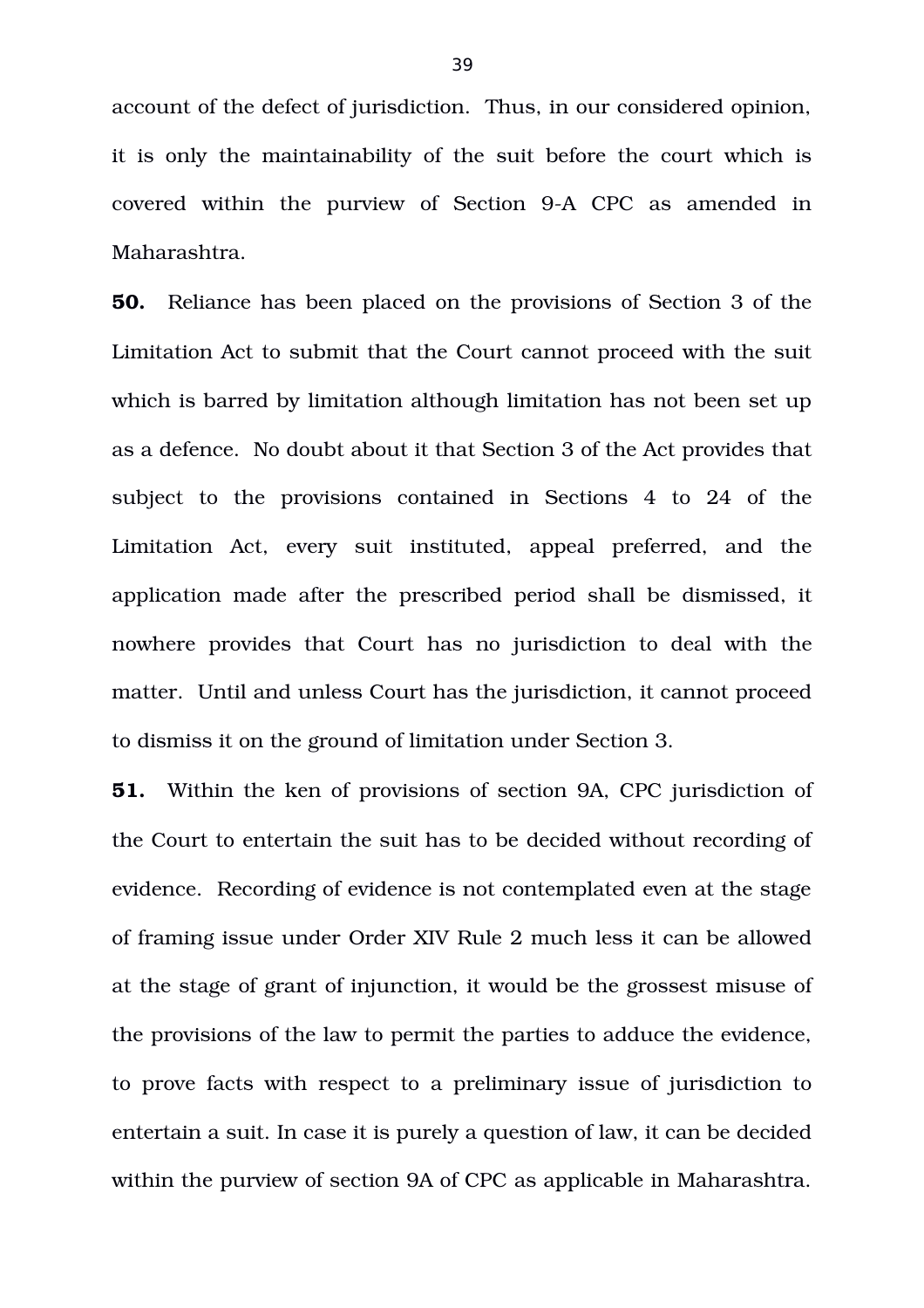account of the defect of jurisdiction. Thus, in our considered opinion, it is only the maintainability of the suit before the court which is covered within the purview of Section 9-A CPC as amended in Maharashtra.

**50.** Reliance has been placed on the provisions of Section 3 of the Limitation Act to submit that the Court cannot proceed with the suit which is barred by limitation although limitation has not been set up as a defence. No doubt about it that Section 3 of the Act provides that subject to the provisions contained in Sections 4 to 24 of the Limitation Act, every suit instituted, appeal preferred, and the application made after the prescribed period shall be dismissed, it nowhere provides that Court has no jurisdiction to deal with the matter. Until and unless Court has the jurisdiction, it cannot proceed to dismiss it on the ground of limitation under Section 3.

**51.** Within the ken of provisions of section 9A, CPC jurisdiction of the Court to entertain the suit has to be decided without recording of evidence. Recording of evidence is not contemplated even at the stage of framing issue under Order XIV Rule 2 much less it can be allowed at the stage of grant of injunction, it would be the grossest misuse of the provisions of the law to permit the parties to adduce the evidence, to prove facts with respect to a preliminary issue of jurisdiction to entertain a suit. In case it is purely a question of law, it can be decided within the purview of section 9A of CPC as applicable in Maharashtra.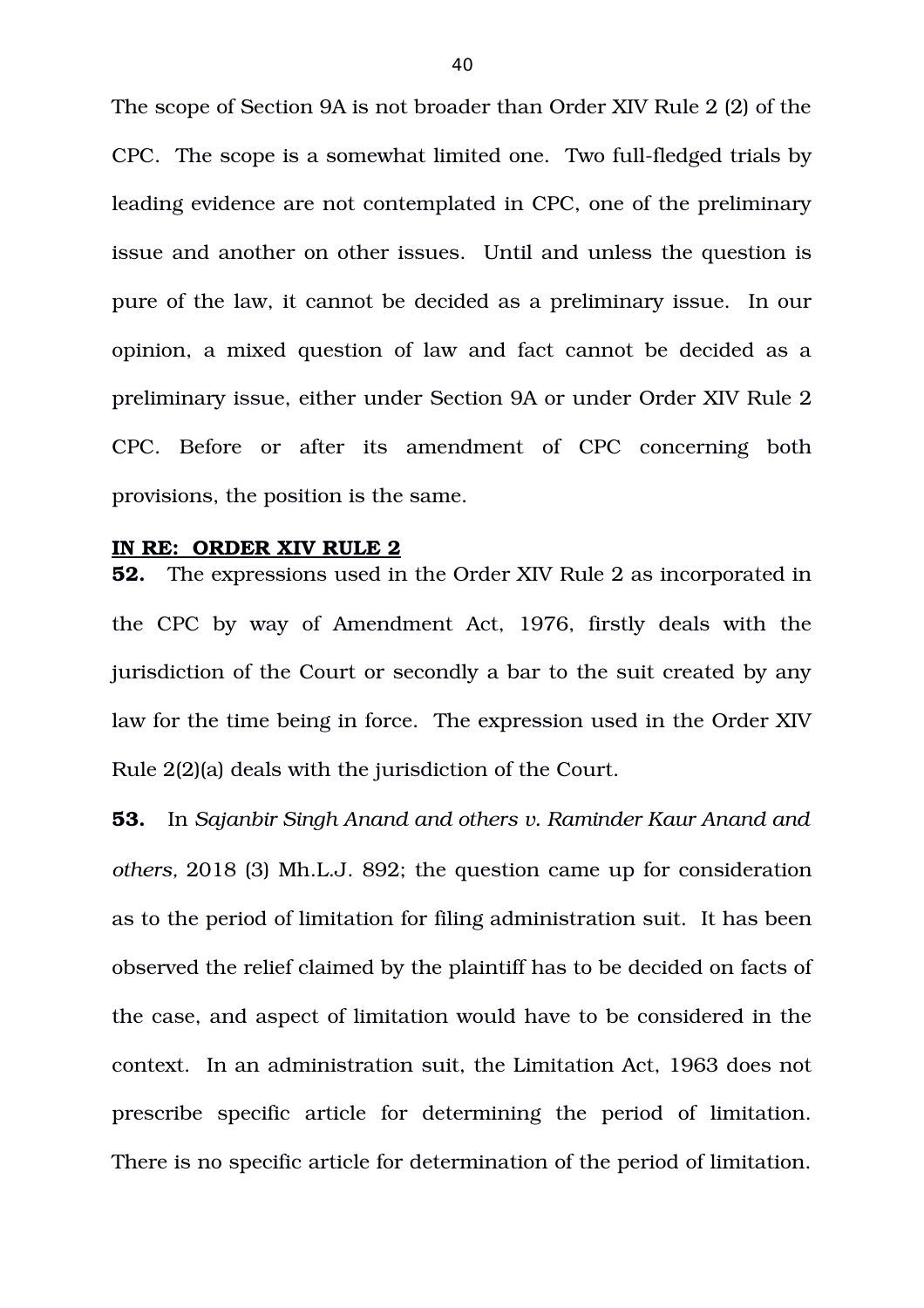The scope of Section 9A is not broader than Order XIV Rule 2 (2) of the CPC. The scope is a somewhat limited one. Two full-fledged trials by leading evidence are not contemplated in CPC, one of the preliminary issue and another on other issues. Until and unless the question is pure of the law, it cannot be decided as a preliminary issue. In our opinion, a mixed question of law and fact cannot be decided as a preliminary issue, either under Section 9A or under Order XIV Rule 2 CPC. Before or after its amendment of CPC concerning both provisions, the position is the same.

#### **IN RE: ORDER XIV RULE 2**

**52.** The expressions used in the Order XIV Rule 2 as incorporated in the CPC by way of Amendment Act, 1976, firstly deals with the jurisdiction of the Court or secondly a bar to the suit created by any law for the time being in force. The expression used in the Order XIV Rule 2(2)(a) deals with the jurisdiction of the Court.

**53.** In *Sajanbir Singh Anand and others v. Raminder Kaur Anand and others,* 2018 (3) Mh.L.J. 892; the question came up for consideration as to the period of limitation for filing administration suit. It has been observed the relief claimed by the plaintiff has to be decided on facts of the case, and aspect of limitation would have to be considered in the context. In an administration suit, the Limitation Act, 1963 does not prescribe specific article for determining the period of limitation. There is no specific article for determination of the period of limitation.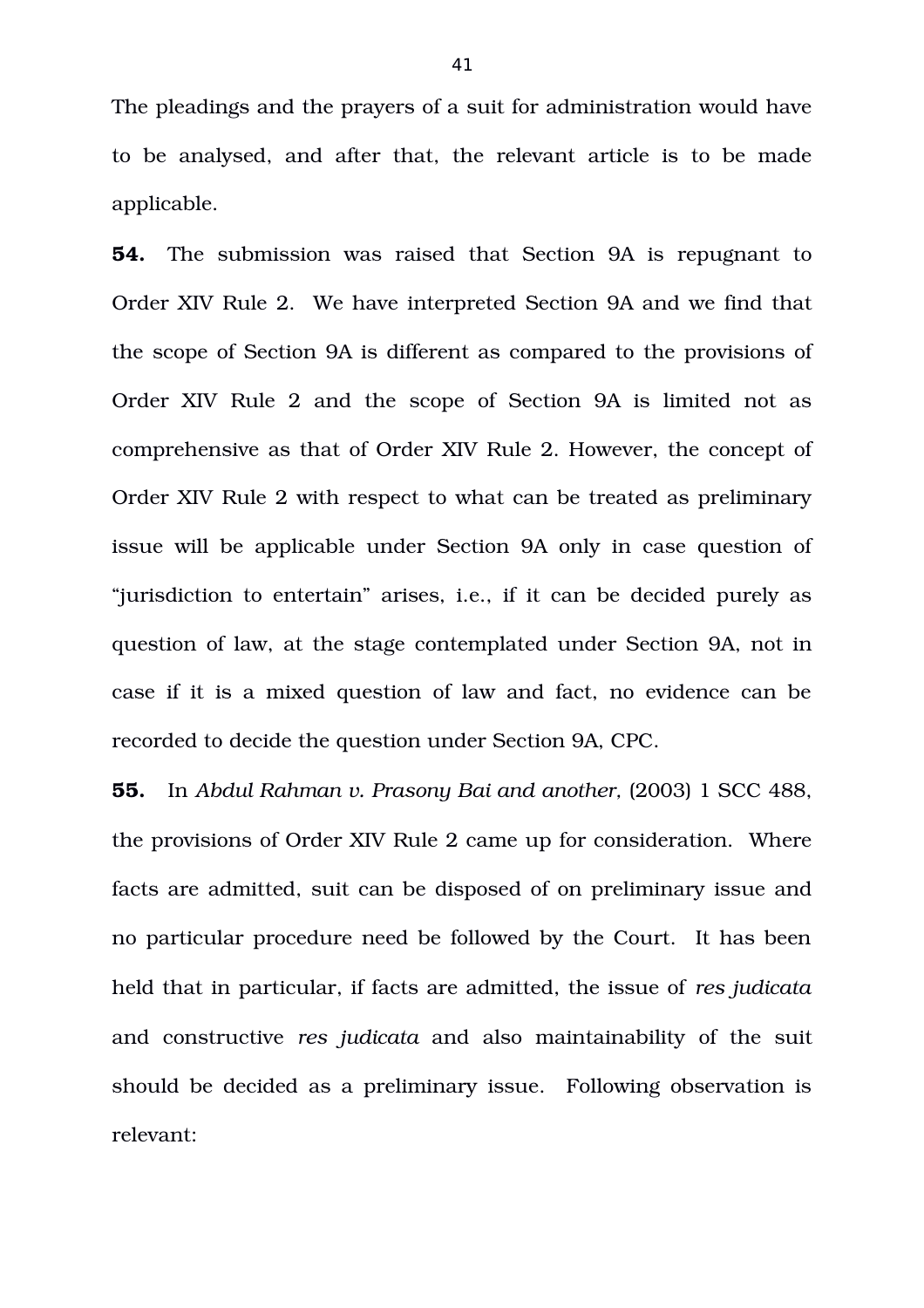The pleadings and the prayers of a suit for administration would have to be analysed, and after that, the relevant article is to be made applicable.

**54.** The submission was raised that Section 9A is repugnant to Order XIV Rule 2. We have interpreted Section 9A and we find that the scope of Section 9A is different as compared to the provisions of Order XIV Rule 2 and the scope of Section 9A is limited not as comprehensive as that of Order XIV Rule 2. However, the concept of Order XIV Rule 2 with respect to what can be treated as preliminary issue will be applicable under Section 9A only in case question of "jurisdiction to entertain" arises, i.e., if it can be decided purely as question of law, at the stage contemplated under Section 9A, not in case if it is a mixed question of law and fact, no evidence can be recorded to decide the question under Section 9A, CPC.

**55.** In *Abdul Rahman v. Prasony Bai and another,* (2003) 1 SCC 488, the provisions of Order XIV Rule 2 came up for consideration. Where facts are admitted, suit can be disposed of on preliminary issue and no particular procedure need be followed by the Court. It has been held that in particular, if facts are admitted, the issue of *res judicata* and constructive *res judicata* and also maintainability of the suit should be decided as a preliminary issue. Following observation is relevant: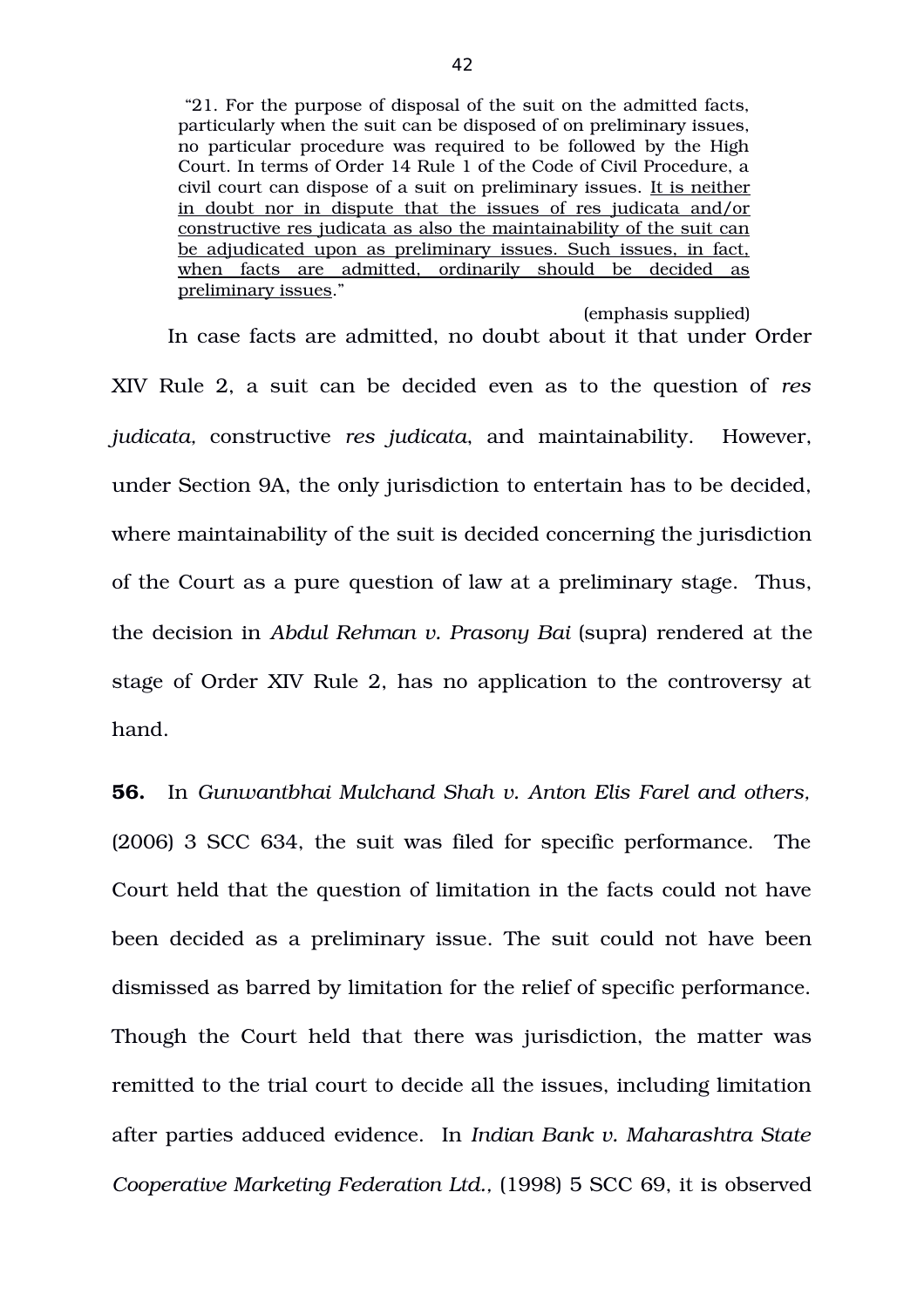"21. For the purpose of disposal of the suit on the admitted facts, particularly when the suit can be disposed of on preliminary issues, no particular procedure was required to be followed by the High Court. In terms of Order 14 Rule 1 of the Code of Civil Procedure, a civil court can dispose of a suit on preliminary issues. It is neither in doubt nor in dispute that the issues of res judicata and/or constructive res judicata as also the maintainability of the suit can be adjudicated upon as preliminary issues. Such issues, in fact, when facts are admitted, ordinarily should be decided as preliminary issues."

(emphasis supplied) In case facts are admitted, no doubt about it that under Order XIV Rule 2, a suit can be decided even as to the question of *res judicata,* constructive *res judicata*, and maintainability. However, under Section 9A, the only jurisdiction to entertain has to be decided, where maintainability of the suit is decided concerning the jurisdiction of the Court as a pure question of law at a preliminary stage. Thus, the decision in *Abdul Rehman v. Prasony Bai* (supra) rendered at the stage of Order XIV Rule 2, has no application to the controversy at hand.

**56.** In *Gunwantbhai Mulchand Shah v. Anton Elis Farel and others,* (2006) 3 SCC 634, the suit was filed for specific performance. The Court held that the question of limitation in the facts could not have been decided as a preliminary issue. The suit could not have been dismissed as barred by limitation for the relief of specific performance. Though the Court held that there was jurisdiction, the matter was remitted to the trial court to decide all the issues, including limitation after parties adduced evidence. In *Indian Bank v. Maharashtra State Cooperative Marketing Federation Ltd.,* (1998) 5 SCC 69, it is observed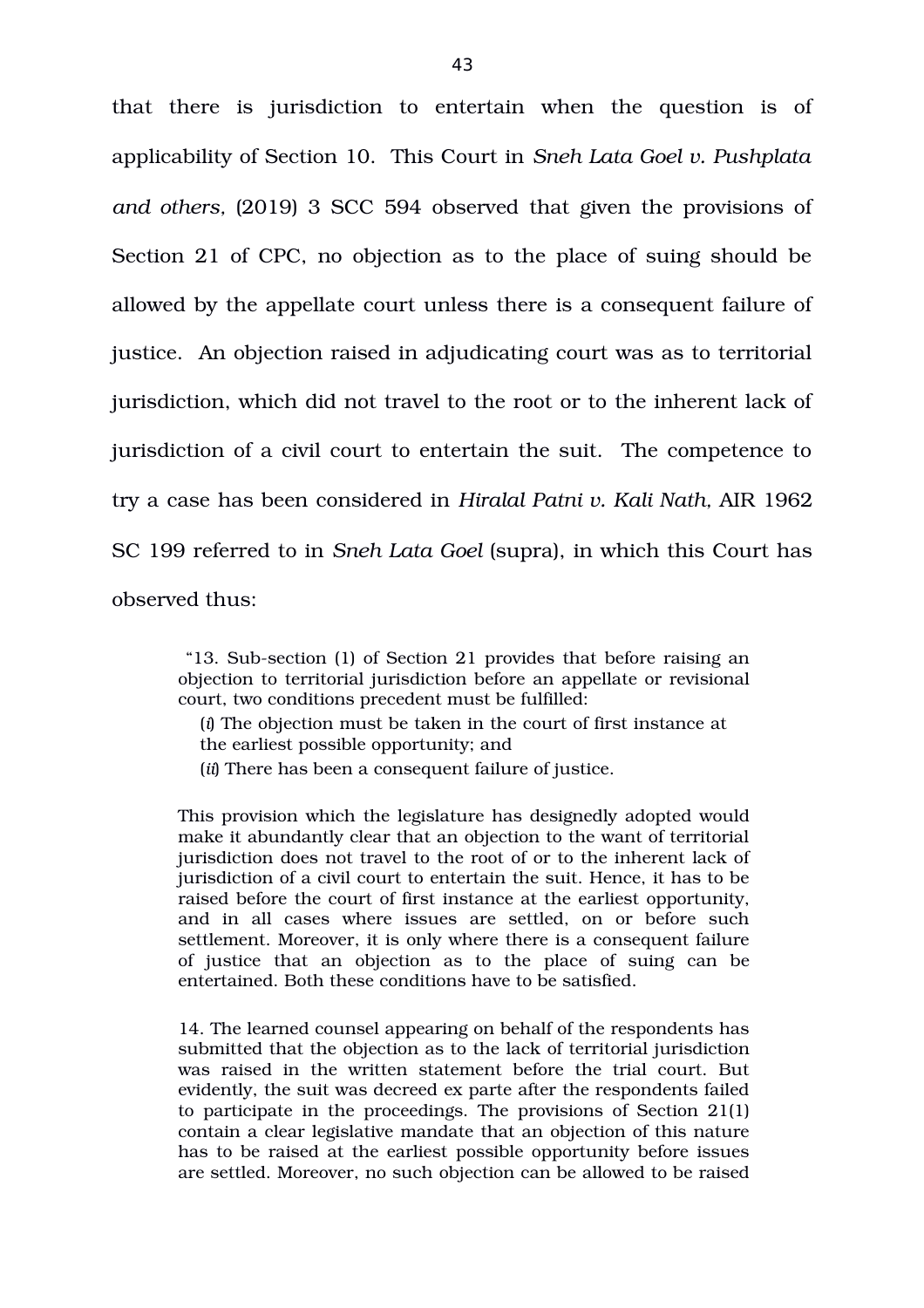that there is jurisdiction to entertain when the question is of applicability of Section 10. This Court in *Sneh Lata Goel v. Pushplata and others,* (2019) 3 SCC 594 observed that given the provisions of Section 21 of CPC, no objection as to the place of suing should be allowed by the appellate court unless there is a consequent failure of justice. An objection raised in adjudicating court was as to territorial jurisdiction, which did not travel to the root or to the inherent lack of jurisdiction of a civil court to entertain the suit. The competence to try a case has been considered in *Hiralal Patni v. Kali Nath,* AIR 1962 SC 199 referred to in *Sneh Lata Goel* (supra), in which this Court has observed thus:

"13. Sub-section (1) of Section 21 provides that before raising an objection to territorial jurisdiction before an appellate or revisional court, two conditions precedent must be fulfilled:

(*i*) The objection must be taken in the court of first instance at the earliest possible opportunity; and

(*ii*) There has been a consequent failure of justice.

This provision which the legislature has designedly adopted would make it abundantly clear that an objection to the want of territorial jurisdiction does not travel to the root of or to the inherent lack of jurisdiction of a civil court to entertain the suit. Hence, it has to be raised before the court of first instance at the earliest opportunity, and in all cases where issues are settled, on or before such settlement. Moreover, it is only where there is a consequent failure of justice that an objection as to the place of suing can be entertained. Both these conditions have to be satisfied.

14. The learned counsel appearing on behalf of the respondents has submitted that the objection as to the lack of territorial jurisdiction was raised in the written statement before the trial court. But evidently, the suit was decreed ex parte after the respondents failed to participate in the proceedings. The provisions of Section 21(1) contain a clear legislative mandate that an objection of this nature has to be raised at the earliest possible opportunity before issues are settled. Moreover, no such objection can be allowed to be raised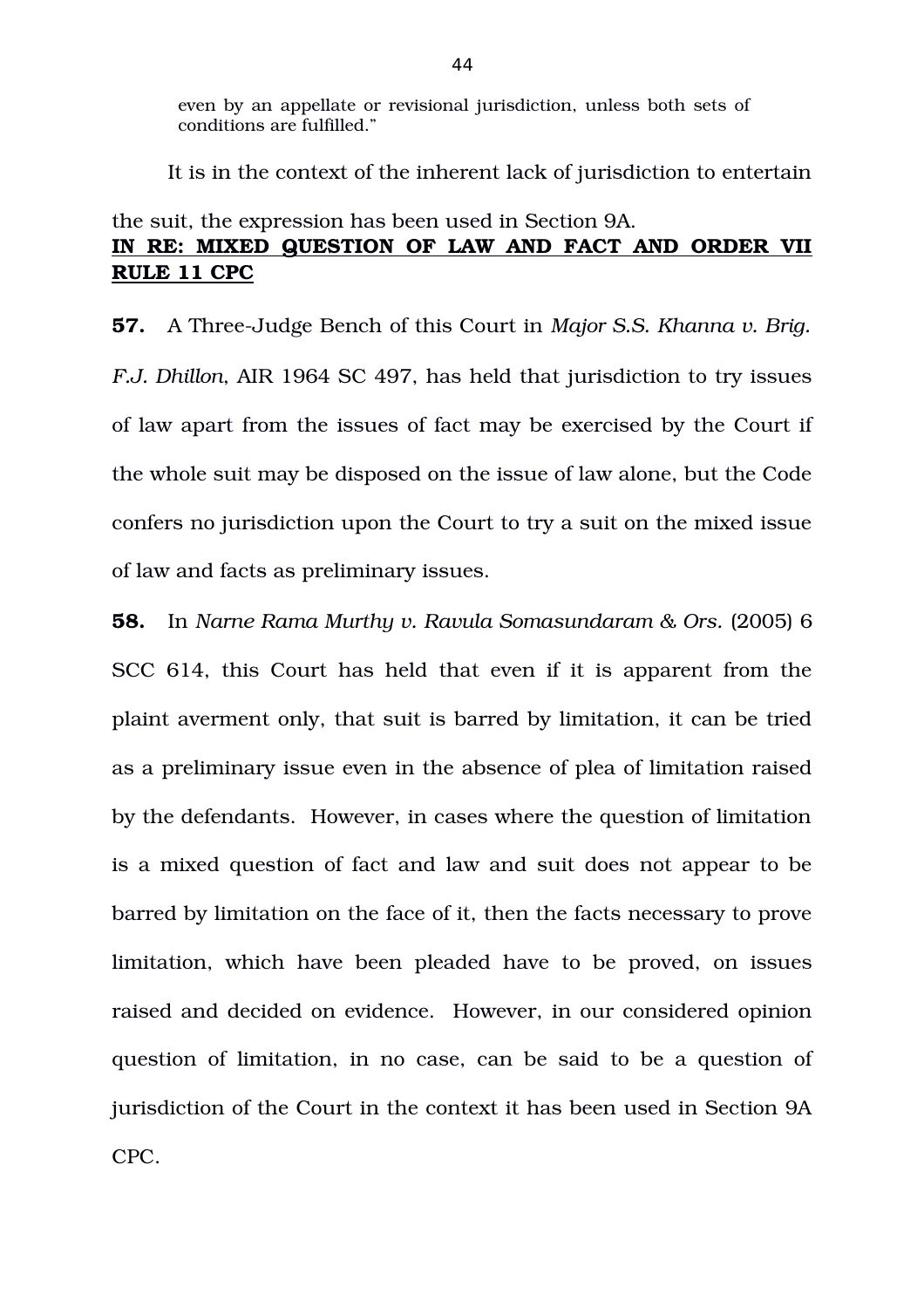even by an appellate or revisional jurisdiction, unless both sets of conditions are fulfilled."

It is in the context of the inherent lack of jurisdiction to entertain

# the suit, the expression has been used in Section 9A. **IN RE: MIXED QUESTION OF LAW AND FACT AND ORDER VII RULE 11 CPC**

**57.** A Three-Judge Bench of this Court in *Major S.S. Khanna v. Brig. F.J. Dhillon*, AIR 1964 SC 497, has held that jurisdiction to try issues of law apart from the issues of fact may be exercised by the Court if the whole suit may be disposed on the issue of law alone, but the Code confers no jurisdiction upon the Court to try a suit on the mixed issue of law and facts as preliminary issues.

**58.** In *Narne Rama Murthy v. Ravula Somasundaram & Ors.* (2005) 6 SCC 614, this Court has held that even if it is apparent from the plaint averment only, that suit is barred by limitation, it can be tried as a preliminary issue even in the absence of plea of limitation raised by the defendants. However, in cases where the question of limitation is a mixed question of fact and law and suit does not appear to be barred by limitation on the face of it, then the facts necessary to prove limitation, which have been pleaded have to be proved, on issues raised and decided on evidence. However, in our considered opinion question of limitation, in no case, can be said to be a question of jurisdiction of the Court in the context it has been used in Section 9A CPC.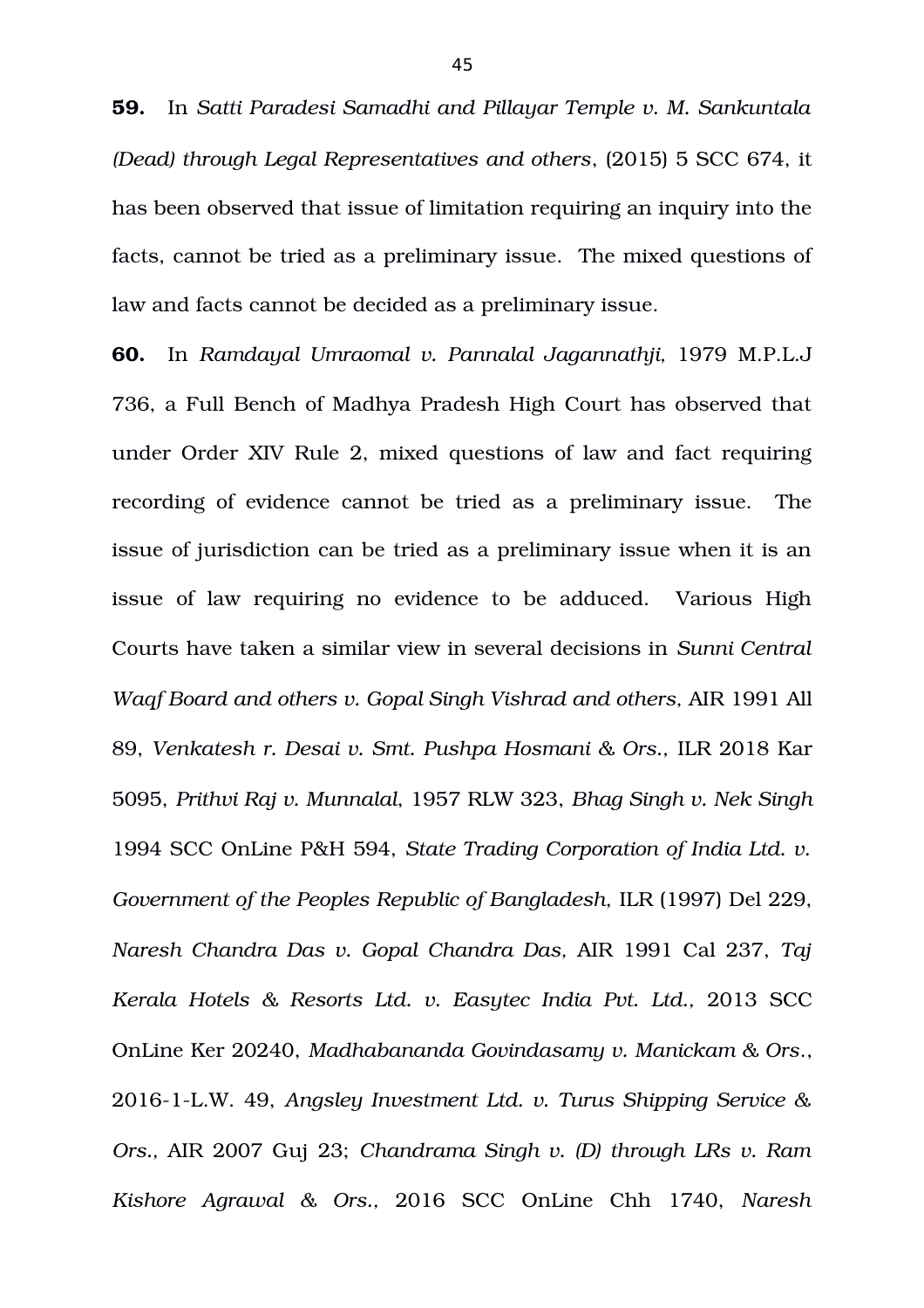**59.** In *Satti Paradesi Samadhi and Pillayar Temple v. M. Sankuntala (Dead) through Legal Representatives and others*, (2015) 5 SCC 674, it has been observed that issue of limitation requiring an inquiry into the facts, cannot be tried as a preliminary issue. The mixed questions of law and facts cannot be decided as a preliminary issue.

**60.** In *Ramdayal Umraomal v. Pannalal Jagannathji,* 1979 M.P.L.J 736, a Full Bench of Madhya Pradesh High Court has observed that under Order XIV Rule 2, mixed questions of law and fact requiring recording of evidence cannot be tried as a preliminary issue. The issue of jurisdiction can be tried as a preliminary issue when it is an issue of law requiring no evidence to be adduced. Various High Courts have taken a similar view in several decisions in *Sunni Central Waqf Board and others v. Gopal Singh Vishrad and others,* AIR 1991 All 89, *Venkatesh r. Desai v. Smt. Pushpa Hosmani & Ors.,* ILR 2018 Kar 5095, *Prithvi Raj v. Munnalal*, 1957 RLW 323, *Bhag Singh v. Nek Singh* 1994 SCC OnLine P&H 594, *State Trading Corporation of India Ltd. v. Government of the Peoples Republic of Bangladesh,* ILR (1997) Del 229, *Naresh Chandra Das v. Gopal Chandra Das,* AIR 1991 Cal 237, *Taj* Kerala Hotels & Resorts Ltd. v. Easytec India Pvt. Ltd., 2013 SCC OnLine Ker 20240, *Madhabananda Govindasamy v. Manickam & Ors*., 20161L.W. 49, *Angsley Investment Ltd. v. Turus Shipping Service & Ors.,* AIR 2007 Guj 23; *Chandrama Singh v. (D) through LRs v. Ram Kishore Agrawal & Ors.,* 2016 SCC OnLine Chh 1740, *Naresh*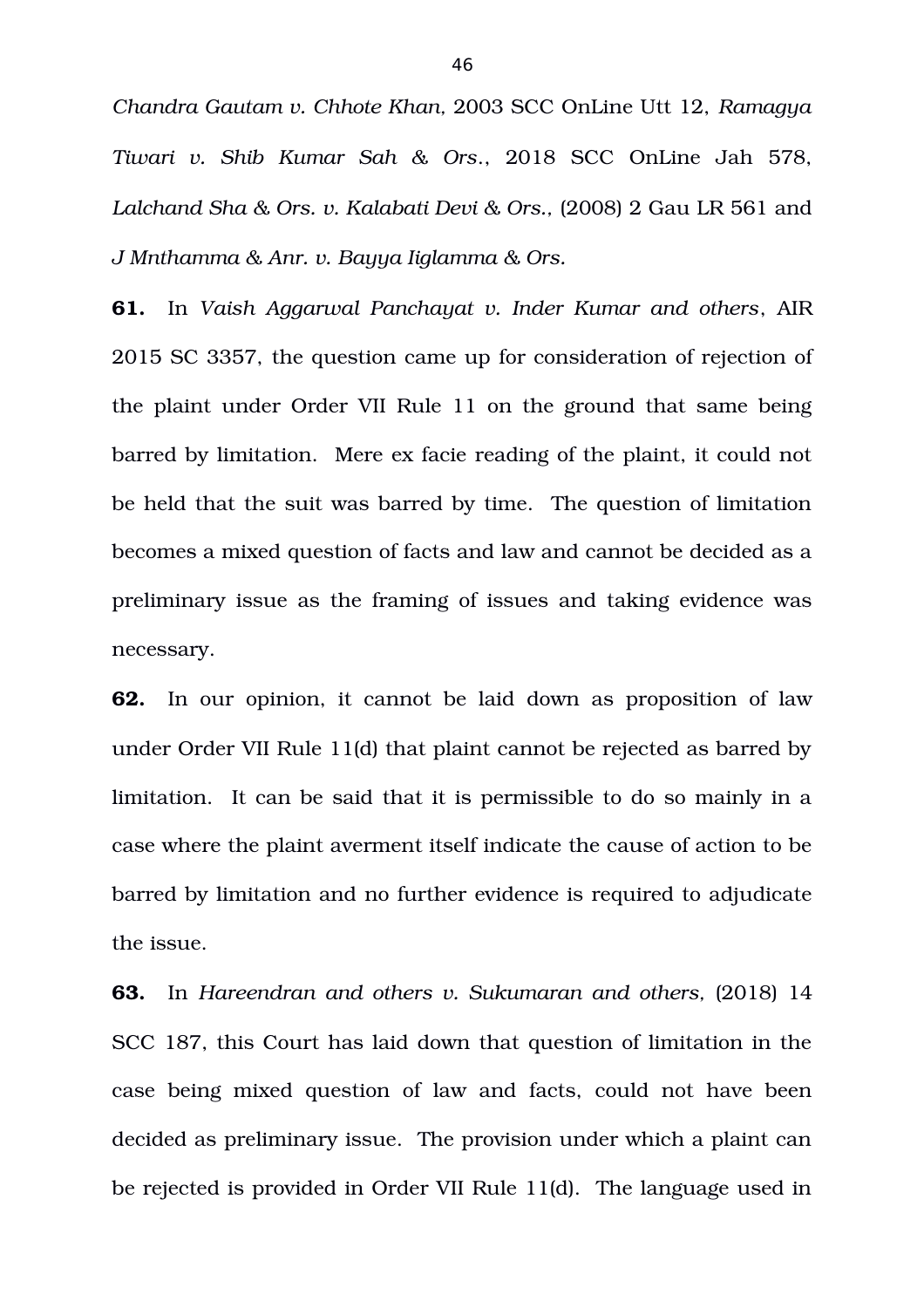*Chandra Gautam v. Chhote Khan,* 2003 SCC OnLine Utt 12, *Ramagya Tiwari v. Shib Kumar Sah & Ors*., 2018 SCC OnLine Jah 578, *Lalchand Sha & Ors. v. Kalabati Devi & Ors.,* (2008) 2 Gau LR 561 and *J Mnthamma & Anr. v. Bayya Iiglamma & Ors.* 

**61.** In *Vaish Aggarwal Panchayat v. Inder Kumar and others*, AIR 2015 SC 3357, the question came up for consideration of rejection of the plaint under Order VII Rule 11 on the ground that same being barred by limitation. Mere ex facie reading of the plaint, it could not be held that the suit was barred by time. The question of limitation becomes a mixed question of facts and law and cannot be decided as a preliminary issue as the framing of issues and taking evidence was necessary.

**62.** In our opinion, it cannot be laid down as proposition of law under Order VII Rule 11(d) that plaint cannot be rejected as barred by limitation. It can be said that it is permissible to do so mainly in a case where the plaint averment itself indicate the cause of action to be barred by limitation and no further evidence is required to adjudicate the issue.

**63.** In Hareendran and others v. Sukumaran and others, (2018) 14 SCC 187, this Court has laid down that question of limitation in the case being mixed question of law and facts, could not have been decided as preliminary issue. The provision under which a plaint can be rejected is provided in Order VII Rule 11(d). The language used in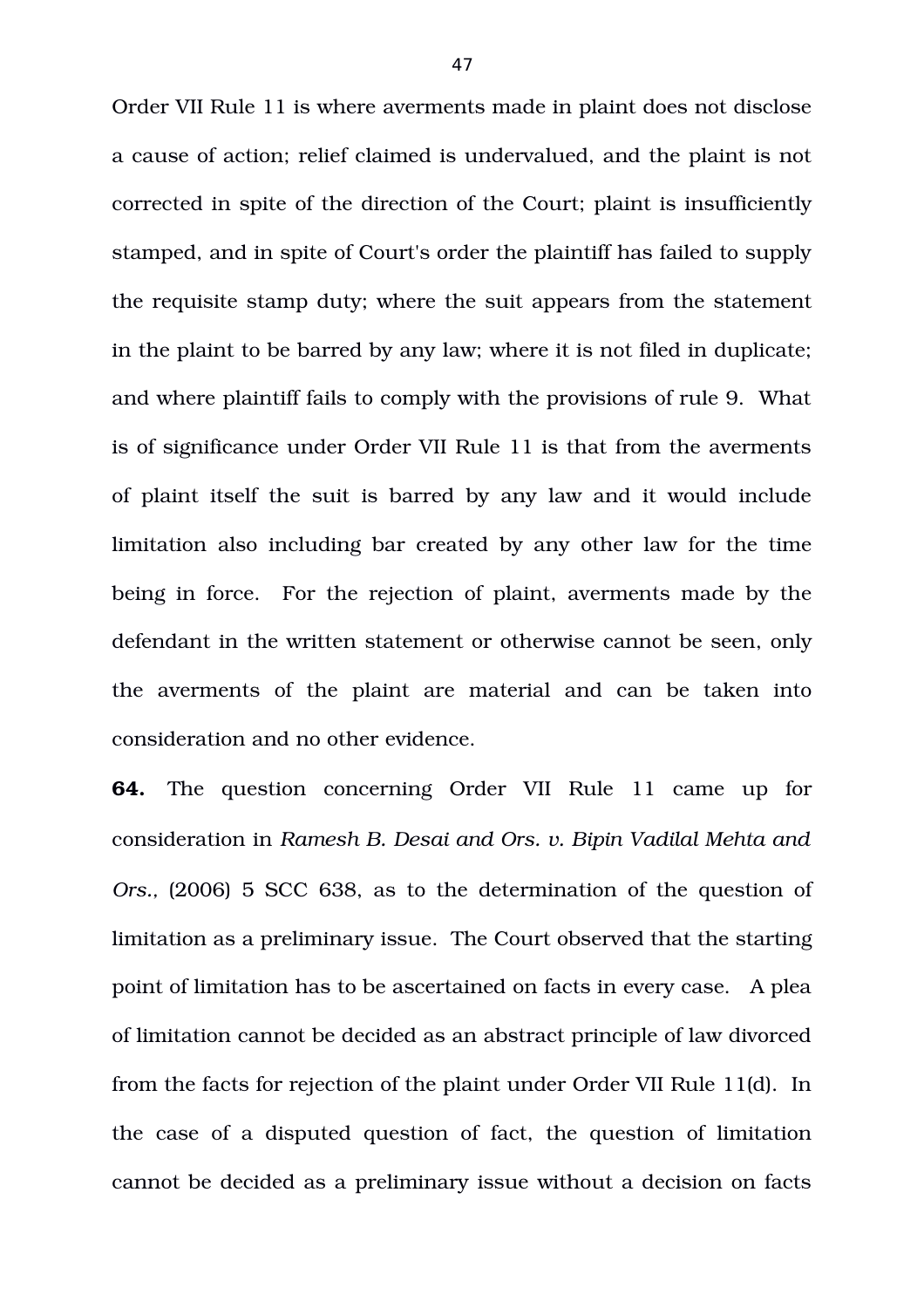Order VII Rule 11 is where averments made in plaint does not disclose a cause of action; relief claimed is undervalued, and the plaint is not corrected in spite of the direction of the Court; plaint is insufficiently stamped, and in spite of Court's order the plaintiff has failed to supply the requisite stamp duty; where the suit appears from the statement in the plaint to be barred by any law; where it is not filed in duplicate; and where plaintiff fails to comply with the provisions of rule 9. What is of significance under Order VII Rule 11 is that from the averments of plaint itself the suit is barred by any law and it would include limitation also including bar created by any other law for the time being in force. For the rejection of plaint, averments made by the defendant in the written statement or otherwise cannot be seen, only the averments of the plaint are material and can be taken into consideration and no other evidence.

**64.** The question concerning Order VII Rule 11 came up for consideration in *Ramesh B. Desai and Ors. v. Bipin Vadilal Mehta and Ors.,* (2006) 5 SCC 638, as to the determination of the question of limitation as a preliminary issue. The Court observed that the starting point of limitation has to be ascertained on facts in every case. A plea of limitation cannot be decided as an abstract principle of law divorced from the facts for rejection of the plaint under Order VII Rule 11(d). In the case of a disputed question of fact, the question of limitation cannot be decided as a preliminary issue without a decision on facts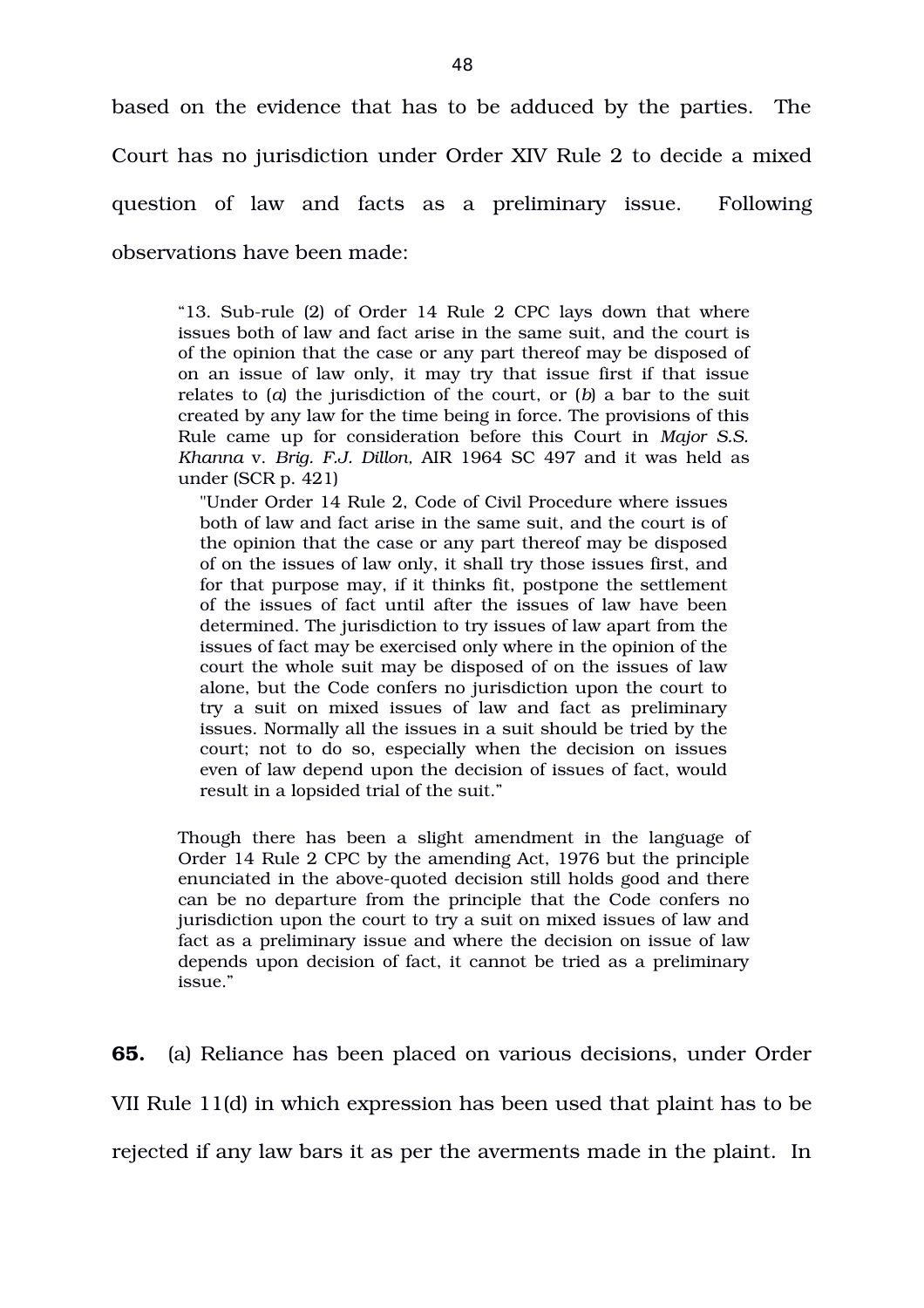based on the evidence that has to be adduced by the parties. The Court has no jurisdiction under Order XIV Rule 2 to decide a mixed question of law and facts as a preliminary issue. Following observations have been made:

"13. Sub-rule (2) of Order 14 Rule 2 CPC lays down that where issues both of law and fact arise in the same suit, and the court is of the opinion that the case or any part thereof may be disposed of on an issue of law only, it may try that issue first if that issue relates to (*a*) the jurisdiction of the court, or (*b*) a bar to the suit created by any law for the time being in force. The provisions of this Rule came up for consideration before this Court in *Major S.S. Khanna* v. *Brig. F.J. Dillon,* AIR 1964 SC 497 and it was held as under (SCR p. 421)

"Under Order 14 Rule 2, Code of Civil Procedure where issues both of law and fact arise in the same suit, and the court is of the opinion that the case or any part thereof may be disposed of on the issues of law only, it shall try those issues first, and for that purpose may, if it thinks fit, postpone the settlement of the issues of fact until after the issues of law have been determined. The jurisdiction to try issues of law apart from the issues of fact may be exercised only where in the opinion of the court the whole suit may be disposed of on the issues of law alone, but the Code confers no jurisdiction upon the court to try a suit on mixed issues of law and fact as preliminary issues. Normally all the issues in a suit should be tried by the court; not to do so, especially when the decision on issues even of law depend upon the decision of issues of fact, would result in a lopsided trial of the suit."

Though there has been a slight amendment in the language of Order 14 Rule 2 CPC by the amending Act, 1976 but the principle enunciated in the above-quoted decision still holds good and there can be no departure from the principle that the Code confers no jurisdiction upon the court to try a suit on mixed issues of law and fact as a preliminary issue and where the decision on issue of law depends upon decision of fact, it cannot be tried as a preliminary issue."

**65.** (a) Reliance has been placed on various decisions, under Order VII Rule 11(d) in which expression has been used that plaint has to be rejected if any law bars it as per the averments made in the plaint. In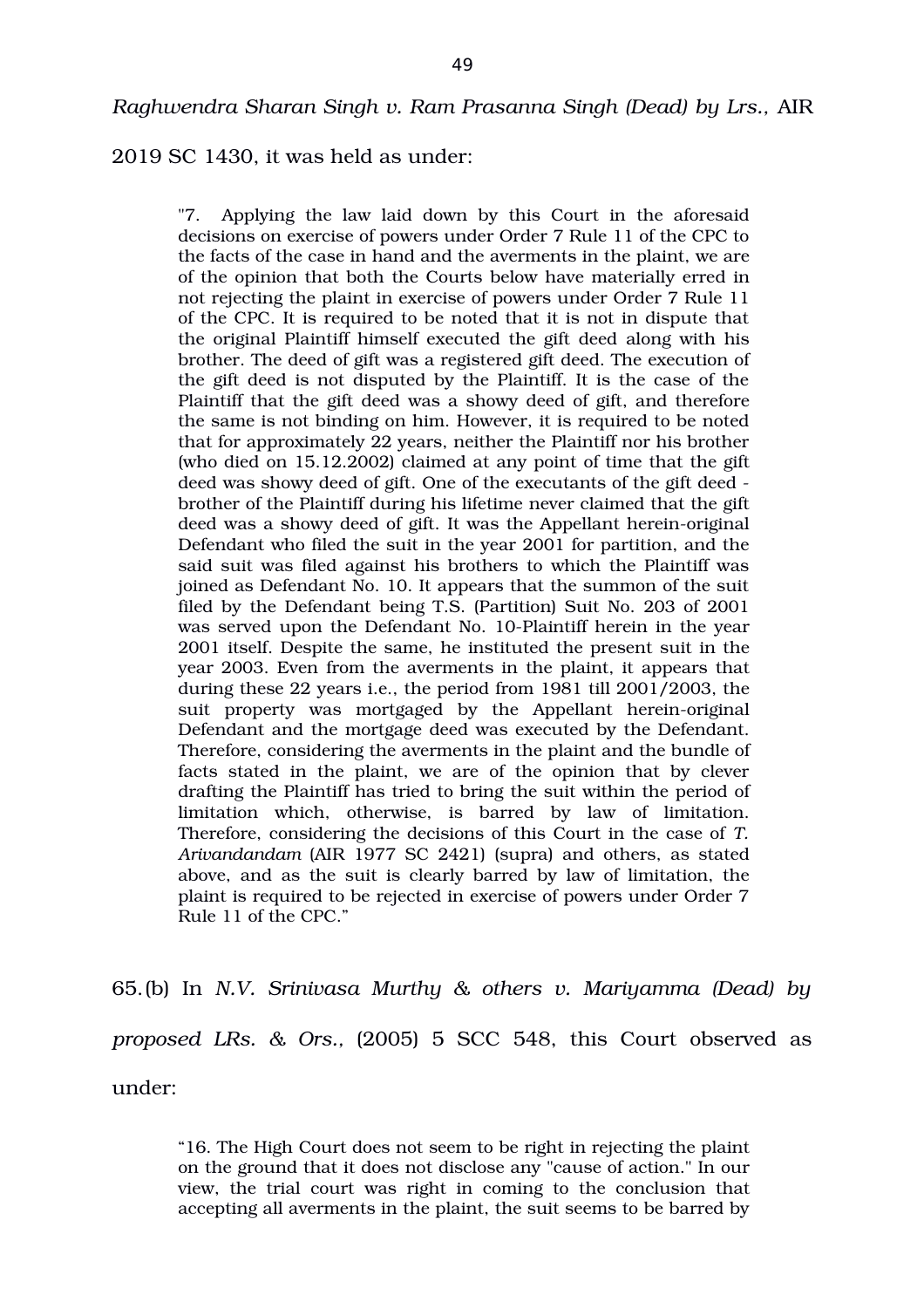2019 SC 1430, it was held as under:

"7. Applying the law laid down by this Court in the aforesaid decisions on exercise of powers under Order 7 Rule 11 of the CPC to the facts of the case in hand and the averments in the plaint, we are of the opinion that both the Courts below have materially erred in not rejecting the plaint in exercise of powers under Order 7 Rule 11 of the CPC. It is required to be noted that it is not in dispute that the original Plaintiff himself executed the gift deed along with his brother. The deed of gift was a registered gift deed. The execution of the gift deed is not disputed by the Plaintiff. It is the case of the Plaintiff that the gift deed was a showy deed of gift, and therefore the same is not binding on him. However, it is required to be noted that for approximately 22 years, neither the Plaintiff nor his brother (who died on 15.12.2002) claimed at any point of time that the gift deed was showy deed of gift. One of the executants of the gift deed brother of the Plaintiff during his lifetime never claimed that the gift deed was a showy deed of gift. It was the Appellant herein-original Defendant who filed the suit in the year 2001 for partition, and the said suit was filed against his brothers to which the Plaintiff was joined as Defendant No. 10. It appears that the summon of the suit filed by the Defendant being T.S. (Partition) Suit No. 203 of 2001 was served upon the Defendant No. 10-Plaintiff herein in the year 2001 itself. Despite the same, he instituted the present suit in the year 2003. Even from the averments in the plaint, it appears that during these 22 years i.e., the period from 1981 till 2001/2003, the suit property was mortgaged by the Appellant herein-original Defendant and the mortgage deed was executed by the Defendant. Therefore, considering the averments in the plaint and the bundle of facts stated in the plaint, we are of the opinion that by clever drafting the Plaintiff has tried to bring the suit within the period of limitation which, otherwise, is barred by law of limitation. Therefore, considering the decisions of this Court in the case of *T. Arivandandam* (AIR 1977 SC 2421) (supra) and others, as stated above, and as the suit is clearly barred by law of limitation, the plaint is required to be rejected in exercise of powers under Order 7 Rule 11 of the CPC."

65.(b) In *N.V. Srinivasa Murthy & others v. Mariyamma (Dead) by proposed LRs. & Ors.,* (2005) 5 SCC 548, this Court observed as under:

"16. The High Court does not seem to be right in rejecting the plaint on the ground that it does not disclose any "cause of action." In our view, the trial court was right in coming to the conclusion that accepting all averments in the plaint, the suit seems to be barred by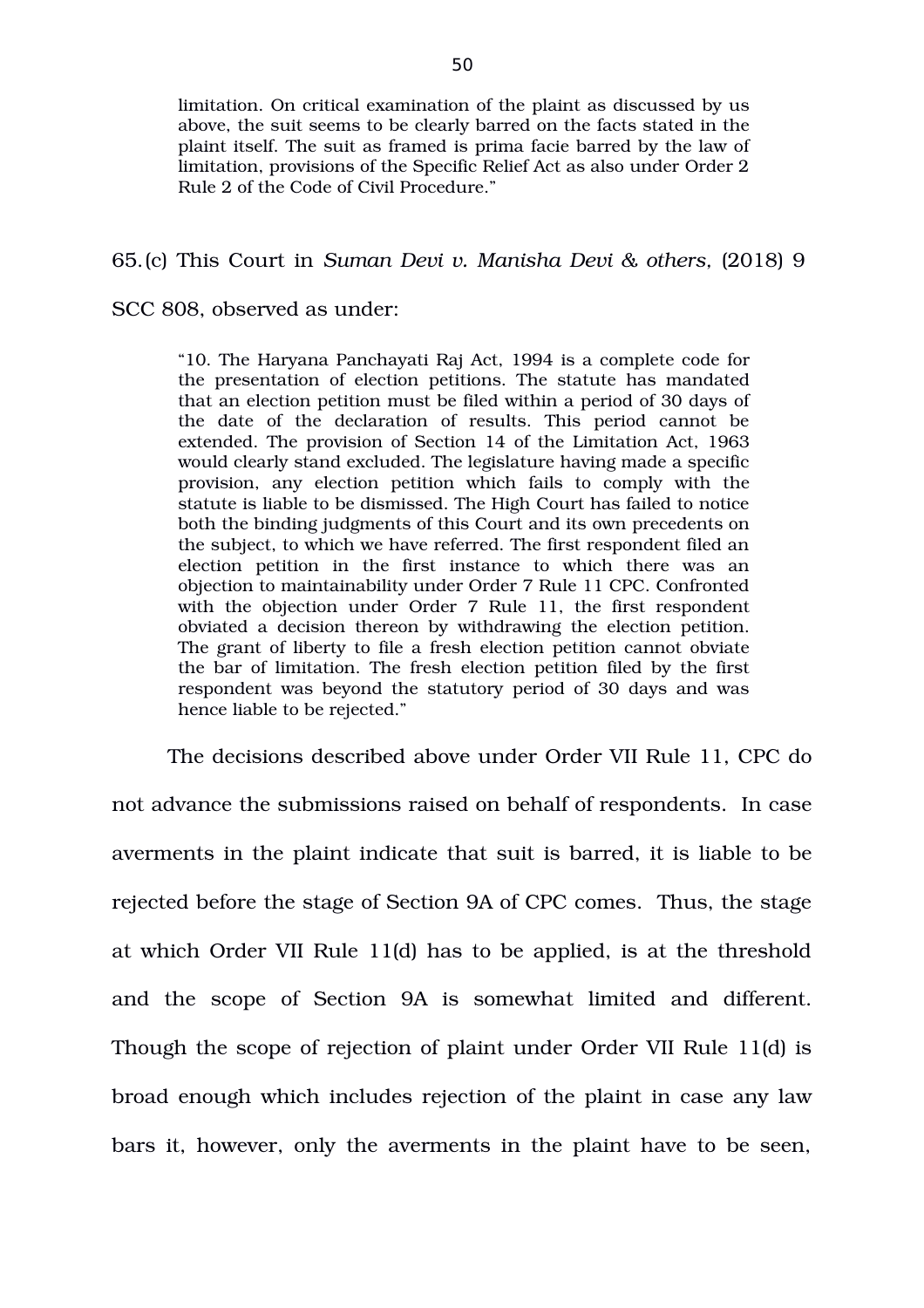limitation. On critical examination of the plaint as discussed by us above, the suit seems to be clearly barred on the facts stated in the plaint itself. The suit as framed is prima facie barred by the law of limitation, provisions of the Specific Relief Act as also under Order 2 Rule 2 of the Code of Civil Procedure."

## 65.(c) This Court in *Suman Devi v. Manisha Devi & others,* (2018) 9

## SCC 808, observed as under:

"10. The Haryana Panchayati Raj Act, 1994 is a complete code for the presentation of election petitions. The statute has mandated that an election petition must be filed within a period of 30 days of the date of the declaration of results. This period cannot be extended. The provision of Section 14 of the Limitation Act, 1963 would clearly stand excluded. The legislature having made a specific provision, any election petition which fails to comply with the statute is liable to be dismissed. The High Court has failed to notice both the binding judgments of this Court and its own precedents on the subject, to which we have referred. The first respondent filed an election petition in the first instance to which there was an objection to maintainability under Order 7 Rule 11 CPC. Confronted with the objection under Order 7 Rule 11, the first respondent obviated a decision thereon by withdrawing the election petition. The grant of liberty to file a fresh election petition cannot obviate the bar of limitation. The fresh election petition filed by the first respondent was beyond the statutory period of 30 days and was hence liable to be rejected."

The decisions described above under Order VII Rule 11, CPC do not advance the submissions raised on behalf of respondents. In case averments in the plaint indicate that suit is barred, it is liable to be rejected before the stage of Section 9A of CPC comes. Thus, the stage at which Order VII Rule 11(d) has to be applied, is at the threshold and the scope of Section 9A is somewhat limited and different. Though the scope of rejection of plaint under Order VII Rule 11(d) is broad enough which includes rejection of the plaint in case any law bars it, however, only the averments in the plaint have to be seen,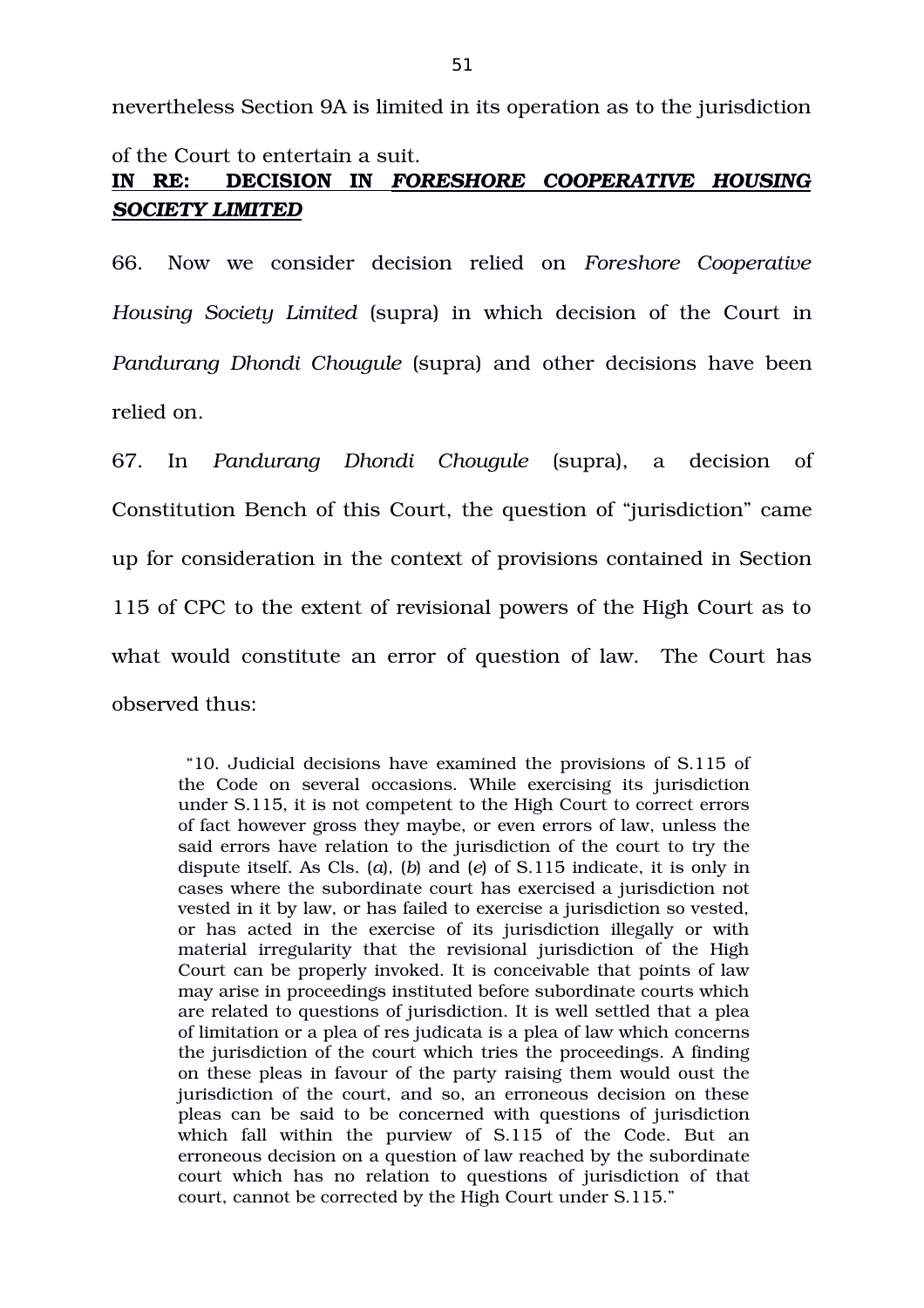nevertheless Section 9A is limited in its operation as to the jurisdiction of the Court to entertain a suit.

# **IN RE: DECISION IN** *FORESHORE COOPERATIVE HOUSING SOCIETY LIMITED*

66. Now we consider decision relied on *Foreshore Cooperative Housing Society Limited* (supra) in which decision of the Court in *Pandurang Dhondi Chougule* (supra) and other decisions have been relied on.

67. In *Pandurang Dhondi Chougule* (supra), a decision of Constitution Bench of this Court, the question of "jurisdiction" came up for consideration in the context of provisions contained in Section 115 of CPC to the extent of revisional powers of the High Court as to what would constitute an error of question of law. The Court has observed thus:

 "10. Judicial decisions have examined the provisions of S.115 of the Code on several occasions. While exercising its jurisdiction under S.115, it is not competent to the High Court to correct errors of fact however gross they maybe, or even errors of law, unless the said errors have relation to the jurisdiction of the court to try the dispute itself. As Cls. (*a*), (*b*) and (*e*) of S.115 indicate, it is only in cases where the subordinate court has exercised a jurisdiction not vested in it by law, or has failed to exercise a jurisdiction so vested, or has acted in the exercise of its jurisdiction illegally or with material irregularity that the revisional jurisdiction of the High Court can be properly invoked. It is conceivable that points of law may arise in proceedings instituted before subordinate courts which are related to questions of jurisdiction. It is well settled that a plea of limitation or a plea of res judicata is a plea of law which concerns the jurisdiction of the court which tries the proceedings. A finding on these pleas in favour of the party raising them would oust the jurisdiction of the court, and so, an erroneous decision on these pleas can be said to be concerned with questions of jurisdiction which fall within the purview of  $S.115$  of the Code. But an erroneous decision on a question of law reached by the subordinate court which has no relation to questions of jurisdiction of that court, cannot be corrected by the High Court under S.115."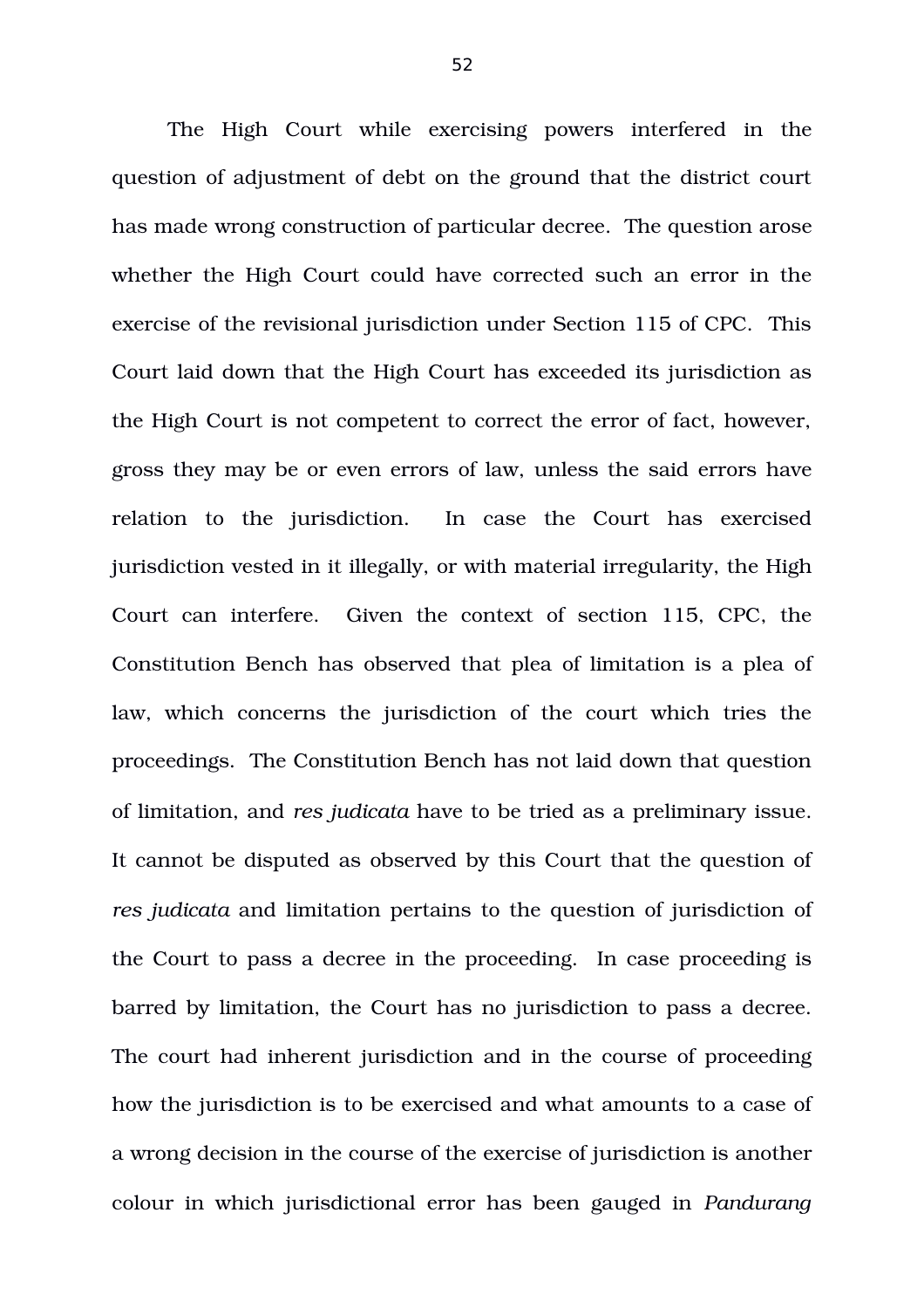The High Court while exercising powers interfered in the question of adjustment of debt on the ground that the district court has made wrong construction of particular decree. The question arose whether the High Court could have corrected such an error in the exercise of the revisional jurisdiction under Section 115 of CPC. This Court laid down that the High Court has exceeded its jurisdiction as the High Court is not competent to correct the error of fact, however, gross they may be or even errors of law, unless the said errors have relation to the jurisdiction. In case the Court has exercised jurisdiction vested in it illegally, or with material irregularity, the High Court can interfere. Given the context of section 115, CPC, the Constitution Bench has observed that plea of limitation is a plea of law, which concerns the jurisdiction of the court which tries the proceedings. The Constitution Bench has not laid down that question of limitation, and *res judicata* have to be tried as a preliminary issue. It cannot be disputed as observed by this Court that the question of *res judicata* and limitation pertains to the question of jurisdiction of the Court to pass a decree in the proceeding. In case proceeding is barred by limitation, the Court has no jurisdiction to pass a decree. The court had inherent jurisdiction and in the course of proceeding how the jurisdiction is to be exercised and what amounts to a case of a wrong decision in the course of the exercise of jurisdiction is another colour in which jurisdictional error has been gauged in *Pandurang*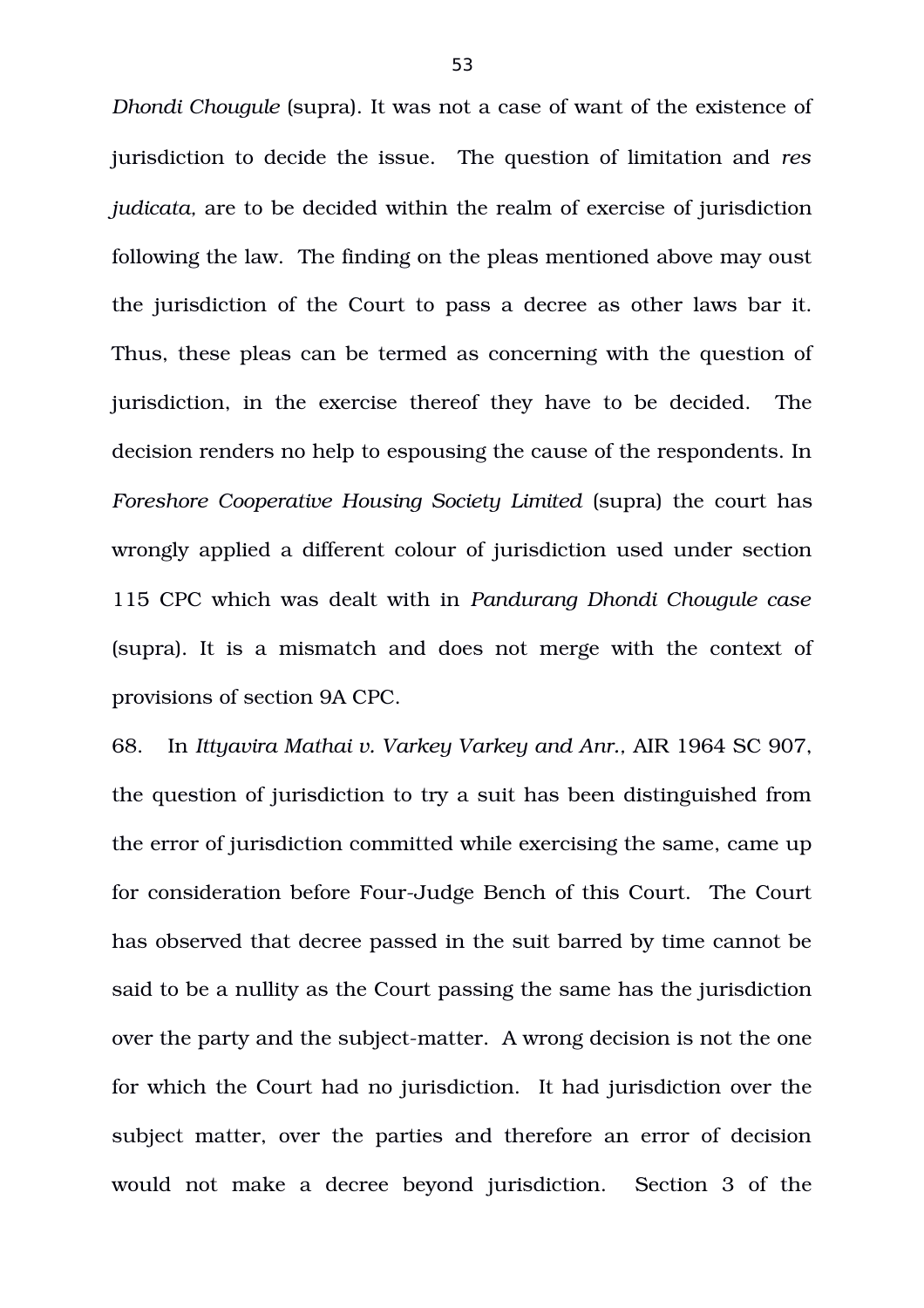*Dhondi Chougule* (supra). It was not a case of want of the existence of jurisdiction to decide the issue.The question of limitation and *res judicata,* are to be decided within the realm of exercise of jurisdiction following the law. The finding on the pleas mentioned above may oust the jurisdiction of the Court to pass a decree as other laws bar it. Thus, these pleas can be termed as concerning with the question of jurisdiction, in the exercise thereof they have to be decided. The decision renders no help to espousing the cause of the respondents. In *Foreshore Cooperative Housing Society Limited* (supra) the court has wrongly applied a different colour of jurisdiction used under section 115 CPC which was dealt with in *Pandurang Dhondi Chougule case* (supra). It is a mismatch and does not merge with the context of provisions of section 9A CPC.

68. In *Ittyavira Mathai v. Varkey Varkey and Anr.,* AIR 1964 SC 907, the question of jurisdiction to try a suit has been distinguished from the error of jurisdiction committed while exercising the same, came up for consideration before Four-Judge Bench of this Court. The Court has observed that decree passed in the suit barred by time cannot be said to be a nullity as the Court passing the same has the jurisdiction over the party and the subject-matter. A wrong decision is not the one for which the Court had no jurisdiction. It had jurisdiction over the subject matter, over the parties and therefore an error of decision would not make a decree beyond jurisdiction. Section 3 of the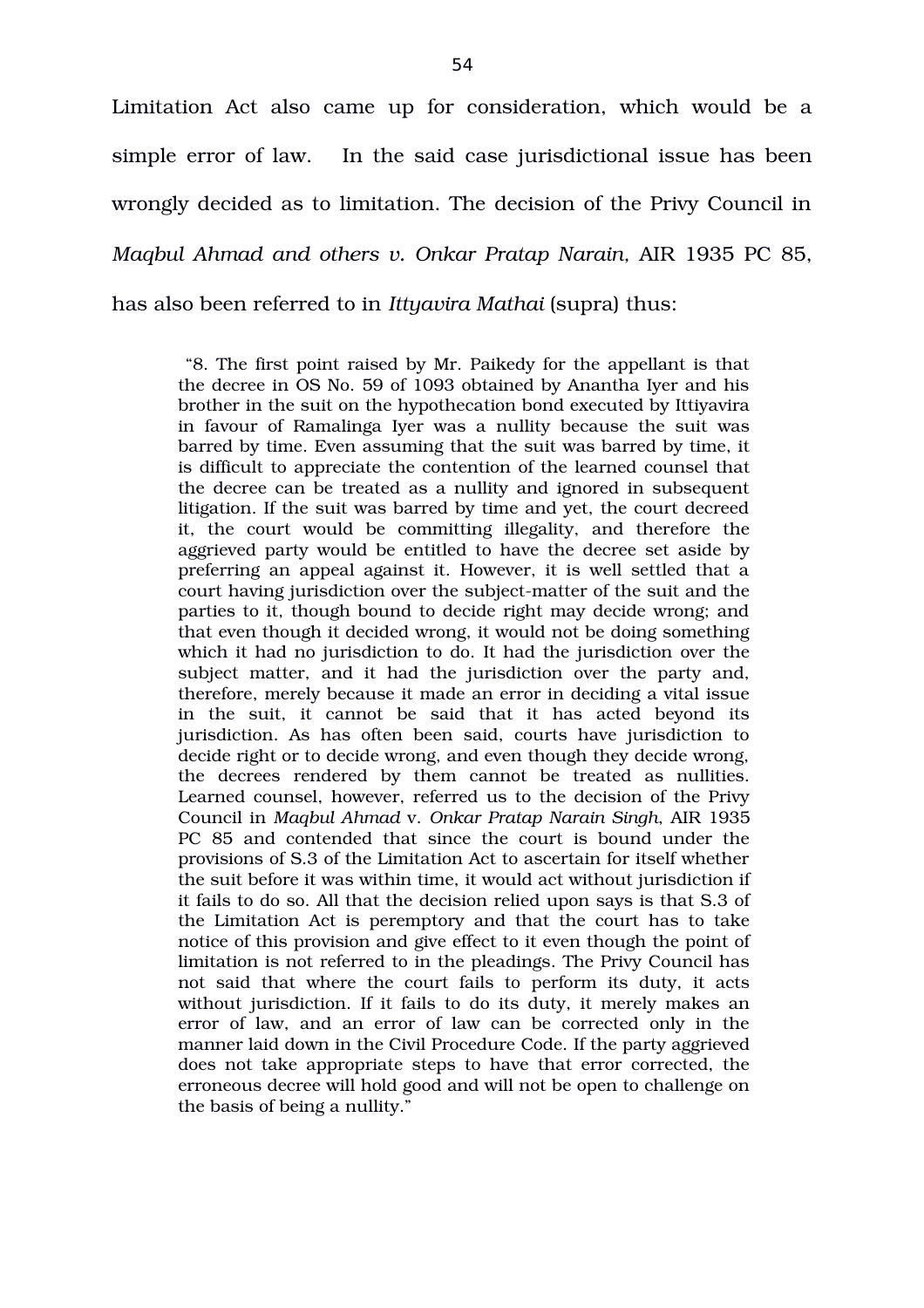Limitation Act also came up for consideration, which would be a simple error of law. In the said case jurisdictional issue has been wrongly decided as to limitation. The decision of the Privy Council in *Magbul Ahmad and others v. Onkar Pratap Narain, AIR 1935 PC 85,* has also been referred to in *Ittyavira Mathai* (supra) thus:

 "8. The first point raised by Mr. Paikedy for the appellant is that the decree in OS No. 59 of 1093 obtained by Anantha Iyer and his brother in the suit on the hypothecation bond executed by Ittiyavira in favour of Ramalinga Iyer was a nullity because the suit was barred by time. Even assuming that the suit was barred by time, it is difficult to appreciate the contention of the learned counsel that the decree can be treated as a nullity and ignored in subsequent litigation. If the suit was barred by time and yet, the court decreed it, the court would be committing illegality, and therefore the aggrieved party would be entitled to have the decree set aside by preferring an appeal against it. However, it is well settled that a court having jurisdiction over the subject-matter of the suit and the parties to it, though bound to decide right may decide wrong; and that even though it decided wrong, it would not be doing something which it had no jurisdiction to do. It had the jurisdiction over the subject matter, and it had the jurisdiction over the party and, therefore, merely because it made an error in deciding a vital issue in the suit, it cannot be said that it has acted beyond its jurisdiction. As has often been said, courts have jurisdiction to decide right or to decide wrong, and even though they decide wrong, the decrees rendered by them cannot be treated as nullities. Learned counsel, however, referred us to the decision of the Privy Council in *Maqbul Ahmad* v. *Onkar Pratap Narain Singh*, AIR 1935 PC 85 and contended that since the court is bound under the provisions of S.3 of the Limitation Act to ascertain for itself whether the suit before it was within time, it would act without jurisdiction if it fails to do so. All that the decision relied upon says is that S.3 of the Limitation Act is peremptory and that the court has to take notice of this provision and give effect to it even though the point of limitation is not referred to in the pleadings. The Privy Council has not said that where the court fails to perform its duty, it acts without jurisdiction. If it fails to do its duty, it merely makes an error of law, and an error of law can be corrected only in the manner laid down in the Civil Procedure Code. If the party aggrieved does not take appropriate steps to have that error corrected, the erroneous decree will hold good and will not be open to challenge on the basis of being a nullity."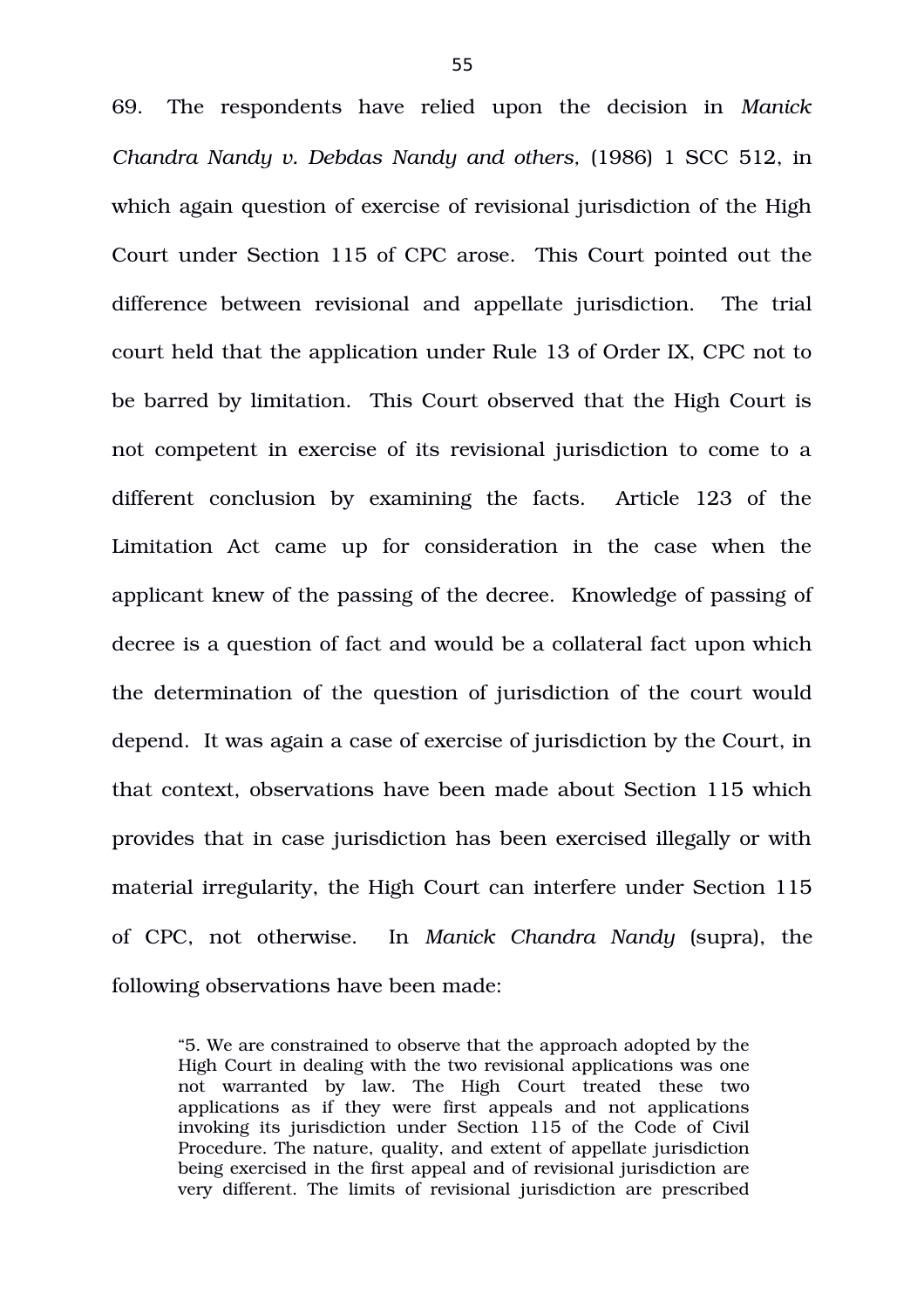69. The respondents have relied upon the decision in *Manick Chandra Nandy v. Debdas Nandy and others,* (1986) 1 SCC 512, in which again question of exercise of revisional jurisdiction of the High Court under Section 115 of CPC arose. This Court pointed out the difference between revisional and appellate jurisdiction. The trial court held that the application under Rule 13 of Order IX, CPC not to be barred by limitation. This Court observed that the High Court is not competent in exercise of its revisional jurisdiction to come to a different conclusion by examining the facts. Article 123 of the Limitation Act came up for consideration in the case when the applicant knew of the passing of the decree. Knowledge of passing of decree is a question of fact and would be a collateral fact upon which the determination of the question of jurisdiction of the court would depend. It was again a case of exercise of jurisdiction by the Court, in that context, observations have been made about Section 115 which provides that in case jurisdiction has been exercised illegally or with material irregularity, the High Court can interfere under Section 115 of CPC, not otherwise. In *Manick Chandra Nandy* (supra), the following observations have been made:

"5. We are constrained to observe that the approach adopted by the High Court in dealing with the two revisional applications was one not warranted by law. The High Court treated these two applications as if they were first appeals and not applications invoking its jurisdiction under Section 115 of the Code of Civil Procedure. The nature, quality, and extent of appellate jurisdiction being exercised in the first appeal and of revisional jurisdiction are very different. The limits of revisional jurisdiction are prescribed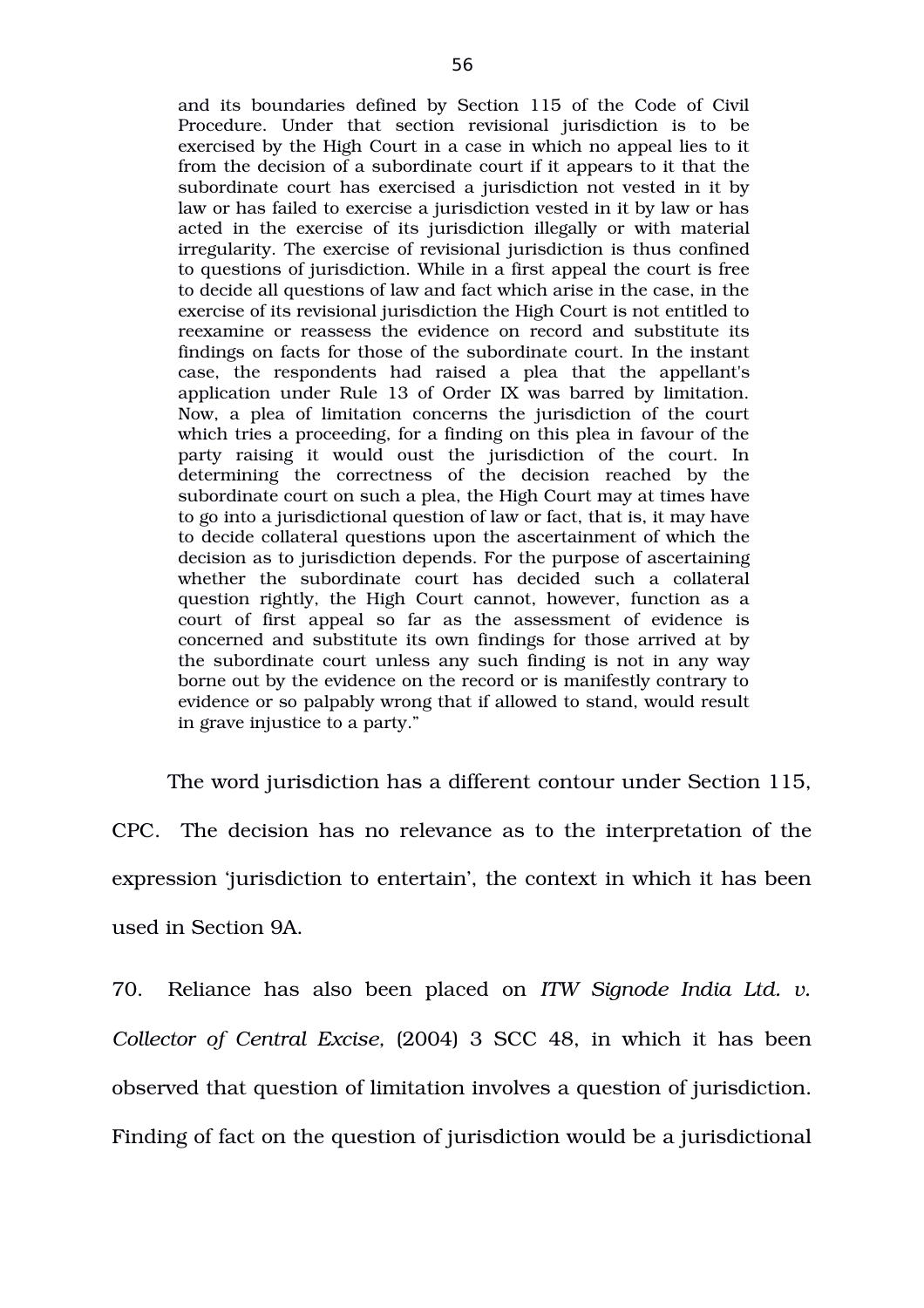and its boundaries defined by Section 115 of the Code of Civil Procedure. Under that section revisional jurisdiction is to be exercised by the High Court in a case in which no appeal lies to it from the decision of a subordinate court if it appears to it that the subordinate court has exercised a jurisdiction not vested in it by law or has failed to exercise a jurisdiction vested in it by law or has acted in the exercise of its jurisdiction illegally or with material irregularity. The exercise of revisional jurisdiction is thus confined to questions of jurisdiction. While in a first appeal the court is free to decide all questions of law and fact which arise in the case, in the exercise of its revisional jurisdiction the High Court is not entitled to reexamine or reassess the evidence on record and substitute its findings on facts for those of the subordinate court. In the instant case, the respondents had raised a plea that the appellant's application under Rule 13 of Order IX was barred by limitation. Now, a plea of limitation concerns the jurisdiction of the court which tries a proceeding, for a finding on this plea in favour of the party raising it would oust the jurisdiction of the court. In determining the correctness of the decision reached by the subordinate court on such a plea, the High Court may at times have to go into a jurisdictional question of law or fact, that is, it may have to decide collateral questions upon the ascertainment of which the decision as to jurisdiction depends. For the purpose of ascertaining whether the subordinate court has decided such a collateral question rightly, the High Court cannot, however, function as a court of first appeal so far as the assessment of evidence is concerned and substitute its own findings for those arrived at by the subordinate court unless any such finding is not in any way borne out by the evidence on the record or is manifestly contrary to evidence or so palpably wrong that if allowed to stand, would result in grave injustice to a party."

The word jurisdiction has a different contour under Section 115, CPC. The decision has no relevance as to the interpretation of the expression 'jurisdiction to entertain', the context in which it has been used in Section 9A.

70. Reliance has also been placed on *ITW Signode India Ltd. v. Collector of Central Excise, (2004) 3 SCC 48, in which it has been* observed that question of limitation involves a question of jurisdiction. Finding of fact on the question of jurisdiction would be a jurisdictional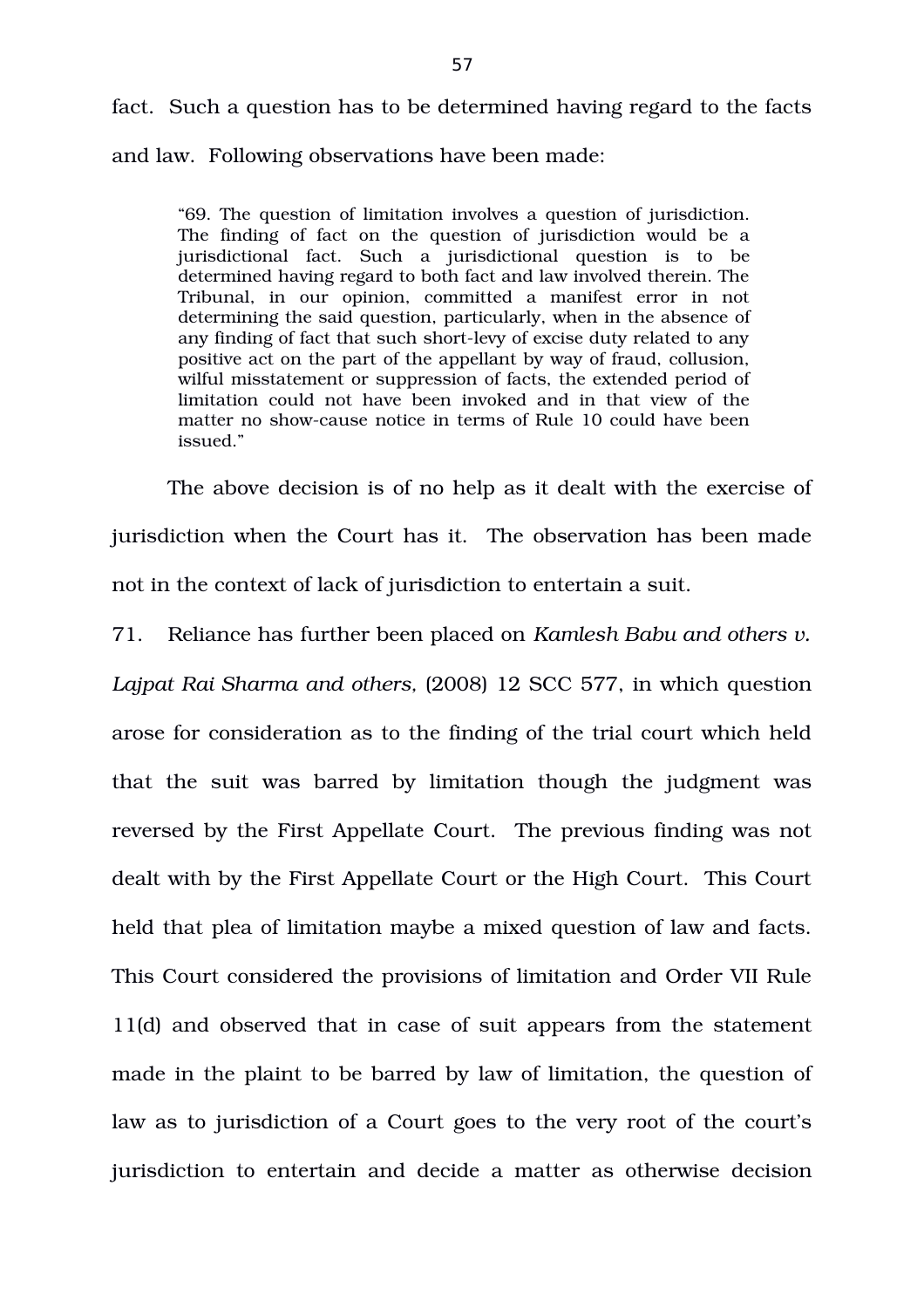fact. Such a question has to be determined having regard to the facts and law. Following observations have been made:

"69. The question of limitation involves a question of jurisdiction. The finding of fact on the question of jurisdiction would be a jurisdictional fact. Such a jurisdictional question is to be determined having regard to both fact and law involved therein. The Tribunal, in our opinion, committed a manifest error in not determining the said question, particularly, when in the absence of any finding of fact that such short-levy of excise duty related to any positive act on the part of the appellant by way of fraud, collusion, wilful misstatement or suppression of facts, the extended period of limitation could not have been invoked and in that view of the matter no showcause notice in terms of Rule 10 could have been issued."

The above decision is of no help as it dealt with the exercise of jurisdiction when the Court has it. The observation has been made not in the context of lack of jurisdiction to entertain a suit.

71. Reliance has further been placed on *Kamlesh Babu and others v.*

*Lajpat Rai Sharma and others,* (2008) 12 SCC 577, in which question arose for consideration as to the finding of the trial court which held that the suit was barred by limitation though the judgment was reversed by the First Appellate Court. The previous finding was not dealt with by the First Appellate Court or the High Court. This Court held that plea of limitation maybe a mixed question of law and facts. This Court considered the provisions of limitation and Order VII Rule 11(d) and observed that in case of suit appears from the statement made in the plaint to be barred by law of limitation, the question of law as to jurisdiction of a Court goes to the very root of the court's jurisdiction to entertain and decide a matter as otherwise decision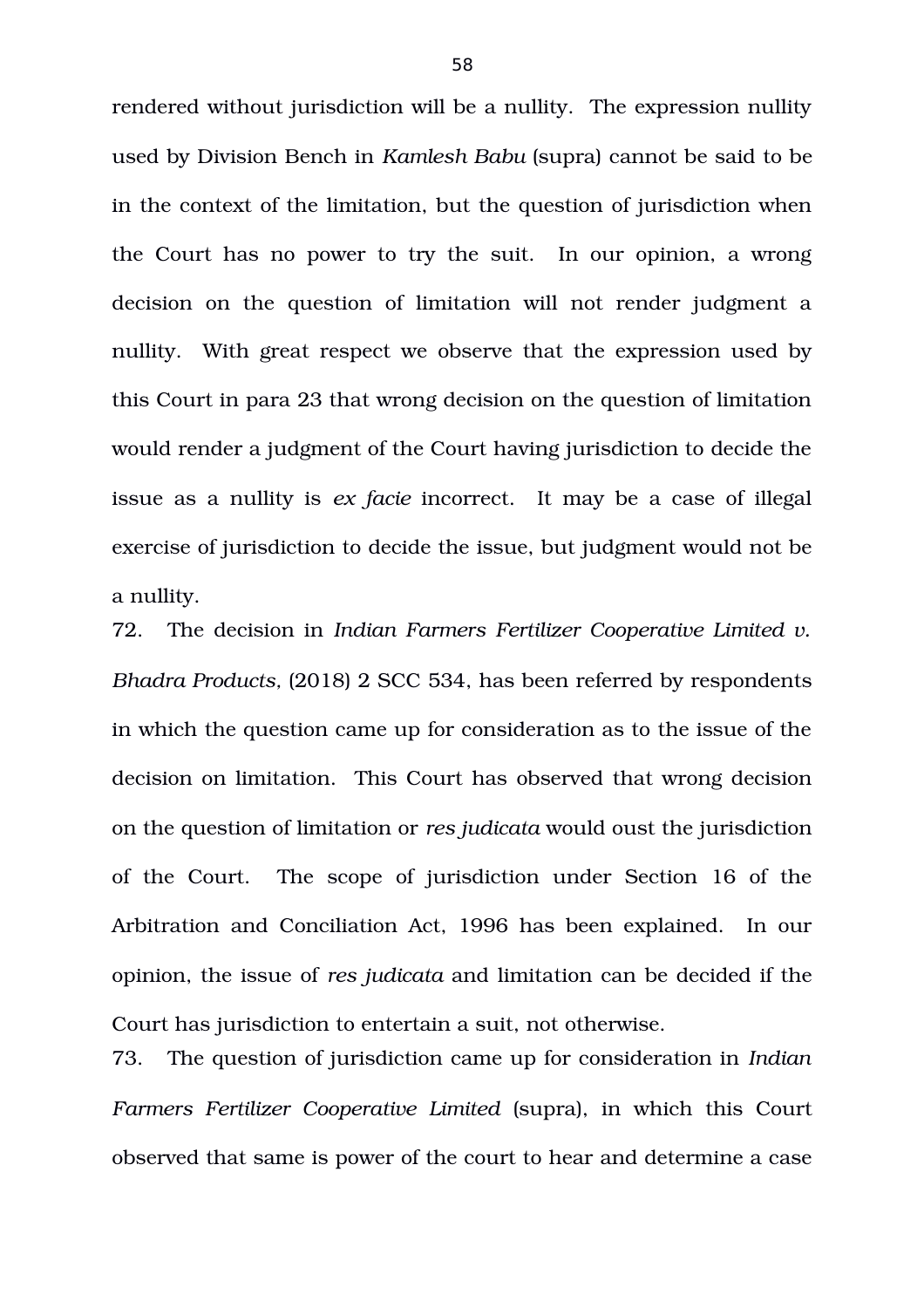rendered without jurisdiction will be a nullity. The expression nullity used by Division Bench in *Kamlesh Babu* (supra) cannot be said to be in the context of the limitation, but the question of jurisdiction when the Court has no power to try the suit. In our opinion, a wrong decision on the question of limitation will not render judgment a nullity. With great respect we observe that the expression used by this Court in para 23 that wrong decision on the question of limitation would render a judgment of the Court having jurisdiction to decide the issue as a nullity is *ex facie* incorrect. It may be a case of illegal exercise of jurisdiction to decide the issue, but judgment would not be a nullity.

72. The decision in *Indian Farmers Fertilizer Cooperative Limited v. Bhadra Products,* (2018) 2 SCC 534, has been referred by respondents in which the question came up for consideration as to the issue of the decision on limitation. This Court has observed that wrong decision on the question of limitation or *res judicata* would oust the jurisdiction of the Court. The scope of jurisdiction under Section 16 of the Arbitration and Conciliation Act, 1996 has been explained. In our opinion, the issue of *res judicata* and limitation can be decided if the Court has jurisdiction to entertain a suit, not otherwise.

73. The question of jurisdiction came up for consideration in *Indian Farmers Fertilizer Cooperative Limited* (supra), in which this Court observed that same is power of the court to hear and determine a case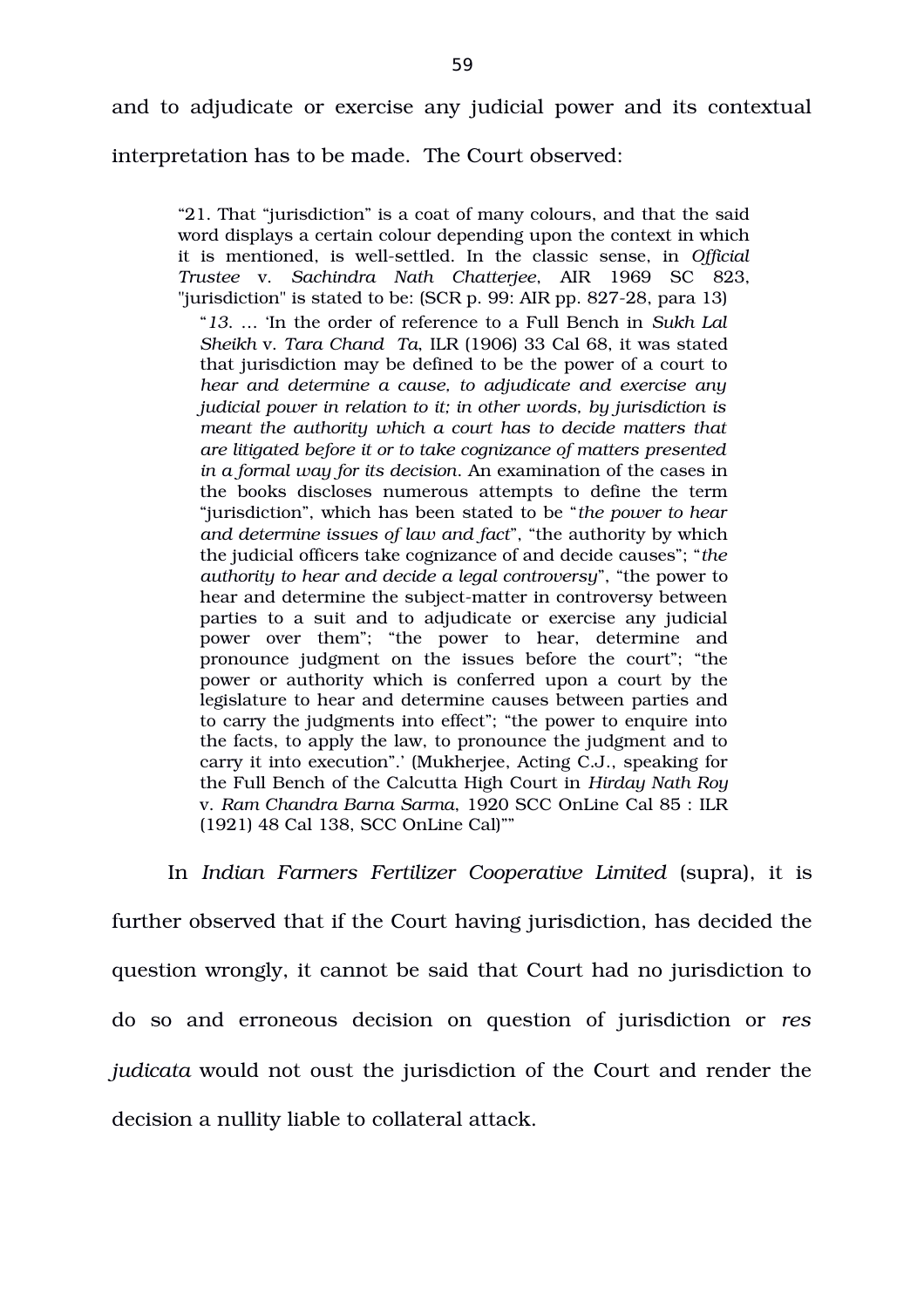interpretation has to be made. The Court observed:

"21. That "jurisdiction" is a coat of many colours, and that the said word displays a certain colour depending upon the context in which it is mentioned, is well-settled. In the classic sense, in Official *Trustee* v. *Sachindra Nath Chatterjee*, AIR 1969 SC 823, "jurisdiction" is stated to be:  $(SCR p. 99: AIR pp. 827-28, para 13)$ "*13*. … 'In the order of reference to a Full Bench in *Sukh Lal Sheikh* v. *Tara Chand Ta*, ILR (1906) 33 Cal 68, it was stated that jurisdiction may be defined to be the power of a court to *hear and determine a cause, to adjudicate and exercise any judicial power in relation to it; in other words, by jurisdiction is meant the authority which a court has to decide matters that are litigated before it or to take cognizance of matters presented in a formal way for its decision*. An examination of the cases in the books discloses numerous attempts to define the term "jurisdiction", which has been stated to be "*the power to hear and determine issues of law and fact*", "the authority by which the judicial officers take cognizance of and decide causes"; "*the authority to hear and decide a legal controversy*", "the power to hear and determine the subject-matter in controversy between parties to a suit and to adjudicate or exercise any judicial power over them"; "the power to hear, determine and pronounce judgment on the issues before the court"; "the power or authority which is conferred upon a court by the legislature to hear and determine causes between parties and to carry the judgments into effect"; "the power to enquire into the facts, to apply the law, to pronounce the judgment and to carry it into execution".' (Mukherjee, Acting C.J., speaking for the Full Bench of the Calcutta High Court in *Hirday Nath Roy* v. *Ram Chandra Barna Sarma*, 1920 SCC OnLine Cal 85 : ILR (1921) 48 Cal 138, SCC OnLine Cal)""

In *Indian Farmers Fertilizer Cooperative Limited* (supra), it is further observed that if the Court having jurisdiction, has decided the question wrongly, it cannot be said that Court had no jurisdiction to do so and erroneous decision on question of jurisdiction or *res judicata* would not oust the jurisdiction of the Court and render the decision a nullity liable to collateral attack.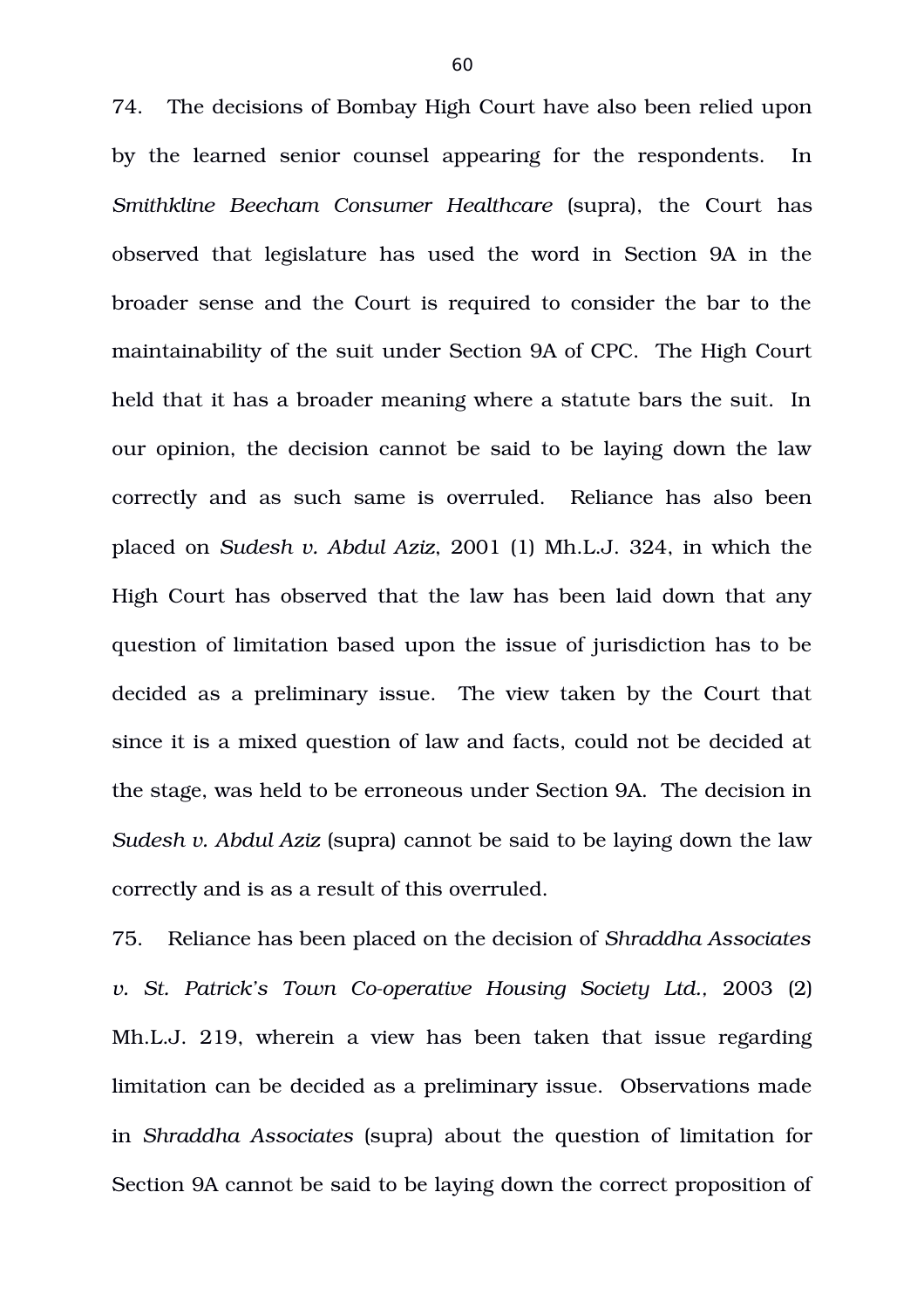74. The decisions of Bombay High Court have also been relied upon by the learned senior counsel appearing for the respondents. In *Smithkline Beecham Consumer Healthcare* (supra), the Court has observed that legislature has used the word in Section 9A in the broader sense and the Court is required to consider the bar to the maintainability of the suit under Section 9A of CPC. The High Court held that it has a broader meaning where a statute bars the suit. In our opinion, the decision cannot be said to be laying down the law correctly and as such same is overruled. Reliance has also been placed on *Sudesh v. Abdul Aziz*, 2001 (1) Mh.L.J. 324, in which the High Court has observed that the law has been laid down that any question of limitation based upon the issue of jurisdiction has to be decided as a preliminary issue. The view taken by the Court that since it is a mixed question of law and facts, could not be decided at the stage, was held to be erroneous under Section 9A. The decision in *Sudesh v. Abdul Aziz* (supra) cannot be said to be laying down the law correctly and is as a result of this overruled.

75. Reliance has been placed on the decision of *Shraddha Associates v. St. Patrick's Town Co-operative Housing Society Ltd., 2003 (2)* Mh.L.J. 219, wherein a view has been taken that issue regarding limitation can be decided as a preliminary issue. Observations made in *Shraddha Associates* (supra) about the question of limitation for Section 9A cannot be said to be laying down the correct proposition of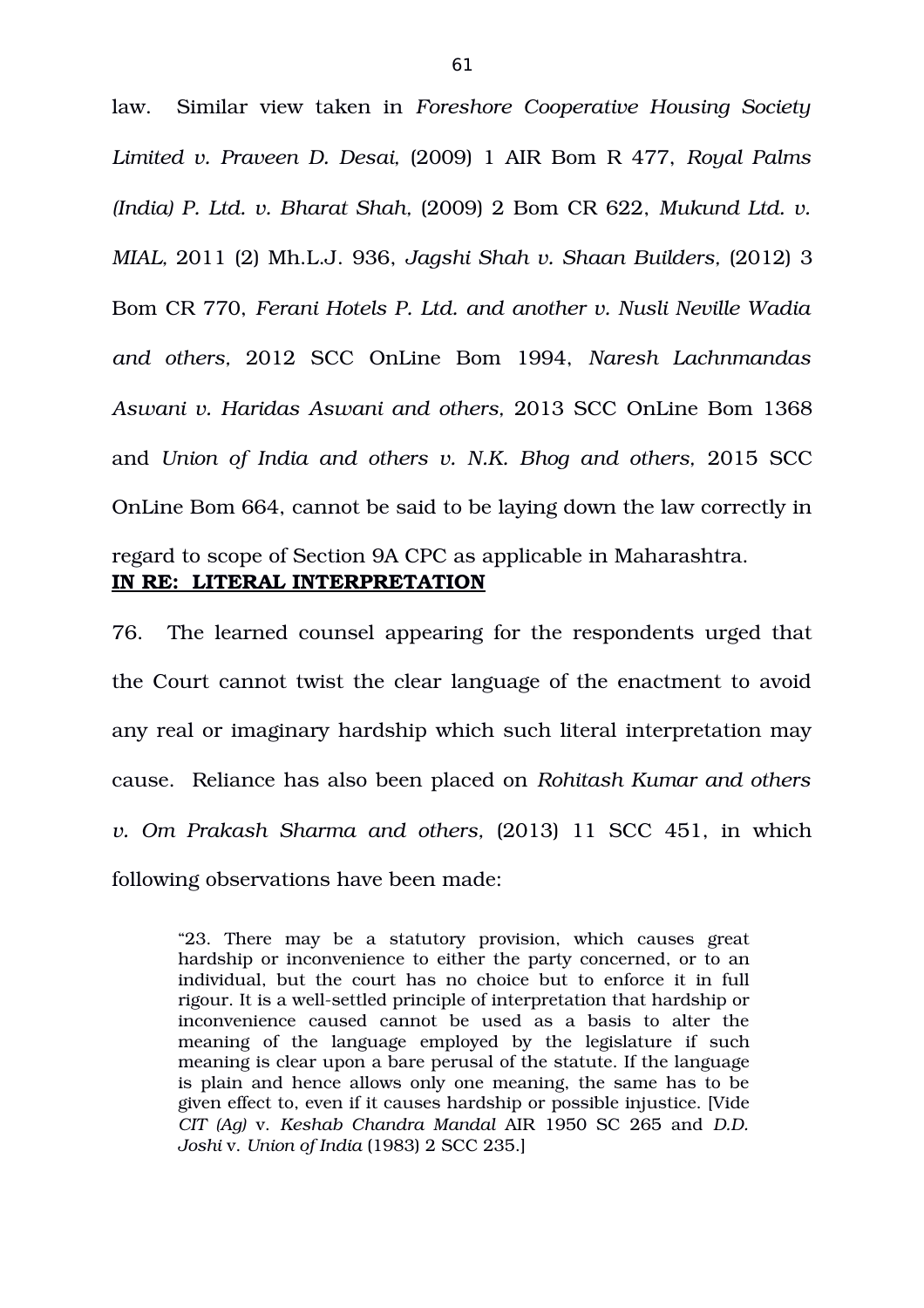law. Similar view taken in *Foreshore Cooperative Housing Society Limited v. Praveen D. Desai,* (2009) 1 AIR Bom R 477, *Royal Palms (India) P. Ltd. v. Bharat Shah,* (2009) 2 Bom CR 622, *Mukund Ltd. v. MIAL,* 2011 (2) Mh.L.J. 936, *Jagshi Shah v. Shaan Builders,* (2012) 3 Bom CR 770, *Ferani Hotels P. Ltd. and another v. Nusli Neville Wadia and others,* 2012 SCC OnLine Bom 1994, *Naresh Lachnmandas Aswani v. Haridas Aswani and others,* 2013 SCC OnLine Bom 1368 and *Union of India and others v. N.K. Bhog and others,* 2015 SCC OnLine Bom 664, cannot be said to be laying down the law correctly in regard to scope of Section 9A CPC as applicable in Maharashtra.

# **IN RE: LITERAL INTERPRETATION**

76. The learned counsel appearing for the respondents urged that the Court cannot twist the clear language of the enactment to avoid any real or imaginary hardship which such literal interpretation may cause. Reliance has also been placed on *Rohitash Kumar and others v.* Om Prakash Sharma and others, (2013) 11 SCC 451, in which following observations have been made:

"23. There may be a statutory provision, which causes great hardship or inconvenience to either the party concerned, or to an individual, but the court has no choice but to enforce it in full rigour. It is a well-settled principle of interpretation that hardship or inconvenience caused cannot be used as a basis to alter the meaning of the language employed by the legislature if such meaning is clear upon a bare perusal of the statute. If the language is plain and hence allows only one meaning, the same has to be given effect to, even if it causes hardship or possible injustice. [Vide *CIT (Ag)* v. *Keshab Chandra Mandal* AIR 1950 SC 265 and *D.D. Joshi* v. *Union of India* (1983) 2 SCC 235.]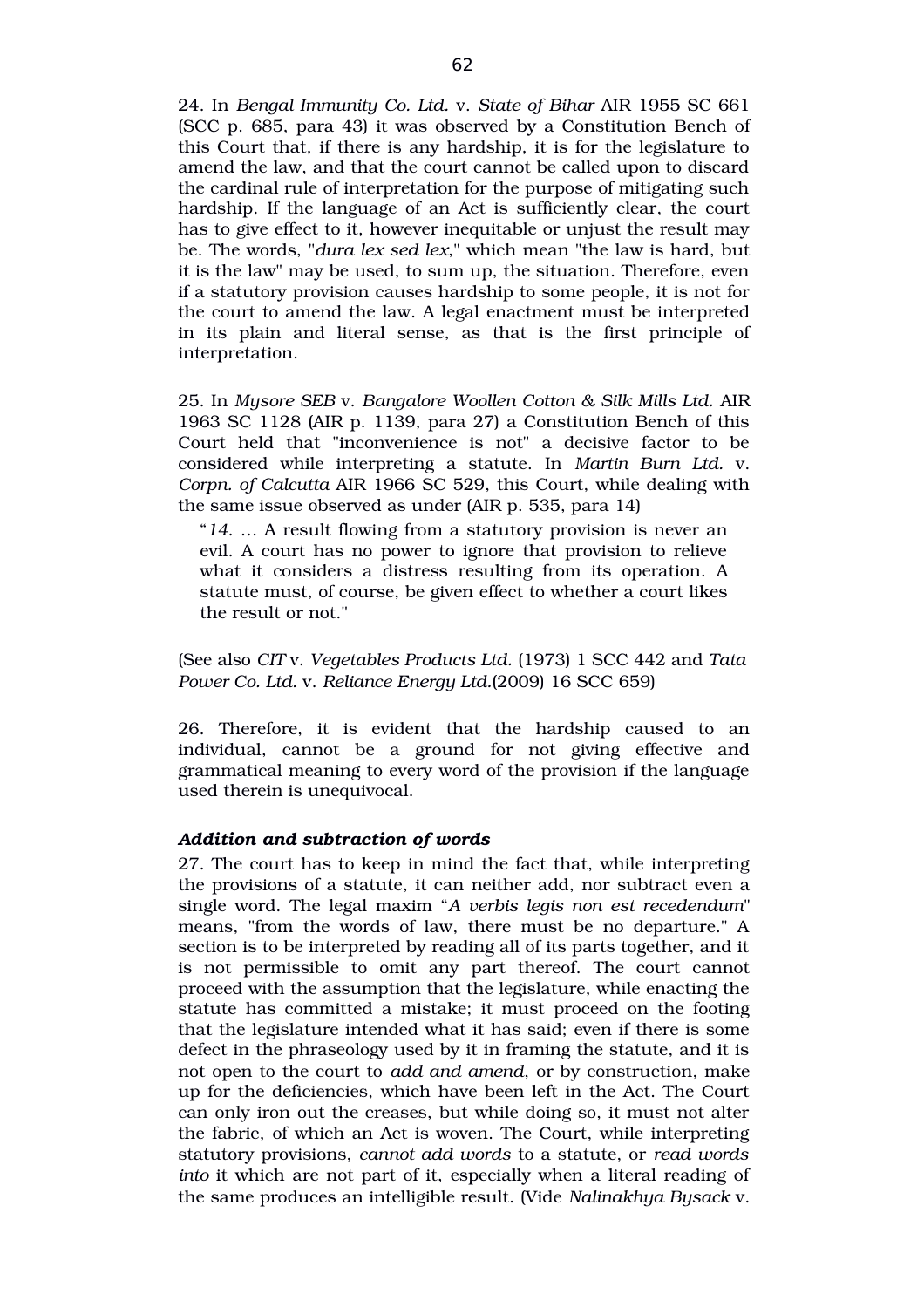24. In *Bengal Immunity Co. Ltd.* v. *State of Bihar* AIR 1955 SC 661 (SCC p. 685, para 43) it was observed by a Constitution Bench of this Court that, if there is any hardship, it is for the legislature to amend the law, and that the court cannot be called upon to discard the cardinal rule of interpretation for the purpose of mitigating such hardship. If the language of an Act is sufficiently clear, the court has to give effect to it, however inequitable or unjust the result may be. The words, "*dura lex sed lex*," which mean "the law is hard, but it is the law" may be used, to sum up, the situation. Therefore, even if a statutory provision causes hardship to some people, it is not for the court to amend the law. A legal enactment must be interpreted in its plain and literal sense, as that is the first principle of interpretation.

25. In *Mysore SEB* v. *Bangalore Woollen Cotton & Silk Mills Ltd.* AIR 1963 SC 1128 (AIR p. 1139, para 27) a Constitution Bench of this Court held that "inconvenience is not" a decisive factor to be considered while interpreting a statute. In *Martin Burn Ltd.* v. *Corpn. of Calcutta* AIR 1966 SC 529, this Court, while dealing with the same issue observed as under (AIR p. 535, para 14)

"*14*. … A result flowing from a statutory provision is never an evil. A court has no power to ignore that provision to relieve what it considers a distress resulting from its operation. A statute must, of course, be given effect to whether a court likes the result or not."

(See also *CIT* v. *Vegetables Products Ltd.* (1973) 1 SCC 442 and *Tata Power Co. Ltd.* v. *Reliance Energy Ltd.*(2009) 16 SCC 659)

26. Therefore, it is evident that the hardship caused to an individual, cannot be a ground for not giving effective and grammatical meaning to every word of the provision if the language used therein is unequivocal.

#### *Addition and subtraction of words*

27. The court has to keep in mind the fact that, while interpreting the provisions of a statute, it can neither add, nor subtract even a single word. The legal maxim "*A verbis legis non est recedendum*" means, "from the words of law, there must be no departure." A section is to be interpreted by reading all of its parts together, and it is not permissible to omit any part thereof. The court cannot proceed with the assumption that the legislature, while enacting the statute has committed a mistake; it must proceed on the footing that the legislature intended what it has said; even if there is some defect in the phraseology used by it in framing the statute, and it is not open to the court to *add and amend*, or by construction, make up for the deficiencies, which have been left in the Act. The Court can only iron out the creases, but while doing so, it must not alter the fabric, of which an Act is woven. The Court, while interpreting statutory provisions, *cannot add words* to a statute, or *read words into* it which are not part of it, especially when a literal reading of the same produces an intelligible result. (Vide *Nalinakhya Bysack* v.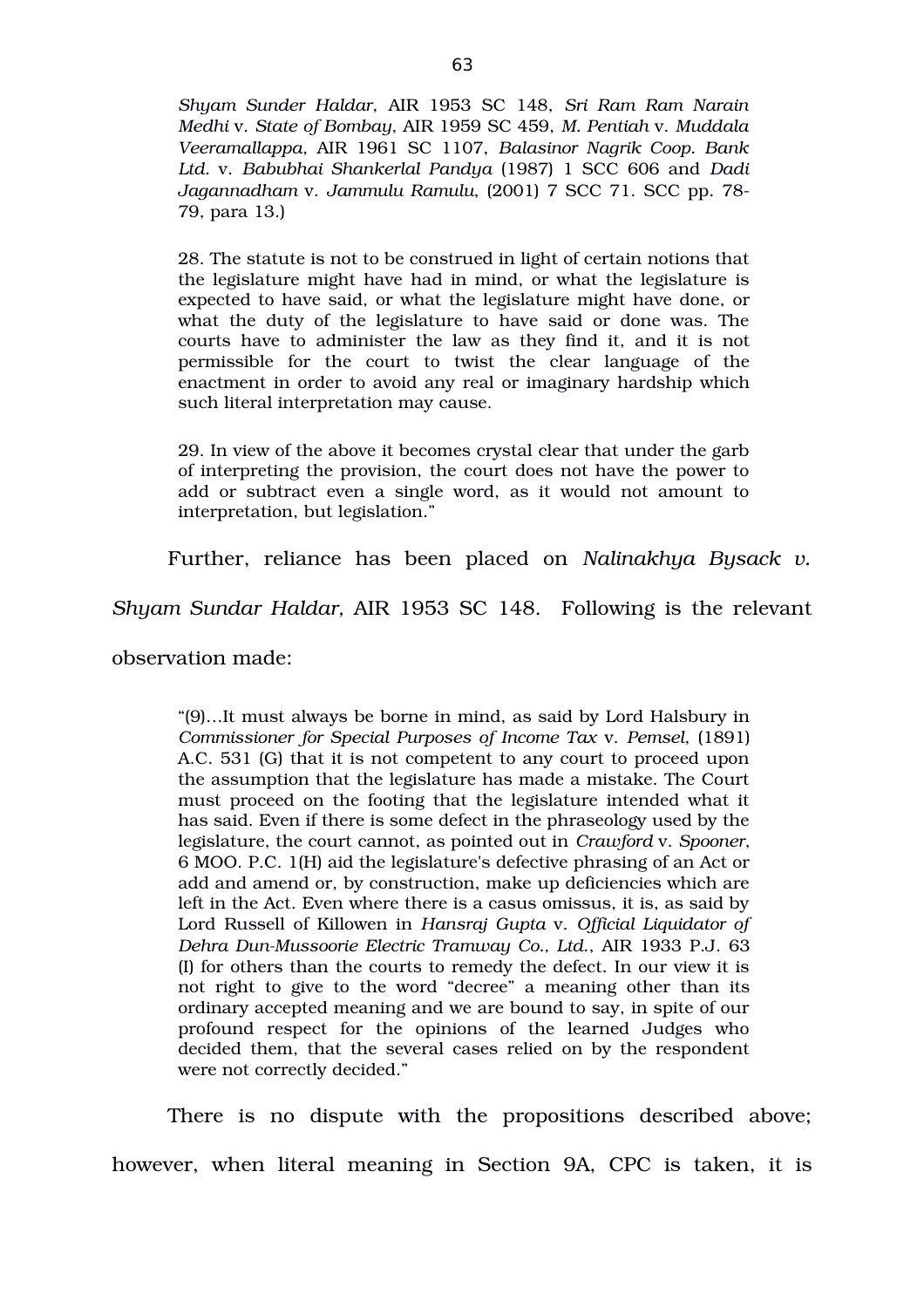*Shyam Sunder Haldar*, AIR 1953 SC 148, *Sri Ram Ram Narain Medhi* v. *State of Bombay*, AIR 1959 SC 459, *M. Pentiah* v. *Muddala Veeramallappa*, AIR 1961 SC 1107, *Balasinor Nagrik Coop. Bank Ltd.* v. *Babubhai Shankerlal Pandya* (1987) 1 SCC 606 and *Dadi Jagannadham* v. *Jammulu Ramulu*, (2001) 7 SCC 71. SCC pp. 78 79, para 13.)

28. The statute is not to be construed in light of certain notions that the legislature might have had in mind, or what the legislature is expected to have said, or what the legislature might have done, or what the duty of the legislature to have said or done was. The courts have to administer the law as they find it, and it is not permissible for the court to twist the clear language of the enactment in order to avoid any real or imaginary hardship which such literal interpretation may cause.

29. In view of the above it becomes crystal clear that under the garb of interpreting the provision, the court does not have the power to add or subtract even a single word, as it would not amount to interpretation, but legislation."

Further, reliance has been placed on *Nalinakhya Bysack v.*

*Shyam Sundar Haldar,* AIR 1953 SC 148. Following is the relevant

observation made:

"(9)…It must always be borne in mind, as said by Lord Halsbury in *Commissioner for Special Purposes of Income Tax* v. *Pemsel*, (1891) A.C. 531 (G) that it is not competent to any court to proceed upon the assumption that the legislature has made a mistake. The Court must proceed on the footing that the legislature intended what it has said. Even if there is some defect in the phraseology used by the legislature, the court cannot, as pointed out in *Crawford* v. *Spooner*, 6 MOO. P.C. 1(H) aid the legislature's defective phrasing of an Act or add and amend or, by construction, make up deficiencies which are left in the Act. Even where there is a casus omissus, it is, as said by Lord Russell of Killowen in *Hansraj Gupta* v. *Official Liquidator of* Dehra Dun-Mussoorie Electric Tramway Co., Ltd., AIR 1933 P.J. 63 (I) for others than the courts to remedy the defect. In our view it is not right to give to the word "decree" a meaning other than its ordinary accepted meaning and we are bound to say, in spite of our profound respect for the opinions of the learned Judges who decided them, that the several cases relied on by the respondent were not correctly decided."

There is no dispute with the propositions described above; however, when literal meaning in Section 9A, CPC is taken, it is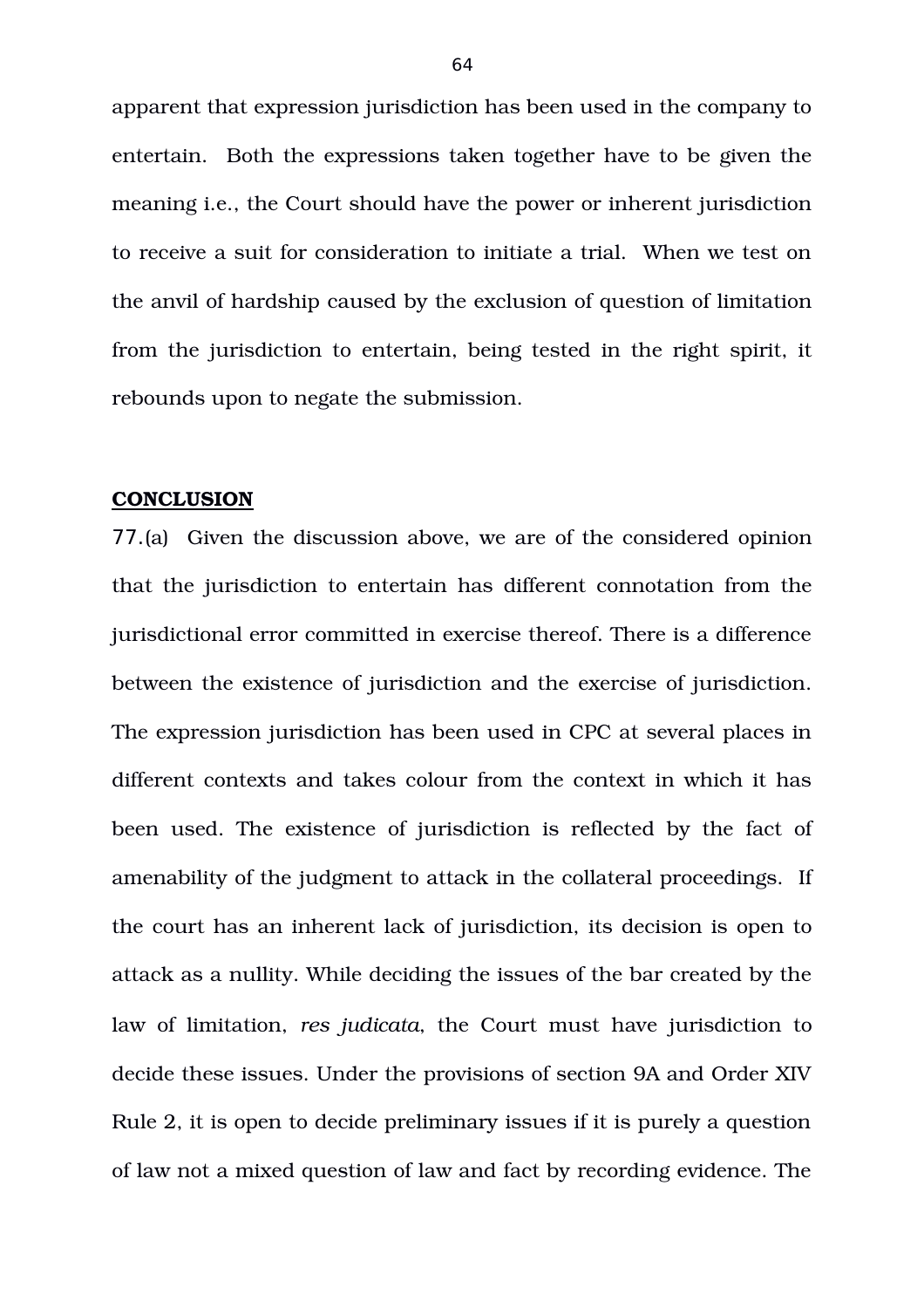apparent that expression jurisdiction has been used in the company to entertain. Both the expressions taken together have to be given the meaning i.e., the Court should have the power or inherent jurisdiction to receive a suit for consideration to initiate a trial. When we test on the anvil of hardship caused by the exclusion of question of limitation from the jurisdiction to entertain, being tested in the right spirit, it rebounds upon to negate the submission.

### **CONCLUSION**

77.(a) Given the discussion above, we are of the considered opinion that the jurisdiction to entertain has different connotation from the jurisdictional error committed in exercise thereof. There is a difference between the existence of jurisdiction and the exercise of jurisdiction. The expression jurisdiction has been used in CPC at several places in different contexts and takes colour from the context in which it has been used. The existence of jurisdiction is reflected by the fact of amenability of the judgment to attack in the collateral proceedings. If the court has an inherent lack of jurisdiction, its decision is open to attack as a nullity. While deciding the issues of the bar created by the law of limitation, *res judicata*, the Court must have jurisdiction to decide these issues. Under the provisions of section 9A and Order XIV Rule 2, it is open to decide preliminary issues if it is purely a question of law not a mixed question of law and fact by recording evidence. The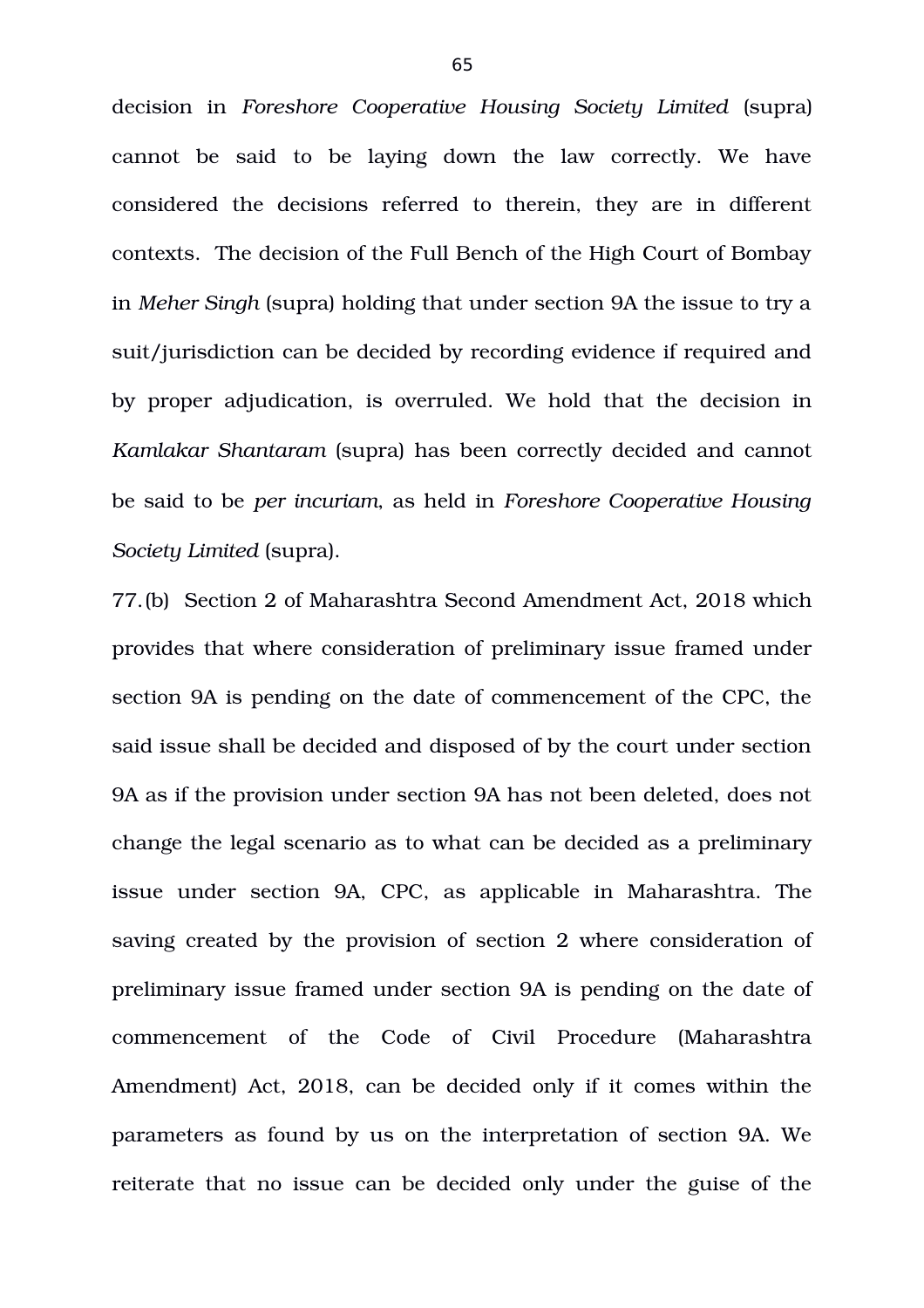decision in *Foreshore Cooperative Housing Society Limited* (supra) cannot be said to be laying down the law correctly. We have considered the decisions referred to therein, they are in different contexts. The decision of the Full Bench of the High Court of Bombay in *Meher Singh* (supra) holding that under section 9A the issue to try a suit/jurisdiction can be decided by recording evidence if required and by proper adjudication, is overruled. We hold that the decision in *Kamlakar Shantaram* (supra) has been correctly decided and cannot be said to be *per incuriam*, as held in *Foreshore Cooperative Housing Society Limited* (supra).

77.(b) Section 2 of Maharashtra Second Amendment Act, 2018 which provides that where consideration of preliminary issue framed under section 9A is pending on the date of commencement of the CPC, the said issue shall be decided and disposed of by the court under section 9A as if the provision under section 9A has not been deleted, does not change the legal scenario as to what can be decided as a preliminary issue under section 9A, CPC, as applicable in Maharashtra. The saving created by the provision of section 2 where consideration of preliminary issue framed under section 9A is pending on the date of commencement of the Code of Civil Procedure (Maharashtra Amendment) Act, 2018, can be decided only if it comes within the parameters as found by us on the interpretation of section 9A. We reiterate that no issue can be decided only under the guise of the